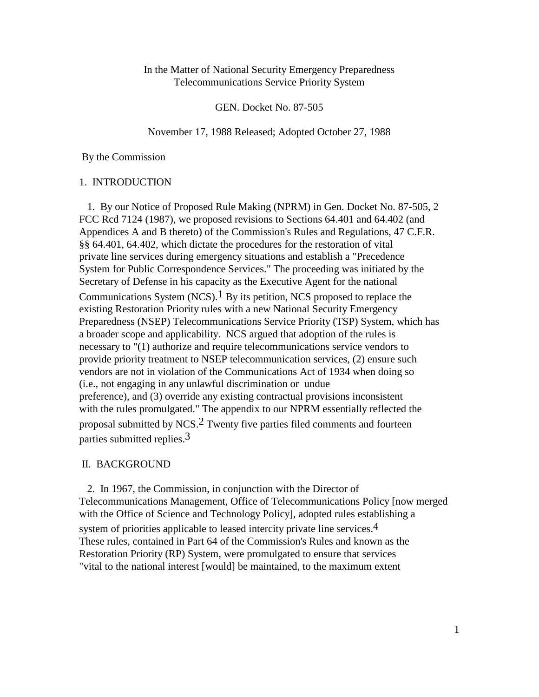# In the Matter of National Security Emergency Preparedness Telecommunications Service Priority System

GEN. Docket No. 87-505

November 17, 1988 Released; Adopted October 27, 1988

By the Commission

### 1. INTRODUCTION

 1. By our Notice of Proposed Rule Making (NPRM) in Gen. Docket No. 87-505, 2 FCC Rcd 7124 (1987), we proposed revisions to Sections 64.401 and 64.402 (and Appendices A and B thereto) of the Commission's Rules and Regulations, 47 C.F.R. §§ 64.401, 64.402, which dictate the procedures for the restoration of vital private line services during emergency situations and establish a "Precedence System for Public Correspondence Services." The proceeding was initiated by the Secretary of Defense in his capacity as the Executive Agent for the national Communications System (NCS).<sup>1</sup> By its petition, NCS proposed to replace the existing Restoration Priority rules with a new National Security Emergency Preparedness (NSEP) Telecommunications Service Priority (TSP) System, which has a broader scope and applicability. NCS argued that adoption of the rules is necessary to "(1) authorize and require telecommunications service vendors to provide priority treatment to NSEP telecommunication services, (2) ensure such vendors are not in violation of the Communications Act of 1934 when doing so (i.e., not engaging in any unlawful discrimination or undue preference), and (3) override any existing contractual provisions inconsistent with the rules promulgated." The appendix to our NPRM essentially reflected the proposal submitted by NCS.2 Twenty five parties filed comments and fourteen parties submitted replies.3

## II. BACKGROUND

 2. In 1967, the Commission, in conjunction with the Director of Telecommunications Management, Office of Telecommunications Policy [now merged with the Office of Science and Technology Policy], adopted rules establishing a

system of priorities applicable to leased intercity private line services.4 These rules, contained in Part 64 of the Commission's Rules and known as the Restoration Priority (RP) System, were promulgated to ensure that services "vital to the national interest [would] be maintained, to the maximum extent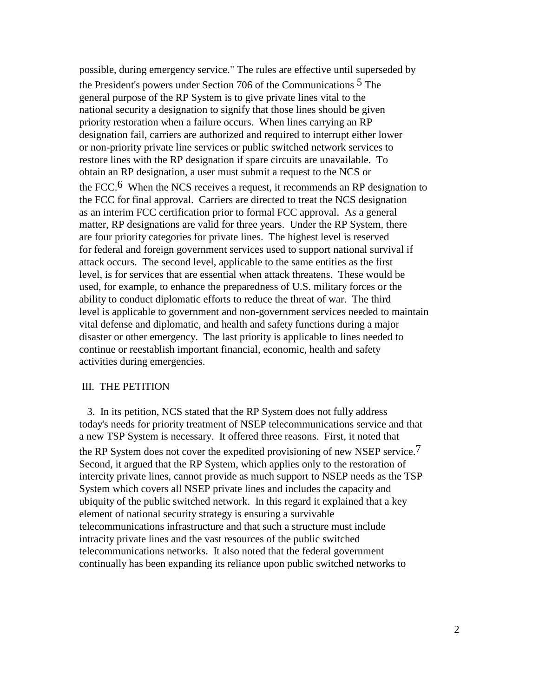possible, during emergency service." The rules are effective until superseded by the President's powers under Section 706 of the Communications <sup>5</sup> The general purpose of the RP System is to give private lines vital to the national security a designation to signify that those lines should be given priority restoration when a failure occurs. When lines carrying an RP designation fail, carriers are authorized and required to interrupt either lower or non-priority private line services or public switched network services to restore lines with the RP designation if spare circuits are unavailable. To obtain an RP designation, a user must submit a request to the NCS or the FCC.<sup>6</sup> When the NCS receives a request, it recommends an RP designation to the FCC for final approval. Carriers are directed to treat the NCS designation as an interim FCC certification prior to formal FCC approval. As a general matter, RP designations are valid for three years. Under the RP System, there are four priority categories for private lines. The highest level is reserved for federal and foreign government services used to support national survival if attack occurs. The second level, applicable to the same entities as the first level, is for services that are essential when attack threatens. These would be used, for example, to enhance the preparedness of U.S. military forces or the ability to conduct diplomatic efforts to reduce the threat of war. The third level is applicable to government and non-government services needed to maintain vital defense and diplomatic, and health and safety functions during a major disaster or other emergency. The last priority is applicable to lines needed to continue or reestablish important financial, economic, health and safety activities during emergencies.

### III. THE PETITION

 3. In its petition, NCS stated that the RP System does not fully address today's needs for priority treatment of NSEP telecommunications service and that a new TSP System is necessary. It offered three reasons. First, it noted that the RP System does not cover the expedited provisioning of new NSEP service.7 Second, it argued that the RP System, which applies only to the restoration of intercity private lines, cannot provide as much support to NSEP needs as the TSP System which covers all NSEP private lines and includes the capacity and ubiquity of the public switched network. In this regard it explained that a key element of national security strategy is ensuring a survivable telecommunications infrastructure and that such a structure must include intracity private lines and the vast resources of the public switched telecommunications networks. It also noted that the federal government continually has been expanding its reliance upon public switched networks to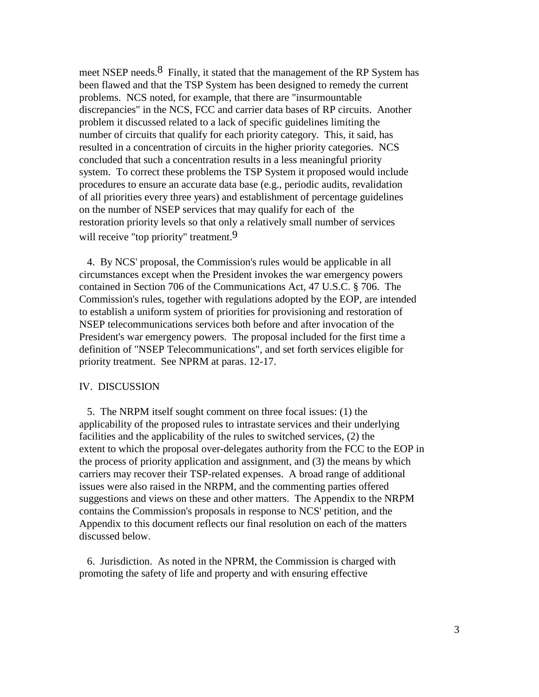meet NSEP needs.<sup>8</sup> Finally, it stated that the management of the RP System has been flawed and that the TSP System has been designed to remedy the current problems. NCS noted, for example, that there are "insurmountable discrepancies" in the NCS, FCC and carrier data bases of RP circuits. Another problem it discussed related to a lack of specific guidelines limiting the number of circuits that qualify for each priority category. This, it said, has resulted in a concentration of circuits in the higher priority categories. NCS concluded that such a concentration results in a less meaningful priority system. To correct these problems the TSP System it proposed would include procedures to ensure an accurate data base (e.g., periodic audits, revalidation of all priorities every three years) and establishment of percentage guidelines on the number of NSEP services that may qualify for each of the restoration priority levels so that only a relatively small number of services will receive "top priority" treatment.<sup>9</sup>

 4. By NCS' proposal, the Commission's rules would be applicable in all circumstances except when the President invokes the war emergency powers contained in Section 706 of the Communications Act, 47 U.S.C. § 706. The Commission's rules, together with regulations adopted by the EOP, are intended to establish a uniform system of priorities for provisioning and restoration of NSEP telecommunications services both before and after invocation of the President's war emergency powers. The proposal included for the first time a definition of "NSEP Telecommunications", and set forth services eligible for priority treatment. See NPRM at paras. 12-17.

### IV. DISCUSSION

 5. The NRPM itself sought comment on three focal issues: (1) the applicability of the proposed rules to intrastate services and their underlying facilities and the applicability of the rules to switched services, (2) the extent to which the proposal over-delegates authority from the FCC to the EOP in the process of priority application and assignment, and (3) the means by which carriers may recover their TSP-related expenses. A broad range of additional issues were also raised in the NRPM, and the commenting parties offered suggestions and views on these and other matters. The Appendix to the NRPM contains the Commission's proposals in response to NCS' petition, and the Appendix to this document reflects our final resolution on each of the matters discussed below.

 6. Jurisdiction. As noted in the NPRM, the Commission is charged with promoting the safety of life and property and with ensuring effective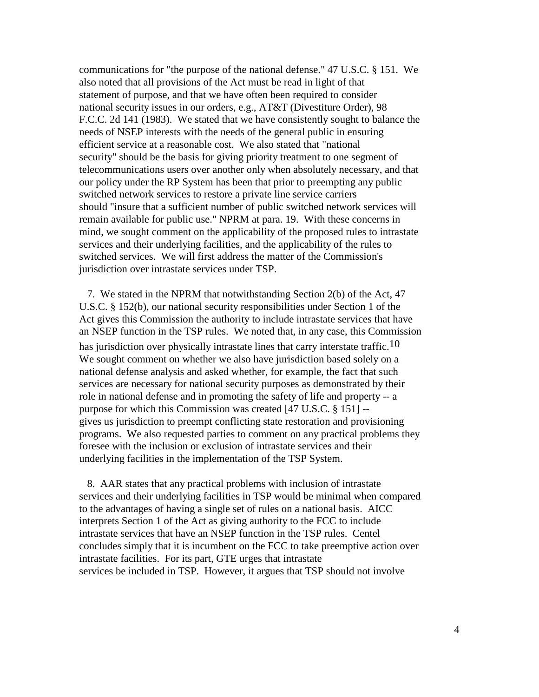communications for "the purpose of the national defense." 47 U.S.C. § 151. We also noted that all provisions of the Act must be read in light of that statement of purpose, and that we have often been required to consider national security issues in our orders, e.g., AT&T (Divestiture Order), 98 F.C.C. 2d 141 (1983). We stated that we have consistently sought to balance the needs of NSEP interests with the needs of the general public in ensuring efficient service at a reasonable cost. We also stated that "national security" should be the basis for giving priority treatment to one segment of telecommunications users over another only when absolutely necessary, and that our policy under the RP System has been that prior to preempting any public switched network services to restore a private line service carriers should "insure that a sufficient number of public switched network services will remain available for public use." NPRM at para. 19. With these concerns in mind, we sought comment on the applicability of the proposed rules to intrastate services and their underlying facilities, and the applicability of the rules to switched services. We will first address the matter of the Commission's jurisdiction over intrastate services under TSP.

 7. We stated in the NPRM that notwithstanding Section 2(b) of the Act, 47 U.S.C. § 152(b), our national security responsibilities under Section 1 of the Act gives this Commission the authority to include intrastate services that have an NSEP function in the TSP rules. We noted that, in any case, this Commission has jurisdiction over physically intrastate lines that carry interstate traffic.<sup>10</sup> We sought comment on whether we also have jurisdiction based solely on a national defense analysis and asked whether, for example, the fact that such services are necessary for national security purposes as demonstrated by their role in national defense and in promoting the safety of life and property -- a purpose for which this Commission was created [47 U.S.C. § 151] - gives us jurisdiction to preempt conflicting state restoration and provisioning programs. We also requested parties to comment on any practical problems they foresee with the inclusion or exclusion of intrastate services and their underlying facilities in the implementation of the TSP System.

 8. AAR states that any practical problems with inclusion of intrastate services and their underlying facilities in TSP would be minimal when compared to the advantages of having a single set of rules on a national basis. AICC interprets Section 1 of the Act as giving authority to the FCC to include intrastate services that have an NSEP function in the TSP rules. Centel concludes simply that it is incumbent on the FCC to take preemptive action over intrastate facilities. For its part, GTE urges that intrastate services be included in TSP. However, it argues that TSP should not involve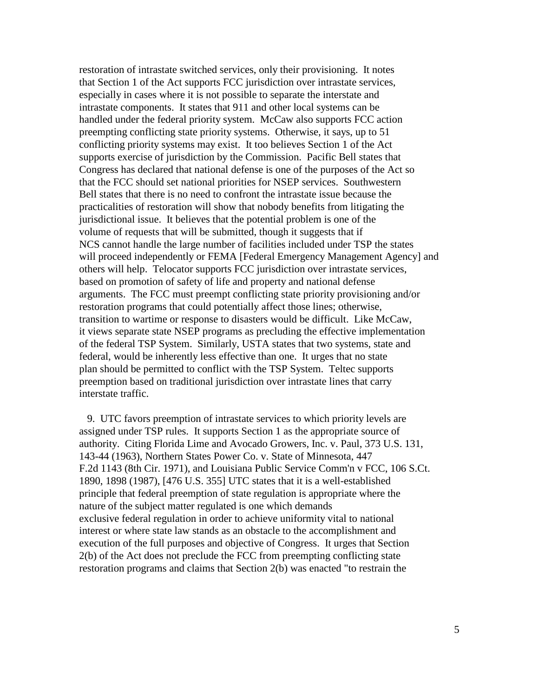restoration of intrastate switched services, only their provisioning. It notes that Section 1 of the Act supports FCC jurisdiction over intrastate services, especially in cases where it is not possible to separate the interstate and intrastate components. It states that 911 and other local systems can be handled under the federal priority system. McCaw also supports FCC action preempting conflicting state priority systems. Otherwise, it says, up to 51 conflicting priority systems may exist. It too believes Section 1 of the Act supports exercise of jurisdiction by the Commission. Pacific Bell states that Congress has declared that national defense is one of the purposes of the Act so that the FCC should set national priorities for NSEP services. Southwestern Bell states that there is no need to confront the intrastate issue because the practicalities of restoration will show that nobody benefits from litigating the jurisdictional issue. It believes that the potential problem is one of the volume of requests that will be submitted, though it suggests that if NCS cannot handle the large number of facilities included under TSP the states will proceed independently or FEMA [Federal Emergency Management Agency] and others will help. Telocator supports FCC jurisdiction over intrastate services, based on promotion of safety of life and property and national defense arguments. The FCC must preempt conflicting state priority provisioning and/or restoration programs that could potentially affect those lines; otherwise, transition to wartime or response to disasters would be difficult. Like McCaw, it views separate state NSEP programs as precluding the effective implementation of the federal TSP System. Similarly, USTA states that two systems, state and federal, would be inherently less effective than one. It urges that no state plan should be permitted to conflict with the TSP System. Teltec supports preemption based on traditional jurisdiction over intrastate lines that carry interstate traffic.

 9. UTC favors preemption of intrastate services to which priority levels are assigned under TSP rules. It supports Section 1 as the appropriate source of authority. Citing Florida Lime and Avocado Growers, Inc. v. Paul, 373 U.S. 131, 143-44 (1963), Northern States Power Co. v. State of Minnesota, 447 F.2d 1143 (8th Cir. 1971), and Louisiana Public Service Comm'n v FCC, 106 S.Ct. 1890, 1898 (1987), [476 U.S. 355] UTC states that it is a well-established principle that federal preemption of state regulation is appropriate where the nature of the subject matter regulated is one which demands exclusive federal regulation in order to achieve uniformity vital to national interest or where state law stands as an obstacle to the accomplishment and execution of the full purposes and objective of Congress. It urges that Section 2(b) of the Act does not preclude the FCC from preempting conflicting state restoration programs and claims that Section 2(b) was enacted "to restrain the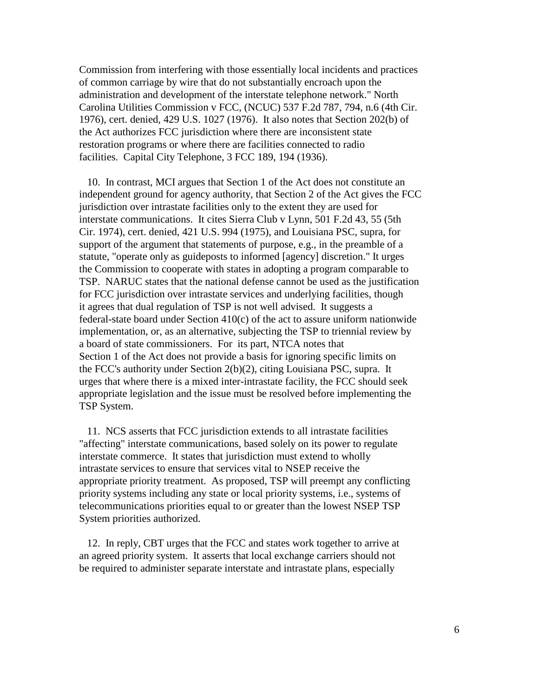Commission from interfering with those essentially local incidents and practices of common carriage by wire that do not substantially encroach upon the administration and development of the interstate telephone network." North Carolina Utilities Commission v FCC, (NCUC) 537 F.2d 787, 794, n.6 (4th Cir. 1976), cert. denied, 429 U.S. 1027 (1976). It also notes that Section 202(b) of the Act authorizes FCC jurisdiction where there are inconsistent state restoration programs or where there are facilities connected to radio facilities. Capital City Telephone, 3 FCC 189, 194 (1936).

 10. In contrast, MCI argues that Section 1 of the Act does not constitute an independent ground for agency authority, that Section 2 of the Act gives the FCC jurisdiction over intrastate facilities only to the extent they are used for interstate communications. It cites Sierra Club v Lynn, 501 F.2d 43, 55 (5th Cir. 1974), cert. denied, 421 U.S. 994 (1975), and Louisiana PSC, supra, for support of the argument that statements of purpose, e.g., in the preamble of a statute, "operate only as guideposts to informed [agency] discretion." It urges the Commission to cooperate with states in adopting a program comparable to TSP. NARUC states that the national defense cannot be used as the justification for FCC jurisdiction over intrastate services and underlying facilities, though it agrees that dual regulation of TSP is not well advised. It suggests a federal-state board under Section 410(c) of the act to assure uniform nationwide implementation, or, as an alternative, subjecting the TSP to triennial review by a board of state commissioners. For its part, NTCA notes that Section 1 of the Act does not provide a basis for ignoring specific limits on the FCC's authority under Section 2(b)(2), citing Louisiana PSC, supra. It urges that where there is a mixed inter-intrastate facility, the FCC should seek appropriate legislation and the issue must be resolved before implementing the TSP System.

 11. NCS asserts that FCC jurisdiction extends to all intrastate facilities "affecting" interstate communications, based solely on its power to regulate interstate commerce. It states that jurisdiction must extend to wholly intrastate services to ensure that services vital to NSEP receive the appropriate priority treatment. As proposed, TSP will preempt any conflicting priority systems including any state or local priority systems, i.e., systems of telecommunications priorities equal to or greater than the lowest NSEP TSP System priorities authorized.

 12. In reply, CBT urges that the FCC and states work together to arrive at an agreed priority system. It asserts that local exchange carriers should not be required to administer separate interstate and intrastate plans, especially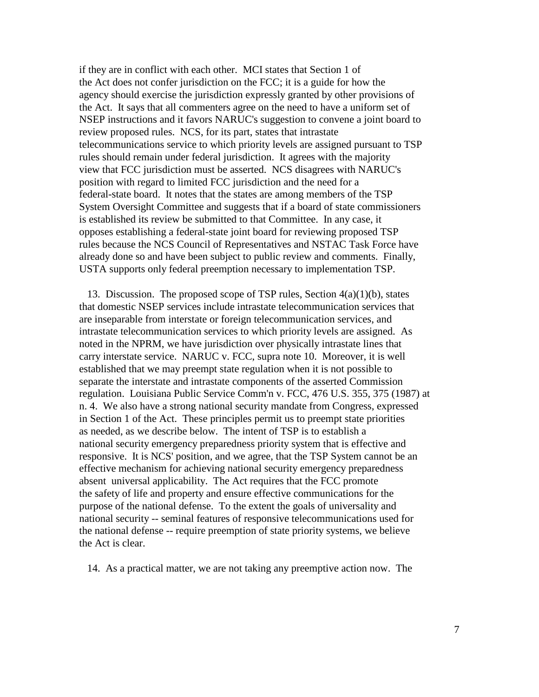if they are in conflict with each other. MCI states that Section 1 of the Act does not confer jurisdiction on the FCC; it is a guide for how the agency should exercise the jurisdiction expressly granted by other provisions of the Act. It says that all commenters agree on the need to have a uniform set of NSEP instructions and it favors NARUC's suggestion to convene a joint board to review proposed rules. NCS, for its part, states that intrastate telecommunications service to which priority levels are assigned pursuant to TSP rules should remain under federal jurisdiction. It agrees with the majority view that FCC jurisdiction must be asserted. NCS disagrees with NARUC's position with regard to limited FCC jurisdiction and the need for a federal-state board. It notes that the states are among members of the TSP System Oversight Committee and suggests that if a board of state commissioners is established its review be submitted to that Committee. In any case, it opposes establishing a federal-state joint board for reviewing proposed TSP rules because the NCS Council of Representatives and NSTAC Task Force have already done so and have been subject to public review and comments. Finally, USTA supports only federal preemption necessary to implementation TSP.

13. Discussion. The proposed scope of TSP rules, Section  $4(a)(1)(b)$ , states that domestic NSEP services include intrastate telecommunication services that are inseparable from interstate or foreign telecommunication services, and intrastate telecommunication services to which priority levels are assigned. As noted in the NPRM, we have jurisdiction over physically intrastate lines that carry interstate service. NARUC v. FCC, supra note 10. Moreover, it is well established that we may preempt state regulation when it is not possible to separate the interstate and intrastate components of the asserted Commission regulation. Louisiana Public Service Comm'n v. FCC, 476 U.S. 355, 375 (1987) at n. 4. We also have a strong national security mandate from Congress, expressed in Section 1 of the Act. These principles permit us to preempt state priorities as needed, as we describe below. The intent of TSP is to establish a national security emergency preparedness priority system that is effective and responsive. It is NCS' position, and we agree, that the TSP System cannot be an effective mechanism for achieving national security emergency preparedness absent universal applicability. The Act requires that the FCC promote the safety of life and property and ensure effective communications for the purpose of the national defense. To the extent the goals of universality and national security -- seminal features of responsive telecommunications used for the national defense -- require preemption of state priority systems, we believe the Act is clear.

14. As a practical matter, we are not taking any preemptive action now. The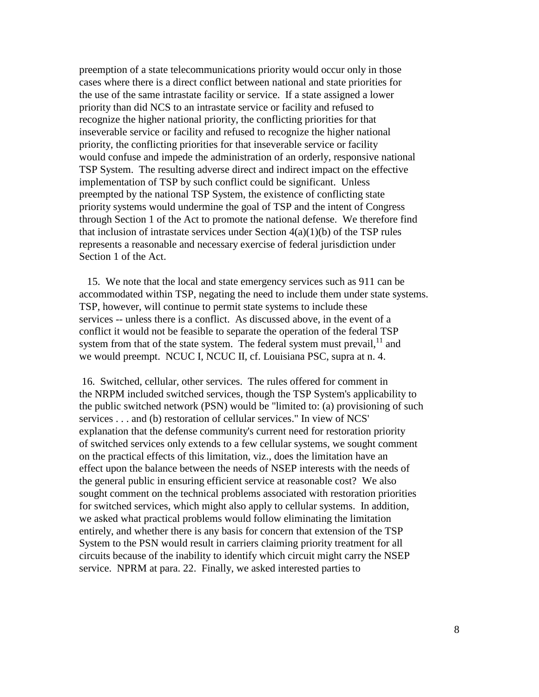preemption of a state telecommunications priority would occur only in those cases where there is a direct conflict between national and state priorities for the use of the same intrastate facility or service. If a state assigned a lower priority than did NCS to an intrastate service or facility and refused to recognize the higher national priority, the conflicting priorities for that inseverable service or facility and refused to recognize the higher national priority, the conflicting priorities for that inseverable service or facility would confuse and impede the administration of an orderly, responsive national TSP System. The resulting adverse direct and indirect impact on the effective implementation of TSP by such conflict could be significant. Unless preempted by the national TSP System, the existence of conflicting state priority systems would undermine the goal of TSP and the intent of Congress through Section 1 of the Act to promote the national defense. We therefore find that inclusion of intrastate services under Section  $4(a)(1)(b)$  of the TSP rules represents a reasonable and necessary exercise of federal jurisdiction under Section 1 of the Act.

 15. We note that the local and state emergency services such as 911 can be accommodated within TSP, negating the need to include them under state systems. TSP, however, will continue to permit state systems to include these services -- unless there is a conflict. As discussed above, in the event of a conflict it would not be feasible to separate the operation of the federal TSP system from that of the state system. The federal system must prevail,  $11$  and we would preempt. NCUC I, NCUC II, cf. Louisiana PSC, supra at n. 4.

16. Switched, cellular, other services. The rules offered for comment in the NRPM included switched services, though the TSP System's applicability to the public switched network (PSN) would be "limited to: (a) provisioning of such services . . . and (b) restoration of cellular services." In view of NCS' explanation that the defense community's current need for restoration priority of switched services only extends to a few cellular systems, we sought comment on the practical effects of this limitation, viz., does the limitation have an effect upon the balance between the needs of NSEP interests with the needs of the general public in ensuring efficient service at reasonable cost? We also sought comment on the technical problems associated with restoration priorities for switched services, which might also apply to cellular systems. In addition, we asked what practical problems would follow eliminating the limitation entirely, and whether there is any basis for concern that extension of the TSP System to the PSN would result in carriers claiming priority treatment for all circuits because of the inability to identify which circuit might carry the NSEP service. NPRM at para. 22. Finally, we asked interested parties to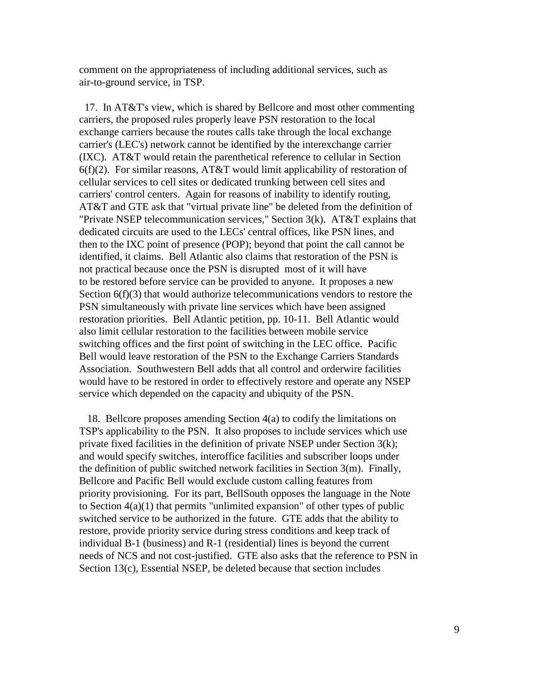comment on the appropriateness of including additional services, such as air-to-ground service, in TSP.

 17. In AT&T's view, which is shared by Bellcore and most other commenting carriers, the proposed rules properly leave PSN restoration to the local exchange carriers because the routes calls take through the local exchange carrier's (LEC's) network cannot be identified by the interexchange carrier (IXC). AT&T would retain the parenthetical reference to cellular in Section  $6(f)(2)$ . For similar reasons, AT&T would limit applicability of restoration of cellular services to cell sites or dedicated trunking between cell sites and carriers' control centers. Again for reasons of inability to identify routing, AT&T and GTE ask that "virtual private line" be deleted from the definition of "Private NSEP telecommunication services," Section 3(k). AT&T explains that dedicated circuits are used to the LECs' central offices, like PSN lines, and then to the IXC point of presence (POP); beyond that point the call cannot be identified, it claims. Bell Atlantic also claims that restoration of the PSN is not practical because once the PSN is disrupted most of it will have to be restored before service can be provided to anyone. It proposes a new Section 6(f)(3) that would authorize telecommunications vendors to restore the PSN simultaneously with private line services which have been assigned restoration priorities. Bell Atlantic petition, pp. 10-11. Bell Atlantic would also limit cellular restoration to the facilities between mobile service switching offices and the first point of switching in the LEC office. Pacific Bell would leave restoration of the PSN to the Exchange Carriers Standards Association. Southwestern Bell adds that all control and orderwire facilities would have to be restored in order to effectively restore and operate any NSEP service which depended on the capacity and ubiquity of the PSN.

 18. Bellcore proposes amending Section 4(a) to codify the limitations on TSP's applicability to the PSN. It also proposes to include services which use private fixed facilities in the definition of private NSEP under Section 3(k); and would specify switches, interoffice facilities and subscriber loops under the definition of public switched network facilities in Section 3(m). Finally, Bellcore and Pacific Bell would exclude custom calling features from priority provisioning. For its part, BellSouth opposes the language in the Note to Section 4(a)(1) that permits "unlimited expansion" of other types of public switched service to be authorized in the future. GTE adds that the ability to restore, provide priority service during stress conditions and keep track of individual B-1 (business) and R-1 (residential) lines is beyond the current needs of NCS and not cost-justified. GTE also asks that the reference to PSN in Section 13(c), Essential NSEP, be deleted because that section includes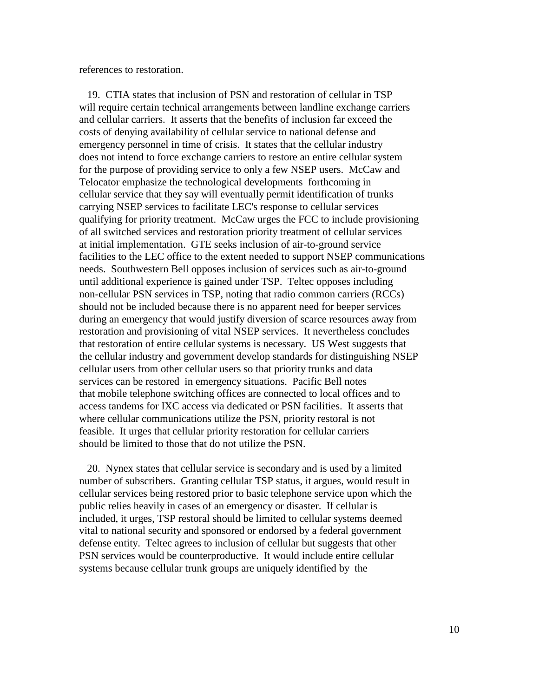references to restoration.

 19. CTIA states that inclusion of PSN and restoration of cellular in TSP will require certain technical arrangements between landline exchange carriers and cellular carriers. It asserts that the benefits of inclusion far exceed the costs of denying availability of cellular service to national defense and emergency personnel in time of crisis. It states that the cellular industry does not intend to force exchange carriers to restore an entire cellular system for the purpose of providing service to only a few NSEP users. McCaw and Telocator emphasize the technological developments forthcoming in cellular service that they say will eventually permit identification of trunks carrying NSEP services to facilitate LEC's response to cellular services qualifying for priority treatment. McCaw urges the FCC to include provisioning of all switched services and restoration priority treatment of cellular services at initial implementation. GTE seeks inclusion of air-to-ground service facilities to the LEC office to the extent needed to support NSEP communications needs. Southwestern Bell opposes inclusion of services such as air-to-ground until additional experience is gained under TSP. Teltec opposes including non-cellular PSN services in TSP, noting that radio common carriers (RCCs) should not be included because there is no apparent need for beeper services during an emergency that would justify diversion of scarce resources away from restoration and provisioning of vital NSEP services. It nevertheless concludes that restoration of entire cellular systems is necessary. US West suggests that the cellular industry and government develop standards for distinguishing NSEP cellular users from other cellular users so that priority trunks and data services can be restored in emergency situations. Pacific Bell notes that mobile telephone switching offices are connected to local offices and to access tandems for IXC access via dedicated or PSN facilities. It asserts that where cellular communications utilize the PSN, priority restoral is not feasible. It urges that cellular priority restoration for cellular carriers should be limited to those that do not utilize the PSN.

 20. Nynex states that cellular service is secondary and is used by a limited number of subscribers. Granting cellular TSP status, it argues, would result in cellular services being restored prior to basic telephone service upon which the public relies heavily in cases of an emergency or disaster. If cellular is included, it urges, TSP restoral should be limited to cellular systems deemed vital to national security and sponsored or endorsed by a federal government defense entity. Teltec agrees to inclusion of cellular but suggests that other PSN services would be counterproductive. It would include entire cellular systems because cellular trunk groups are uniquely identified by the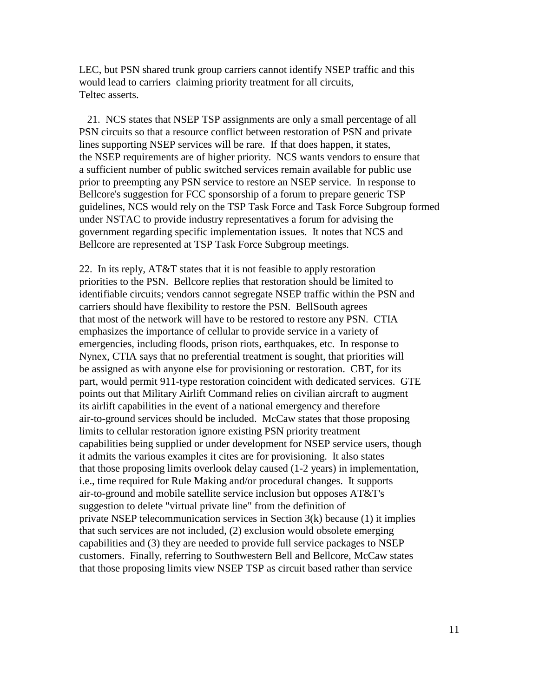LEC, but PSN shared trunk group carriers cannot identify NSEP traffic and this would lead to carriers claiming priority treatment for all circuits, Teltec asserts.

 21. NCS states that NSEP TSP assignments are only a small percentage of all PSN circuits so that a resource conflict between restoration of PSN and private lines supporting NSEP services will be rare. If that does happen, it states, the NSEP requirements are of higher priority. NCS wants vendors to ensure that a sufficient number of public switched services remain available for public use prior to preempting any PSN service to restore an NSEP service. In response to Bellcore's suggestion for FCC sponsorship of a forum to prepare generic TSP guidelines, NCS would rely on the TSP Task Force and Task Force Subgroup formed under NSTAC to provide industry representatives a forum for advising the government regarding specific implementation issues. It notes that NCS and Bellcore are represented at TSP Task Force Subgroup meetings.

22. In its reply, AT&T states that it is not feasible to apply restoration priorities to the PSN. Bellcore replies that restoration should be limited to identifiable circuits; vendors cannot segregate NSEP traffic within the PSN and carriers should have flexibility to restore the PSN. BellSouth agrees that most of the network will have to be restored to restore any PSN. CTIA emphasizes the importance of cellular to provide service in a variety of emergencies, including floods, prison riots, earthquakes, etc. In response to Nynex, CTIA says that no preferential treatment is sought, that priorities will be assigned as with anyone else for provisioning or restoration. CBT, for its part, would permit 911-type restoration coincident with dedicated services. GTE points out that Military Airlift Command relies on civilian aircraft to augment its airlift capabilities in the event of a national emergency and therefore air-to-ground services should be included. McCaw states that those proposing limits to cellular restoration ignore existing PSN priority treatment capabilities being supplied or under development for NSEP service users, though it admits the various examples it cites are for provisioning. It also states that those proposing limits overlook delay caused (1-2 years) in implementation, i.e., time required for Rule Making and/or procedural changes. It supports air-to-ground and mobile satellite service inclusion but opposes AT&T's suggestion to delete "virtual private line" from the definition of private NSEP telecommunication services in Section 3(k) because (1) it implies that such services are not included, (2) exclusion would obsolete emerging capabilities and (3) they are needed to provide full service packages to NSEP customers. Finally, referring to Southwestern Bell and Bellcore, McCaw states that those proposing limits view NSEP TSP as circuit based rather than service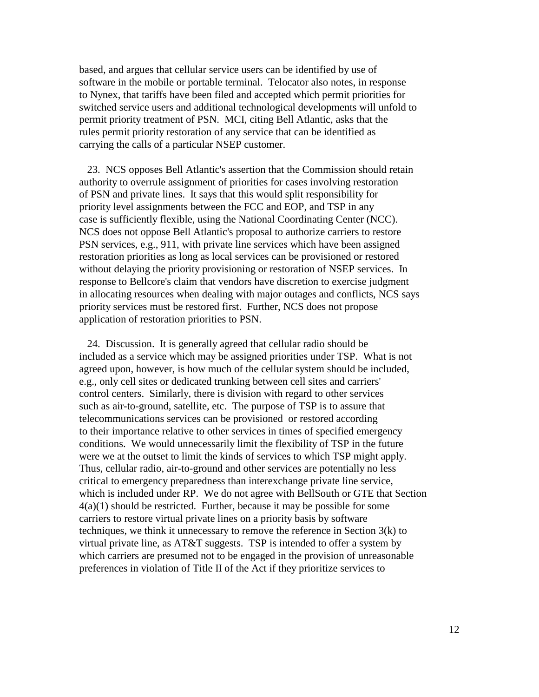based, and argues that cellular service users can be identified by use of software in the mobile or portable terminal. Telocator also notes, in response to Nynex, that tariffs have been filed and accepted which permit priorities for switched service users and additional technological developments will unfold to permit priority treatment of PSN. MCI, citing Bell Atlantic, asks that the rules permit priority restoration of any service that can be identified as carrying the calls of a particular NSEP customer.

 23. NCS opposes Bell Atlantic's assertion that the Commission should retain authority to overrule assignment of priorities for cases involving restoration of PSN and private lines. It says that this would split responsibility for priority level assignments between the FCC and EOP, and TSP in any case is sufficiently flexible, using the National Coordinating Center (NCC). NCS does not oppose Bell Atlantic's proposal to authorize carriers to restore PSN services, e.g., 911, with private line services which have been assigned restoration priorities as long as local services can be provisioned or restored without delaying the priority provisioning or restoration of NSEP services. In response to Bellcore's claim that vendors have discretion to exercise judgment in allocating resources when dealing with major outages and conflicts, NCS says priority services must be restored first. Further, NCS does not propose application of restoration priorities to PSN.

 24. Discussion. It is generally agreed that cellular radio should be included as a service which may be assigned priorities under TSP. What is not agreed upon, however, is how much of the cellular system should be included, e.g., only cell sites or dedicated trunking between cell sites and carriers' control centers. Similarly, there is division with regard to other services such as air-to-ground, satellite, etc. The purpose of TSP is to assure that telecommunications services can be provisioned or restored according to their importance relative to other services in times of specified emergency conditions. We would unnecessarily limit the flexibility of TSP in the future were we at the outset to limit the kinds of services to which TSP might apply. Thus, cellular radio, air-to-ground and other services are potentially no less critical to emergency preparedness than interexchange private line service, which is included under RP. We do not agree with BellSouth or GTE that Section 4(a)(1) should be restricted. Further, because it may be possible for some carriers to restore virtual private lines on a priority basis by software techniques, we think it unnecessary to remove the reference in Section 3(k) to virtual private line, as AT&T suggests. TSP is intended to offer a system by which carriers are presumed not to be engaged in the provision of unreasonable preferences in violation of Title II of the Act if they prioritize services to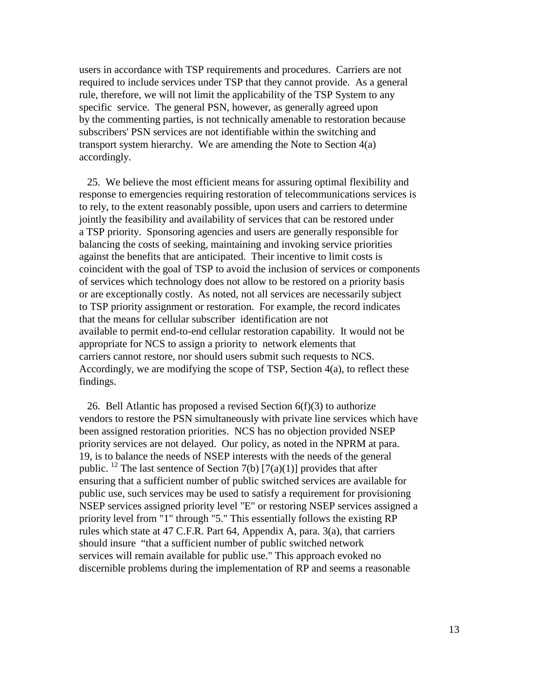users in accordance with TSP requirements and procedures. Carriers are not required to include services under TSP that they cannot provide. As a general rule, therefore, we will not limit the applicability of the TSP System to any specific service. The general PSN, however, as generally agreed upon by the commenting parties, is not technically amenable to restoration because subscribers' PSN services are not identifiable within the switching and transport system hierarchy. We are amending the Note to Section 4(a) accordingly.

 25. We believe the most efficient means for assuring optimal flexibility and response to emergencies requiring restoration of telecommunications services is to rely, to the extent reasonably possible, upon users and carriers to determine jointly the feasibility and availability of services that can be restored under a TSP priority. Sponsoring agencies and users are generally responsible for balancing the costs of seeking, maintaining and invoking service priorities against the benefits that are anticipated. Their incentive to limit costs is coincident with the goal of TSP to avoid the inclusion of services or components of services which technology does not allow to be restored on a priority basis or are exceptionally costly. As noted, not all services are necessarily subject to TSP priority assignment or restoration. For example, the record indicates that the means for cellular subscriber identification are not available to permit end-to-end cellular restoration capability. It would not be appropriate for NCS to assign a priority to network elements that carriers cannot restore, nor should users submit such requests to NCS. Accordingly, we are modifying the scope of TSP, Section 4(a), to reflect these findings.

26. Bell Atlantic has proposed a revised Section  $6(f)(3)$  to authorize vendors to restore the PSN simultaneously with private line services which have been assigned restoration priorities. NCS has no objection provided NSEP priority services are not delayed. Our policy, as noted in the NPRM at para. 19, is to balance the needs of NSEP interests with the needs of the general public. <sup>12</sup> The last sentence of Section 7(b) [7(a)(1)] provides that after ensuring that a sufficient number of public switched services are available for public use, such services may be used to satisfy a requirement for provisioning NSEP services assigned priority level "E" or restoring NSEP services assigned a priority level from "1" through "5." This essentially follows the existing RP rules which state at 47 C.F.R. Part 64, Appendix A, para. 3(a), that carriers should insure "that a sufficient number of public switched network services will remain available for public use." This approach evoked no discernible problems during the implementation of RP and seems a reasonable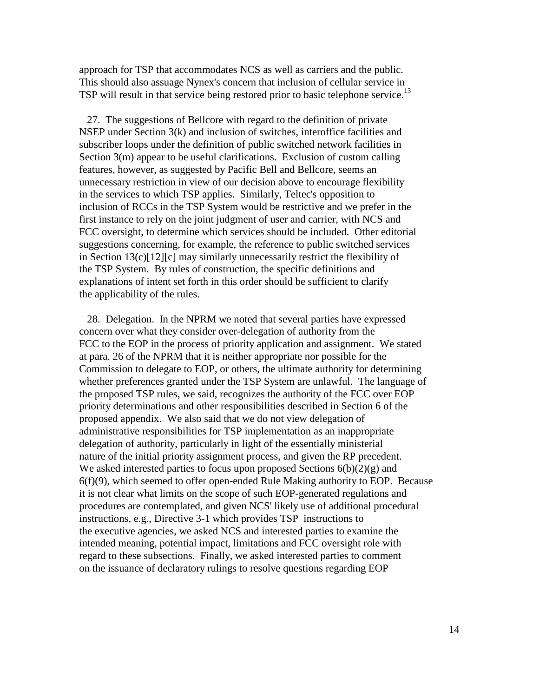approach for TSP that accommodates NCS as well as carriers and the public. This should also assuage Nynex's concern that inclusion of cellular service in TSP will result in that service being restored prior to basic telephone service.<sup>13</sup>

 27. The suggestions of Bellcore with regard to the definition of private NSEP under Section 3(k) and inclusion of switches, interoffice facilities and subscriber loops under the definition of public switched network facilities in Section 3(m) appear to be useful clarifications. Exclusion of custom calling features, however, as suggested by Pacific Bell and Bellcore, seems an unnecessary restriction in view of our decision above to encourage flexibility in the services to which TSP applies. Similarly, Teltec's opposition to inclusion of RCCs in the TSP System would be restrictive and we prefer in the first instance to rely on the joint judgment of user and carrier, with NCS and FCC oversight, to determine which services should be included. Other editorial suggestions concerning, for example, the reference to public switched services in Section 13(c)[12][c] may similarly unnecessarily restrict the flexibility of the TSP System. By rules of construction, the specific definitions and explanations of intent set forth in this order should be sufficient to clarify the applicability of the rules.

 28. Delegation. In the NPRM we noted that several parties have expressed concern over what they consider over-delegation of authority from the FCC to the EOP in the process of priority application and assignment. We stated at para. 26 of the NPRM that it is neither appropriate nor possible for the Commission to delegate to EOP, or others, the ultimate authority for determining whether preferences granted under the TSP System are unlawful. The language of the proposed TSP rules, we said, recognizes the authority of the FCC over EOP priority determinations and other responsibilities described in Section 6 of the proposed appendix. We also said that we do not view delegation of administrative responsibilities for TSP implementation as an inappropriate delegation of authority, particularly in light of the essentially ministerial nature of the initial priority assignment process, and given the RP precedent. We asked interested parties to focus upon proposed Sections  $6(b)(2)(g)$  and 6(f)(9), which seemed to offer open-ended Rule Making authority to EOP. Because it is not clear what limits on the scope of such EOP-generated regulations and procedures are contemplated, and given NCS' likely use of additional procedural instructions, e.g., Directive 3-1 which provides TSP instructions to the executive agencies, we asked NCS and interested parties to examine the intended meaning, potential impact, limitations and FCC oversight role with regard to these subsections. Finally, we asked interested parties to comment on the issuance of declaratory rulings to resolve questions regarding EOP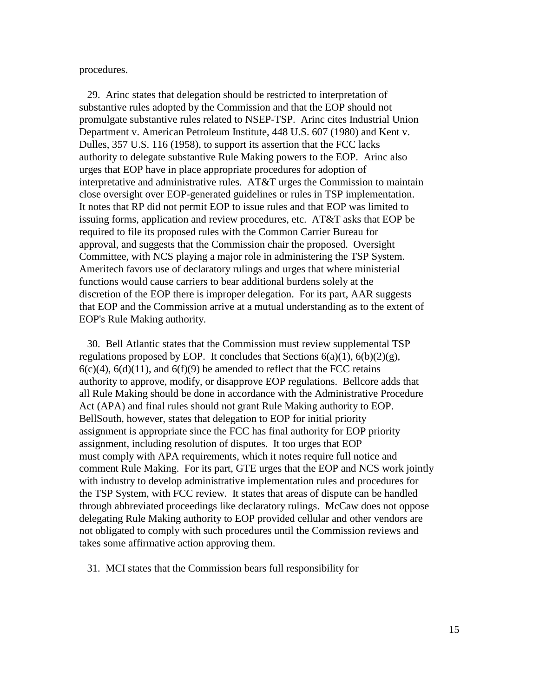procedures.

 29. Arinc states that delegation should be restricted to interpretation of substantive rules adopted by the Commission and that the EOP should not promulgate substantive rules related to NSEP-TSP. Arinc cites Industrial Union Department v. American Petroleum Institute, 448 U.S. 607 (1980) and Kent v. Dulles, 357 U.S. 116 (1958), to support its assertion that the FCC lacks authority to delegate substantive Rule Making powers to the EOP. Arinc also urges that EOP have in place appropriate procedures for adoption of interpretative and administrative rules. AT&T urges the Commission to maintain close oversight over EOP-generated guidelines or rules in TSP implementation. It notes that RP did not permit EOP to issue rules and that EOP was limited to issuing forms, application and review procedures, etc. AT&T asks that EOP be required to file its proposed rules with the Common Carrier Bureau for approval, and suggests that the Commission chair the proposed. Oversight Committee, with NCS playing a major role in administering the TSP System. Ameritech favors use of declaratory rulings and urges that where ministerial functions would cause carriers to bear additional burdens solely at the discretion of the EOP there is improper delegation. For its part, AAR suggests that EOP and the Commission arrive at a mutual understanding as to the extent of EOP's Rule Making authority.

 30. Bell Atlantic states that the Commission must review supplemental TSP regulations proposed by EOP. It concludes that Sections  $6(a)(1)$ ,  $6(b)(2)(g)$ ,  $6(c)(4)$ ,  $6(d)(11)$ , and  $6(f)(9)$  be amended to reflect that the FCC retains authority to approve, modify, or disapprove EOP regulations. Bellcore adds that all Rule Making should be done in accordance with the Administrative Procedure Act (APA) and final rules should not grant Rule Making authority to EOP. BellSouth, however, states that delegation to EOP for initial priority assignment is appropriate since the FCC has final authority for EOP priority assignment, including resolution of disputes. It too urges that EOP must comply with APA requirements, which it notes require full notice and comment Rule Making. For its part, GTE urges that the EOP and NCS work jointly with industry to develop administrative implementation rules and procedures for the TSP System, with FCC review. It states that areas of dispute can be handled through abbreviated proceedings like declaratory rulings. McCaw does not oppose delegating Rule Making authority to EOP provided cellular and other vendors are not obligated to comply with such procedures until the Commission reviews and takes some affirmative action approving them.

31. MCI states that the Commission bears full responsibility for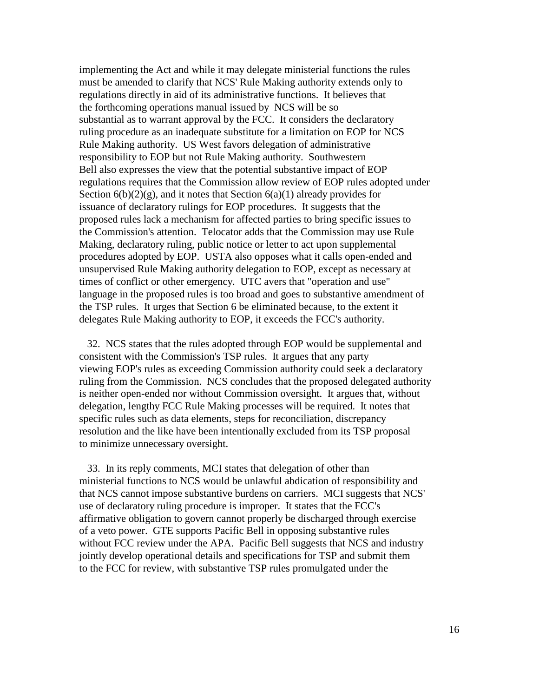implementing the Act and while it may delegate ministerial functions the rules must be amended to clarify that NCS' Rule Making authority extends only to regulations directly in aid of its administrative functions. It believes that the forthcoming operations manual issued by NCS will be so substantial as to warrant approval by the FCC. It considers the declaratory ruling procedure as an inadequate substitute for a limitation on EOP for NCS Rule Making authority. US West favors delegation of administrative responsibility to EOP but not Rule Making authority. Southwestern Bell also expresses the view that the potential substantive impact of EOP regulations requires that the Commission allow review of EOP rules adopted under Section  $6(b)(2)(g)$ , and it notes that Section  $6(a)(1)$  already provides for issuance of declaratory rulings for EOP procedures. It suggests that the proposed rules lack a mechanism for affected parties to bring specific issues to the Commission's attention. Telocator adds that the Commission may use Rule Making, declaratory ruling, public notice or letter to act upon supplemental procedures adopted by EOP. USTA also opposes what it calls open-ended and unsupervised Rule Making authority delegation to EOP, except as necessary at times of conflict or other emergency. UTC avers that "operation and use" language in the proposed rules is too broad and goes to substantive amendment of the TSP rules. It urges that Section 6 be eliminated because, to the extent it delegates Rule Making authority to EOP, it exceeds the FCC's authority.

 32. NCS states that the rules adopted through EOP would be supplemental and consistent with the Commission's TSP rules. It argues that any party viewing EOP's rules as exceeding Commission authority could seek a declaratory ruling from the Commission. NCS concludes that the proposed delegated authority is neither open-ended nor without Commission oversight. It argues that, without delegation, lengthy FCC Rule Making processes will be required. It notes that specific rules such as data elements, steps for reconciliation, discrepancy resolution and the like have been intentionally excluded from its TSP proposal to minimize unnecessary oversight.

 33. In its reply comments, MCI states that delegation of other than ministerial functions to NCS would be unlawful abdication of responsibility and that NCS cannot impose substantive burdens on carriers. MCI suggests that NCS' use of declaratory ruling procedure is improper. It states that the FCC's affirmative obligation to govern cannot properly be discharged through exercise of a veto power. GTE supports Pacific Bell in opposing substantive rules without FCC review under the APA. Pacific Bell suggests that NCS and industry jointly develop operational details and specifications for TSP and submit them to the FCC for review, with substantive TSP rules promulgated under the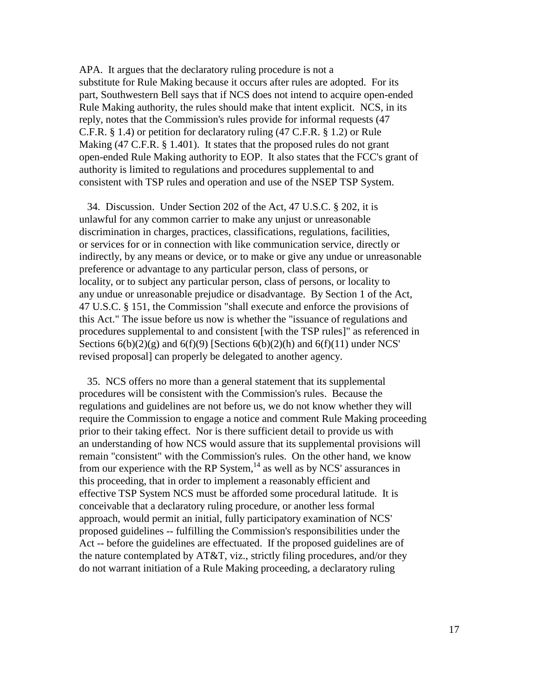APA. It argues that the declaratory ruling procedure is not a substitute for Rule Making because it occurs after rules are adopted. For its part, Southwestern Bell says that if NCS does not intend to acquire open-ended Rule Making authority, the rules should make that intent explicit. NCS, in its reply, notes that the Commission's rules provide for informal requests (47 C.F.R. § 1.4) or petition for declaratory ruling (47 C.F.R. § 1.2) or Rule Making (47 C.F.R. § 1.401). It states that the proposed rules do not grant open-ended Rule Making authority to EOP. It also states that the FCC's grant of authority is limited to regulations and procedures supplemental to and consistent with TSP rules and operation and use of the NSEP TSP System.

 34. Discussion. Under Section 202 of the Act, 47 U.S.C. § 202, it is unlawful for any common carrier to make any unjust or unreasonable discrimination in charges, practices, classifications, regulations, facilities, or services for or in connection with like communication service, directly or indirectly, by any means or device, or to make or give any undue or unreasonable preference or advantage to any particular person, class of persons, or locality, or to subject any particular person, class of persons, or locality to any undue or unreasonable prejudice or disadvantage. By Section 1 of the Act, 47 U.S.C. § 151, the Commission "shall execute and enforce the provisions of this Act." The issue before us now is whether the "issuance of regulations and procedures supplemental to and consistent [with the TSP rules]" as referenced in Sections  $6(b)(2)(g)$  and  $6(f)(9)$  [Sections  $6(b)(2)(h)$  and  $6(f)(11)$  under NCS' revised proposal] can properly be delegated to another agency.

 35. NCS offers no more than a general statement that its supplemental procedures will be consistent with the Commission's rules. Because the regulations and guidelines are not before us, we do not know whether they will require the Commission to engage a notice and comment Rule Making proceeding prior to their taking effect. Nor is there sufficient detail to provide us with an understanding of how NCS would assure that its supplemental provisions will remain "consistent" with the Commission's rules. On the other hand, we know from our experience with the RP System, $^{14}$  as well as by NCS' assurances in this proceeding, that in order to implement a reasonably efficient and effective TSP System NCS must be afforded some procedural latitude. It is conceivable that a declaratory ruling procedure, or another less formal approach, would permit an initial, fully participatory examination of NCS' proposed guidelines -- fulfilling the Commission's responsibilities under the Act -- before the guidelines are effectuated. If the proposed guidelines are of the nature contemplated by AT&T, viz., strictly filing procedures, and/or they do not warrant initiation of a Rule Making proceeding, a declaratory ruling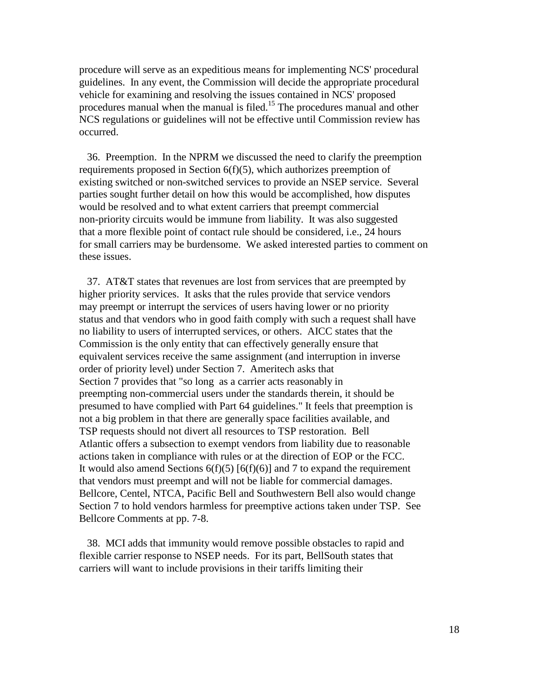procedure will serve as an expeditious means for implementing NCS' procedural guidelines. In any event, the Commission will decide the appropriate procedural vehicle for examining and resolving the issues contained in NCS' proposed procedures manual when the manual is filed.15 The procedures manual and other NCS regulations or guidelines will not be effective until Commission review has occurred.

 36. Preemption. In the NPRM we discussed the need to clarify the preemption requirements proposed in Section 6(f)(5), which authorizes preemption of existing switched or non-switched services to provide an NSEP service. Several parties sought further detail on how this would be accomplished, how disputes would be resolved and to what extent carriers that preempt commercial non-priority circuits would be immune from liability. It was also suggested that a more flexible point of contact rule should be considered, i.e., 24 hours for small carriers may be burdensome. We asked interested parties to comment on these issues.

 37. AT&T states that revenues are lost from services that are preempted by higher priority services. It asks that the rules provide that service vendors may preempt or interrupt the services of users having lower or no priority status and that vendors who in good faith comply with such a request shall have no liability to users of interrupted services, or others. AICC states that the Commission is the only entity that can effectively generally ensure that equivalent services receive the same assignment (and interruption in inverse order of priority level) under Section 7. Ameritech asks that Section 7 provides that "so long as a carrier acts reasonably in preempting non-commercial users under the standards therein, it should be presumed to have complied with Part 64 guidelines." It feels that preemption is not a big problem in that there are generally space facilities available, and TSP requests should not divert all resources to TSP restoration. Bell Atlantic offers a subsection to exempt vendors from liability due to reasonable actions taken in compliance with rules or at the direction of EOP or the FCC. It would also amend Sections  $6(f)(5) [6(f)(6)]$  and 7 to expand the requirement that vendors must preempt and will not be liable for commercial damages. Bellcore, Centel, NTCA, Pacific Bell and Southwestern Bell also would change Section 7 to hold vendors harmless for preemptive actions taken under TSP. See Bellcore Comments at pp. 7-8.

 38. MCI adds that immunity would remove possible obstacles to rapid and flexible carrier response to NSEP needs. For its part, BellSouth states that carriers will want to include provisions in their tariffs limiting their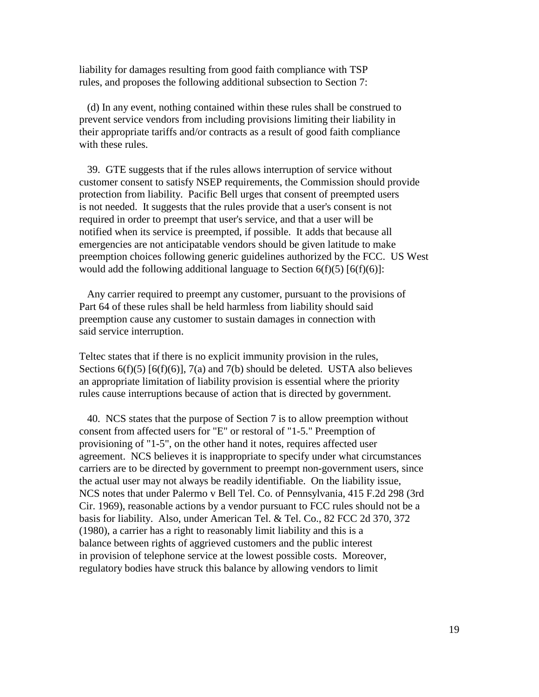liability for damages resulting from good faith compliance with TSP rules, and proposes the following additional subsection to Section 7:

 (d) In any event, nothing contained within these rules shall be construed to prevent service vendors from including provisions limiting their liability in their appropriate tariffs and/or contracts as a result of good faith compliance with these rules.

 39. GTE suggests that if the rules allows interruption of service without customer consent to satisfy NSEP requirements, the Commission should provide protection from liability. Pacific Bell urges that consent of preempted users is not needed. It suggests that the rules provide that a user's consent is not required in order to preempt that user's service, and that a user will be notified when its service is preempted, if possible. It adds that because all emergencies are not anticipatable vendors should be given latitude to make preemption choices following generic guidelines authorized by the FCC. US West would add the following additional language to Section  $6(f)(5)$  [ $6(f)(6)$ ]:

 Any carrier required to preempt any customer, pursuant to the provisions of Part 64 of these rules shall be held harmless from liability should said preemption cause any customer to sustain damages in connection with said service interruption.

Teltec states that if there is no explicit immunity provision in the rules, Sections  $6(f)(5)$  [ $6(f)(6)$ ],  $7(a)$  and  $7(b)$  should be deleted. USTA also believes an appropriate limitation of liability provision is essential where the priority rules cause interruptions because of action that is directed by government.

 40. NCS states that the purpose of Section 7 is to allow preemption without consent from affected users for "E" or restoral of "1-5." Preemption of provisioning of "1-5", on the other hand it notes, requires affected user agreement. NCS believes it is inappropriate to specify under what circumstances carriers are to be directed by government to preempt non-government users, since the actual user may not always be readily identifiable. On the liability issue, NCS notes that under Palermo v Bell Tel. Co. of Pennsylvania, 415 F.2d 298 (3rd Cir. 1969), reasonable actions by a vendor pursuant to FCC rules should not be a basis for liability. Also, under American Tel. & Tel. Co., 82 FCC 2d 370, 372 (1980), a carrier has a right to reasonably limit liability and this is a balance between rights of aggrieved customers and the public interest in provision of telephone service at the lowest possible costs. Moreover, regulatory bodies have struck this balance by allowing vendors to limit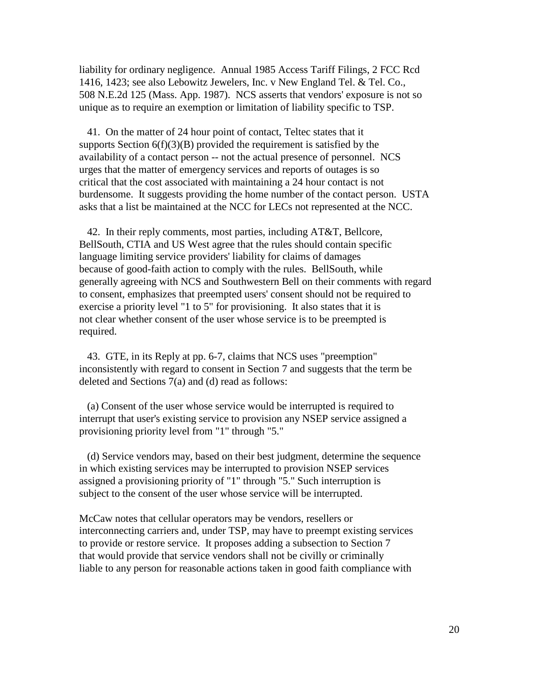liability for ordinary negligence. Annual 1985 Access Tariff Filings, 2 FCC Rcd 1416, 1423; see also Lebowitz Jewelers, Inc. v New England Tel. & Tel. Co., 508 N.E.2d 125 (Mass. App. 1987). NCS asserts that vendors' exposure is not so unique as to require an exemption or limitation of liability specific to TSP.

 41. On the matter of 24 hour point of contact, Teltec states that it supports Section  $6(f)(3)(B)$  provided the requirement is satisfied by the availability of a contact person -- not the actual presence of personnel. NCS urges that the matter of emergency services and reports of outages is so critical that the cost associated with maintaining a 24 hour contact is not burdensome. It suggests providing the home number of the contact person. USTA asks that a list be maintained at the NCC for LECs not represented at the NCC.

 42. In their reply comments, most parties, including AT&T, Bellcore, BellSouth, CTIA and US West agree that the rules should contain specific language limiting service providers' liability for claims of damages because of good-faith action to comply with the rules. BellSouth, while generally agreeing with NCS and Southwestern Bell on their comments with regard to consent, emphasizes that preempted users' consent should not be required to exercise a priority level "1 to 5" for provisioning. It also states that it is not clear whether consent of the user whose service is to be preempted is required.

 43. GTE, in its Reply at pp. 6-7, claims that NCS uses "preemption" inconsistently with regard to consent in Section 7 and suggests that the term be deleted and Sections 7(a) and (d) read as follows:

 (a) Consent of the user whose service would be interrupted is required to interrupt that user's existing service to provision any NSEP service assigned a provisioning priority level from "1" through "5."

 (d) Service vendors may, based on their best judgment, determine the sequence in which existing services may be interrupted to provision NSEP services assigned a provisioning priority of "1" through "5." Such interruption is subject to the consent of the user whose service will be interrupted.

McCaw notes that cellular operators may be vendors, resellers or interconnecting carriers and, under TSP, may have to preempt existing services to provide or restore service. It proposes adding a subsection to Section 7 that would provide that service vendors shall not be civilly or criminally liable to any person for reasonable actions taken in good faith compliance with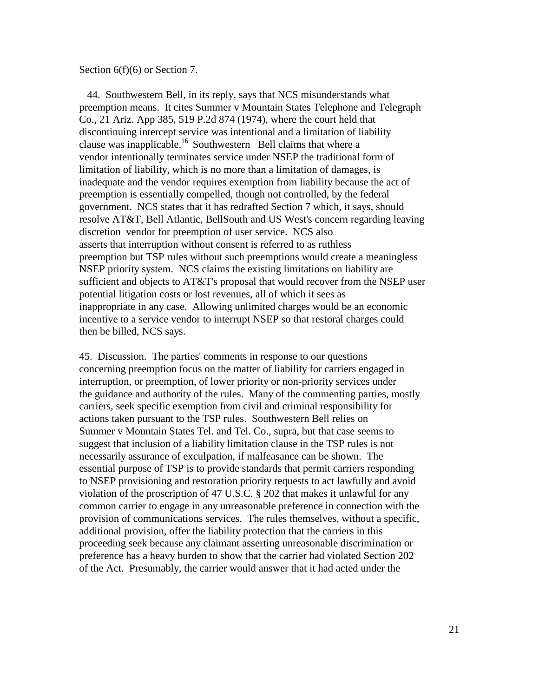#### Section 6(f)(6) or Section 7.

 44. Southwestern Bell, in its reply, says that NCS misunderstands what preemption means. It cites Summer v Mountain States Telephone and Telegraph Co., 21 Ariz. App 385, 519 P.2d 874 (1974), where the court held that discontinuing intercept service was intentional and a limitation of liability clause was inapplicable.16 Southwestern Bell claims that where a vendor intentionally terminates service under NSEP the traditional form of limitation of liability, which is no more than a limitation of damages, is inadequate and the vendor requires exemption from liability because the act of preemption is essentially compelled, though not controlled, by the federal government. NCS states that it has redrafted Section 7 which, it says, should resolve AT&T, Bell Atlantic, BellSouth and US West's concern regarding leaving discretion vendor for preemption of user service. NCS also asserts that interruption without consent is referred to as ruthless preemption but TSP rules without such preemptions would create a meaningless NSEP priority system. NCS claims the existing limitations on liability are sufficient and objects to AT&T's proposal that would recover from the NSEP user potential litigation costs or lost revenues, all of which it sees as inappropriate in any case. Allowing unlimited charges would be an economic incentive to a service vendor to interrupt NSEP so that restoral charges could then be billed, NCS says.

45. Discussion. The parties' comments in response to our questions concerning preemption focus on the matter of liability for carriers engaged in interruption, or preemption, of lower priority or non-priority services under the guidance and authority of the rules. Many of the commenting parties, mostly carriers, seek specific exemption from civil and criminal responsibility for actions taken pursuant to the TSP rules. Southwestern Bell relies on Summer v Mountain States Tel. and Tel. Co., supra, but that case seems to suggest that inclusion of a liability limitation clause in the TSP rules is not necessarily assurance of exculpation, if malfeasance can be shown. The essential purpose of TSP is to provide standards that permit carriers responding to NSEP provisioning and restoration priority requests to act lawfully and avoid violation of the proscription of 47 U.S.C. § 202 that makes it unlawful for any common carrier to engage in any unreasonable preference in connection with the provision of communications services. The rules themselves, without a specific, additional provision, offer the liability protection that the carriers in this proceeding seek because any claimant asserting unreasonable discrimination or preference has a heavy burden to show that the carrier had violated Section 202 of the Act. Presumably, the carrier would answer that it had acted under the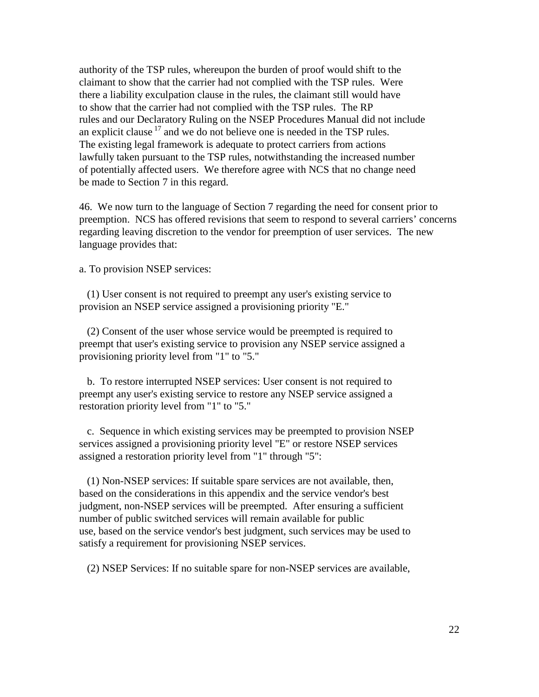authority of the TSP rules, whereupon the burden of proof would shift to the claimant to show that the carrier had not complied with the TSP rules. Were there a liability exculpation clause in the rules, the claimant still would have to show that the carrier had not complied with the TSP rules. The RP rules and our Declaratory Ruling on the NSEP Procedures Manual did not include an explicit clause  $17$  and we do not believe one is needed in the TSP rules. The existing legal framework is adequate to protect carriers from actions lawfully taken pursuant to the TSP rules, notwithstanding the increased number of potentially affected users. We therefore agree with NCS that no change need be made to Section 7 in this regard.

46. We now turn to the language of Section 7 regarding the need for consent prior to preemption. NCS has offered revisions that seem to respond to several carriers' concerns regarding leaving discretion to the vendor for preemption of user services. The new language provides that:

a. To provision NSEP services:

 (1) User consent is not required to preempt any user's existing service to provision an NSEP service assigned a provisioning priority "E."

 (2) Consent of the user whose service would be preempted is required to preempt that user's existing service to provision any NSEP service assigned a provisioning priority level from "1" to "5."

 b. To restore interrupted NSEP services: User consent is not required to preempt any user's existing service to restore any NSEP service assigned a restoration priority level from "1" to "5."

 c. Sequence in which existing services may be preempted to provision NSEP services assigned a provisioning priority level "E" or restore NSEP services assigned a restoration priority level from "1" through "5":

 (1) Non-NSEP services: If suitable spare services are not available, then, based on the considerations in this appendix and the service vendor's best judgment, non-NSEP services will be preempted. After ensuring a sufficient number of public switched services will remain available for public use, based on the service vendor's best judgment, such services may be used to satisfy a requirement for provisioning NSEP services.

(2) NSEP Services: If no suitable spare for non-NSEP services are available,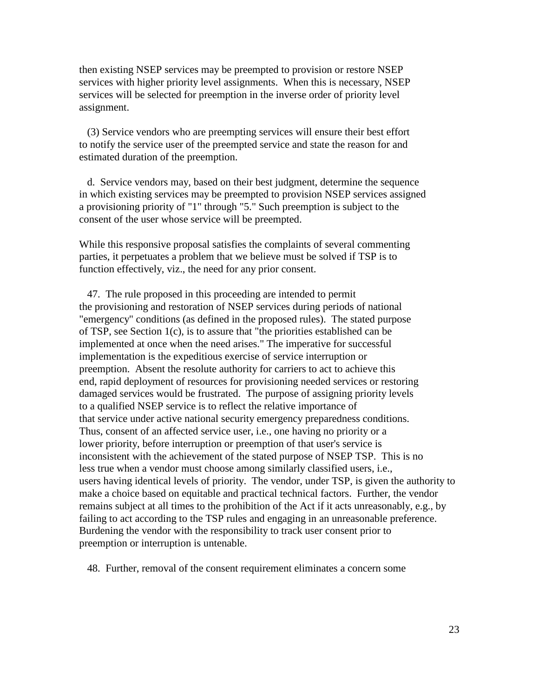then existing NSEP services may be preempted to provision or restore NSEP services with higher priority level assignments. When this is necessary, NSEP services will be selected for preemption in the inverse order of priority level assignment.

 (3) Service vendors who are preempting services will ensure their best effort to notify the service user of the preempted service and state the reason for and estimated duration of the preemption.

 d. Service vendors may, based on their best judgment, determine the sequence in which existing services may be preempted to provision NSEP services assigned a provisioning priority of "1" through "5." Such preemption is subject to the consent of the user whose service will be preempted.

While this responsive proposal satisfies the complaints of several commenting parties, it perpetuates a problem that we believe must be solved if TSP is to function effectively, viz., the need for any prior consent.

 47. The rule proposed in this proceeding are intended to permit the provisioning and restoration of NSEP services during periods of national "emergency" conditions (as defined in the proposed rules). The stated purpose of TSP, see Section 1(c), is to assure that "the priorities established can be implemented at once when the need arises." The imperative for successful implementation is the expeditious exercise of service interruption or preemption. Absent the resolute authority for carriers to act to achieve this end, rapid deployment of resources for provisioning needed services or restoring damaged services would be frustrated. The purpose of assigning priority levels to a qualified NSEP service is to reflect the relative importance of that service under active national security emergency preparedness conditions. Thus, consent of an affected service user, i.e., one having no priority or a lower priority, before interruption or preemption of that user's service is inconsistent with the achievement of the stated purpose of NSEP TSP. This is no less true when a vendor must choose among similarly classified users, i.e., users having identical levels of priority. The vendor, under TSP, is given the authority to make a choice based on equitable and practical technical factors. Further, the vendor remains subject at all times to the prohibition of the Act if it acts unreasonably, e.g., by failing to act according to the TSP rules and engaging in an unreasonable preference. Burdening the vendor with the responsibility to track user consent prior to preemption or interruption is untenable.

48. Further, removal of the consent requirement eliminates a concern some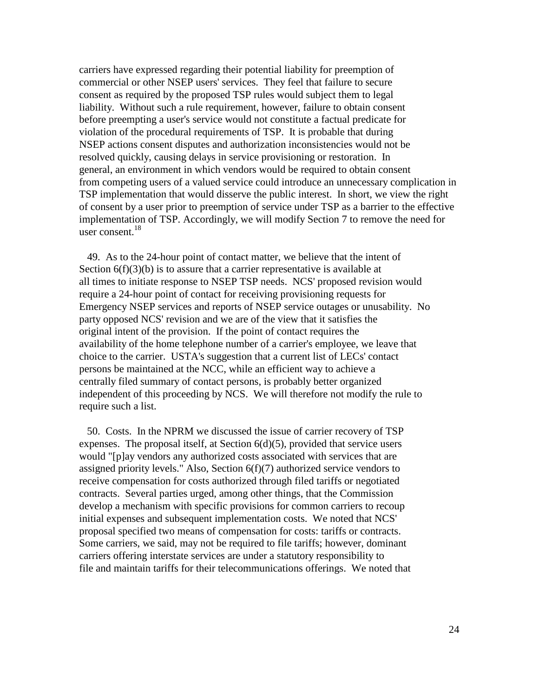carriers have expressed regarding their potential liability for preemption of commercial or other NSEP users' services. They feel that failure to secure consent as required by the proposed TSP rules would subject them to legal liability. Without such a rule requirement, however, failure to obtain consent before preempting a user's service would not constitute a factual predicate for violation of the procedural requirements of TSP. It is probable that during NSEP actions consent disputes and authorization inconsistencies would not be resolved quickly, causing delays in service provisioning or restoration. In general, an environment in which vendors would be required to obtain consent from competing users of a valued service could introduce an unnecessary complication in TSP implementation that would disserve the public interest. In short, we view the right of consent by a user prior to preemption of service under TSP as a barrier to the effective implementation of TSP. Accordingly, we will modify Section 7 to remove the need for user consent. $^{18}$ 

 49. As to the 24-hour point of contact matter, we believe that the intent of Section  $6(f)(3)(b)$  is to assure that a carrier representative is available at all times to initiate response to NSEP TSP needs. NCS' proposed revision would require a 24-hour point of contact for receiving provisioning requests for Emergency NSEP services and reports of NSEP service outages or unusability. No party opposed NCS' revision and we are of the view that it satisfies the original intent of the provision. If the point of contact requires the availability of the home telephone number of a carrier's employee, we leave that choice to the carrier. USTA's suggestion that a current list of LECs' contact persons be maintained at the NCC, while an efficient way to achieve a centrally filed summary of contact persons, is probably better organized independent of this proceeding by NCS. We will therefore not modify the rule to require such a list.

 50. Costs. In the NPRM we discussed the issue of carrier recovery of TSP expenses. The proposal itself, at Section  $6(d)(5)$ , provided that service users would "[p]ay vendors any authorized costs associated with services that are assigned priority levels." Also, Section 6(f)(7) authorized service vendors to receive compensation for costs authorized through filed tariffs or negotiated contracts. Several parties urged, among other things, that the Commission develop a mechanism with specific provisions for common carriers to recoup initial expenses and subsequent implementation costs. We noted that NCS' proposal specified two means of compensation for costs: tariffs or contracts. Some carriers, we said, may not be required to file tariffs; however, dominant carriers offering interstate services are under a statutory responsibility to file and maintain tariffs for their telecommunications offerings. We noted that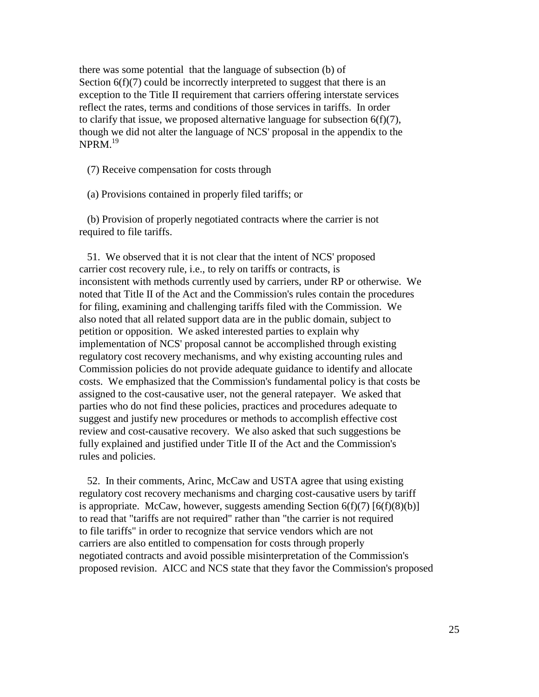there was some potential that the language of subsection (b) of Section  $6(f)(7)$  could be incorrectly interpreted to suggest that there is an exception to the Title II requirement that carriers offering interstate services reflect the rates, terms and conditions of those services in tariffs. In order to clarify that issue, we proposed alternative language for subsection 6(f)(7), though we did not alter the language of NCS' proposal in the appendix to the  $NPRM$ <sup>19</sup>

(7) Receive compensation for costs through

(a) Provisions contained in properly filed tariffs; or

 (b) Provision of properly negotiated contracts where the carrier is not required to file tariffs.

 51. We observed that it is not clear that the intent of NCS' proposed carrier cost recovery rule, i.e., to rely on tariffs or contracts, is inconsistent with methods currently used by carriers, under RP or otherwise. We noted that Title II of the Act and the Commission's rules contain the procedures for filing, examining and challenging tariffs filed with the Commission. We also noted that all related support data are in the public domain, subject to petition or opposition. We asked interested parties to explain why implementation of NCS' proposal cannot be accomplished through existing regulatory cost recovery mechanisms, and why existing accounting rules and Commission policies do not provide adequate guidance to identify and allocate costs. We emphasized that the Commission's fundamental policy is that costs be assigned to the cost-causative user, not the general ratepayer. We asked that parties who do not find these policies, practices and procedures adequate to suggest and justify new procedures or methods to accomplish effective cost review and cost-causative recovery. We also asked that such suggestions be fully explained and justified under Title II of the Act and the Commission's rules and policies.

 52. In their comments, Arinc, McCaw and USTA agree that using existing regulatory cost recovery mechanisms and charging cost-causative users by tariff is appropriate. McCaw, however, suggests amending Section  $6(f)(7) [6(f)(8)(b)]$ to read that "tariffs are not required" rather than "the carrier is not required to file tariffs" in order to recognize that service vendors which are not carriers are also entitled to compensation for costs through properly negotiated contracts and avoid possible misinterpretation of the Commission's proposed revision. AICC and NCS state that they favor the Commission's proposed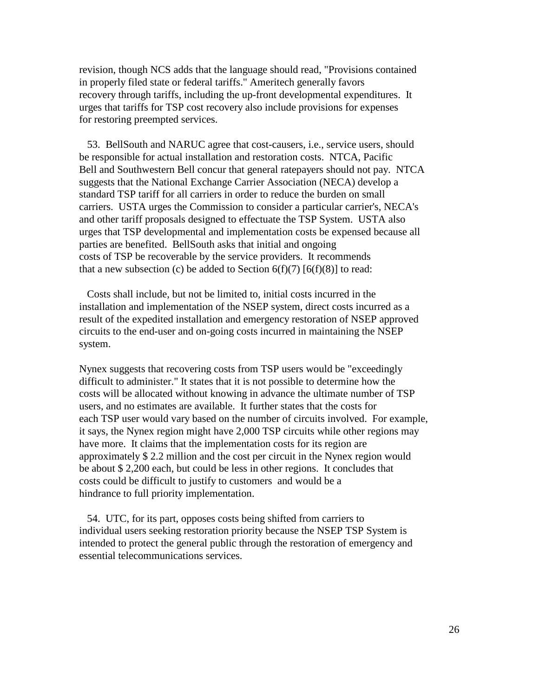revision, though NCS adds that the language should read, "Provisions contained in properly filed state or federal tariffs." Ameritech generally favors recovery through tariffs, including the up-front developmental expenditures. It urges that tariffs for TSP cost recovery also include provisions for expenses for restoring preempted services.

 53. BellSouth and NARUC agree that cost-causers, i.e., service users, should be responsible for actual installation and restoration costs. NTCA, Pacific Bell and Southwestern Bell concur that general ratepayers should not pay. NTCA suggests that the National Exchange Carrier Association (NECA) develop a standard TSP tariff for all carriers in order to reduce the burden on small carriers. USTA urges the Commission to consider a particular carrier's, NECA's and other tariff proposals designed to effectuate the TSP System. USTA also urges that TSP developmental and implementation costs be expensed because all parties are benefited. BellSouth asks that initial and ongoing costs of TSP be recoverable by the service providers. It recommends that a new subsection (c) be added to Section  $6(f)(7)$  [ $6(f)(8)$ ] to read:

 Costs shall include, but not be limited to, initial costs incurred in the installation and implementation of the NSEP system, direct costs incurred as a result of the expedited installation and emergency restoration of NSEP approved circuits to the end-user and on-going costs incurred in maintaining the NSEP system.

Nynex suggests that recovering costs from TSP users would be "exceedingly difficult to administer." It states that it is not possible to determine how the costs will be allocated without knowing in advance the ultimate number of TSP users, and no estimates are available. It further states that the costs for each TSP user would vary based on the number of circuits involved. For example, it says, the Nynex region might have 2,000 TSP circuits while other regions may have more. It claims that the implementation costs for its region are approximately \$ 2.2 million and the cost per circuit in the Nynex region would be about \$ 2,200 each, but could be less in other regions. It concludes that costs could be difficult to justify to customers and would be a hindrance to full priority implementation.

 54. UTC, for its part, opposes costs being shifted from carriers to individual users seeking restoration priority because the NSEP TSP System is intended to protect the general public through the restoration of emergency and essential telecommunications services.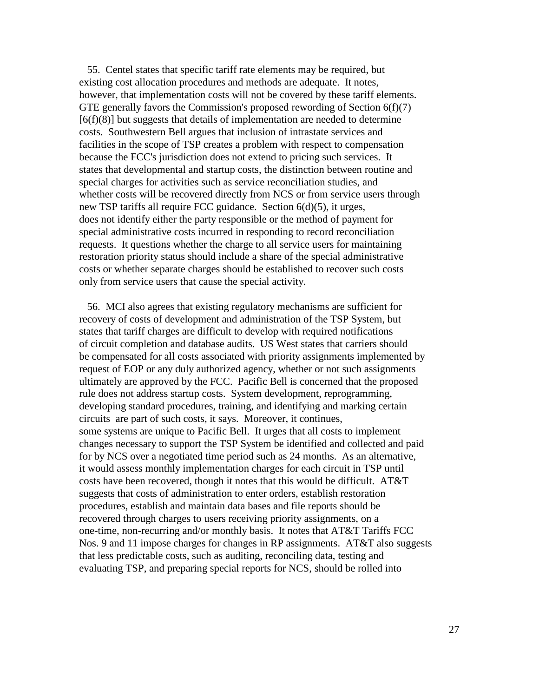55. Centel states that specific tariff rate elements may be required, but existing cost allocation procedures and methods are adequate. It notes, however, that implementation costs will not be covered by these tariff elements. GTE generally favors the Commission's proposed rewording of Section  $6(f)(7)$  $[6(f)(8)]$  but suggests that details of implementation are needed to determine costs. Southwestern Bell argues that inclusion of intrastate services and facilities in the scope of TSP creates a problem with respect to compensation because the FCC's jurisdiction does not extend to pricing such services. It states that developmental and startup costs, the distinction between routine and special charges for activities such as service reconciliation studies, and whether costs will be recovered directly from NCS or from service users through new TSP tariffs all require FCC guidance. Section 6(d)(5), it urges, does not identify either the party responsible or the method of payment for special administrative costs incurred in responding to record reconciliation requests. It questions whether the charge to all service users for maintaining restoration priority status should include a share of the special administrative costs or whether separate charges should be established to recover such costs only from service users that cause the special activity.

 56. MCI also agrees that existing regulatory mechanisms are sufficient for recovery of costs of development and administration of the TSP System, but states that tariff charges are difficult to develop with required notifications of circuit completion and database audits. US West states that carriers should be compensated for all costs associated with priority assignments implemented by request of EOP or any duly authorized agency, whether or not such assignments ultimately are approved by the FCC. Pacific Bell is concerned that the proposed rule does not address startup costs. System development, reprogramming, developing standard procedures, training, and identifying and marking certain circuits are part of such costs, it says. Moreover, it continues, some systems are unique to Pacific Bell. It urges that all costs to implement changes necessary to support the TSP System be identified and collected and paid for by NCS over a negotiated time period such as 24 months. As an alternative, it would assess monthly implementation charges for each circuit in TSP until costs have been recovered, though it notes that this would be difficult. AT&T suggests that costs of administration to enter orders, establish restoration procedures, establish and maintain data bases and file reports should be recovered through charges to users receiving priority assignments, on a one-time, non-recurring and/or monthly basis. It notes that AT&T Tariffs FCC Nos. 9 and 11 impose charges for changes in RP assignments. AT&T also suggests that less predictable costs, such as auditing, reconciling data, testing and evaluating TSP, and preparing special reports for NCS, should be rolled into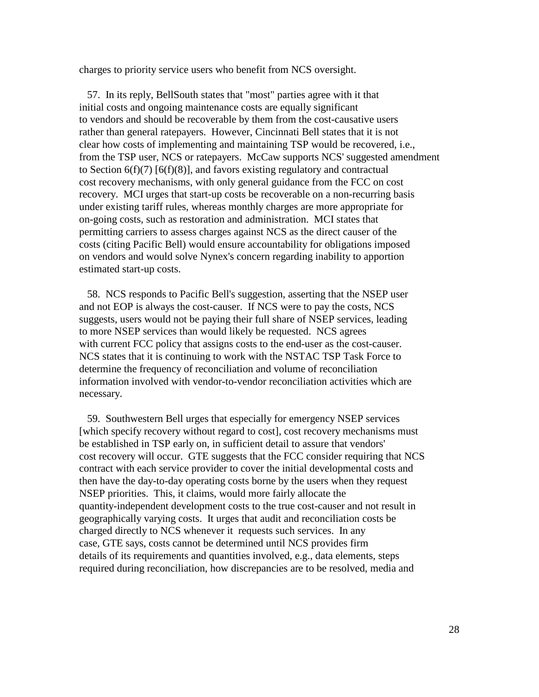charges to priority service users who benefit from NCS oversight.

 57. In its reply, BellSouth states that "most" parties agree with it that initial costs and ongoing maintenance costs are equally significant to vendors and should be recoverable by them from the cost-causative users rather than general ratepayers. However, Cincinnati Bell states that it is not clear how costs of implementing and maintaining TSP would be recovered, i.e., from the TSP user, NCS or ratepayers. McCaw supports NCS' suggested amendment to Section  $6(f)(7)$   $[6(f)(8)]$ , and favors existing regulatory and contractual cost recovery mechanisms, with only general guidance from the FCC on cost recovery. MCI urges that start-up costs be recoverable on a non-recurring basis under existing tariff rules, whereas monthly charges are more appropriate for on-going costs, such as restoration and administration. MCI states that permitting carriers to assess charges against NCS as the direct causer of the costs (citing Pacific Bell) would ensure accountability for obligations imposed on vendors and would solve Nynex's concern regarding inability to apportion estimated start-up costs.

 58. NCS responds to Pacific Bell's suggestion, asserting that the NSEP user and not EOP is always the cost-causer. If NCS were to pay the costs, NCS suggests, users would not be paying their full share of NSEP services, leading to more NSEP services than would likely be requested. NCS agrees with current FCC policy that assigns costs to the end-user as the cost-causer. NCS states that it is continuing to work with the NSTAC TSP Task Force to determine the frequency of reconciliation and volume of reconciliation information involved with vendor-to-vendor reconciliation activities which are necessary.

 59. Southwestern Bell urges that especially for emergency NSEP services [which specify recovery without regard to cost], cost recovery mechanisms must be established in TSP early on, in sufficient detail to assure that vendors' cost recovery will occur. GTE suggests that the FCC consider requiring that NCS contract with each service provider to cover the initial developmental costs and then have the day-to-day operating costs borne by the users when they request NSEP priorities. This, it claims, would more fairly allocate the quantity-independent development costs to the true cost-causer and not result in geographically varying costs. It urges that audit and reconciliation costs be charged directly to NCS whenever it requests such services. In any case, GTE says, costs cannot be determined until NCS provides firm details of its requirements and quantities involved, e.g., data elements, steps required during reconciliation, how discrepancies are to be resolved, media and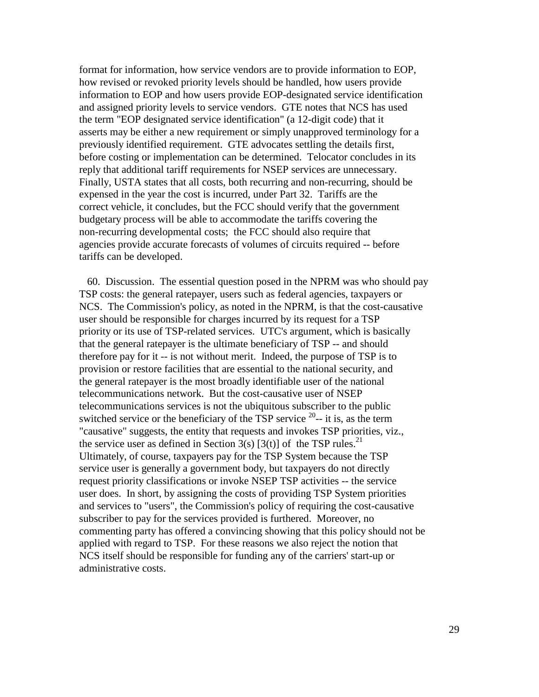format for information, how service vendors are to provide information to EOP, how revised or revoked priority levels should be handled, how users provide information to EOP and how users provide EOP-designated service identification and assigned priority levels to service vendors. GTE notes that NCS has used the term "EOP designated service identification" (a 12-digit code) that it asserts may be either a new requirement or simply unapproved terminology for a previously identified requirement. GTE advocates settling the details first, before costing or implementation can be determined. Telocator concludes in its reply that additional tariff requirements for NSEP services are unnecessary. Finally, USTA states that all costs, both recurring and non-recurring, should be expensed in the year the cost is incurred, under Part 32. Tariffs are the correct vehicle, it concludes, but the FCC should verify that the government budgetary process will be able to accommodate the tariffs covering the non-recurring developmental costs; the FCC should also require that agencies provide accurate forecasts of volumes of circuits required -- before tariffs can be developed.

 60. Discussion. The essential question posed in the NPRM was who should pay TSP costs: the general ratepayer, users such as federal agencies, taxpayers or NCS. The Commission's policy, as noted in the NPRM, is that the cost-causative user should be responsible for charges incurred by its request for a TSP priority or its use of TSP-related services. UTC's argument, which is basically that the general ratepayer is the ultimate beneficiary of TSP -- and should therefore pay for it -- is not without merit. Indeed, the purpose of TSP is to provision or restore facilities that are essential to the national security, and the general ratepayer is the most broadly identifiable user of the national telecommunications network. But the cost-causative user of NSEP telecommunications services is not the ubiquitous subscriber to the public switched service or the beneficiary of the TSP service  $^{20}$ -- it is, as the term "causative" suggests, the entity that requests and invokes TSP priorities, viz., the service user as defined in Section 3(s) [3(t)] of the TSP rules.<sup>21</sup> Ultimately, of course, taxpayers pay for the TSP System because the TSP service user is generally a government body, but taxpayers do not directly request priority classifications or invoke NSEP TSP activities -- the service user does. In short, by assigning the costs of providing TSP System priorities and services to "users", the Commission's policy of requiring the cost-causative subscriber to pay for the services provided is furthered. Moreover, no commenting party has offered a convincing showing that this policy should not be applied with regard to TSP. For these reasons we also reject the notion that NCS itself should be responsible for funding any of the carriers' start-up or administrative costs.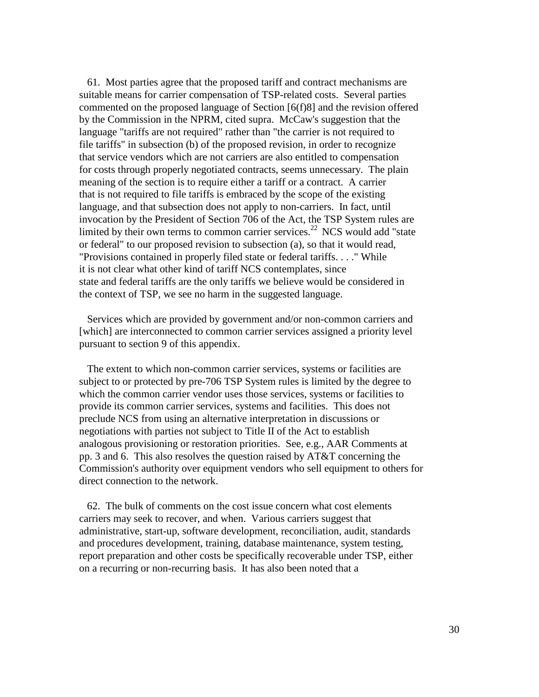61. Most parties agree that the proposed tariff and contract mechanisms are suitable means for carrier compensation of TSP-related costs. Several parties commented on the proposed language of Section [6(f)8] and the revision offered by the Commission in the NPRM, cited supra. McCaw's suggestion that the language "tariffs are not required" rather than "the carrier is not required to file tariffs" in subsection (b) of the proposed revision, in order to recognize that service vendors which are not carriers are also entitled to compensation for costs through properly negotiated contracts, seems unnecessary. The plain meaning of the section is to require either a tariff or a contract. A carrier that is not required to file tariffs is embraced by the scope of the existing language, and that subsection does not apply to non-carriers. In fact, until invocation by the President of Section 706 of the Act, the TSP System rules are limited by their own terms to common carrier services.<sup>22</sup> NCS would add "state" or federal" to our proposed revision to subsection (a), so that it would read, "Provisions contained in properly filed state or federal tariffs. . . ." While it is not clear what other kind of tariff NCS contemplates, since state and federal tariffs are the only tariffs we believe would be considered in the context of TSP, we see no harm in the suggested language.

 Services which are provided by government and/or non-common carriers and [which] are interconnected to common carrier services assigned a priority level pursuant to section 9 of this appendix.

 The extent to which non-common carrier services, systems or facilities are subject to or protected by pre-706 TSP System rules is limited by the degree to which the common carrier vendor uses those services, systems or facilities to provide its common carrier services, systems and facilities. This does not preclude NCS from using an alternative interpretation in discussions or negotiations with parties not subject to Title II of the Act to establish analogous provisioning or restoration priorities. See, e.g., AAR Comments at pp. 3 and 6. This also resolves the question raised by AT&T concerning the Commission's authority over equipment vendors who sell equipment to others for direct connection to the network.

 62. The bulk of comments on the cost issue concern what cost elements carriers may seek to recover, and when. Various carriers suggest that administrative, start-up, software development, reconciliation, audit, standards and procedures development, training, database maintenance, system testing, report preparation and other costs be specifically recoverable under TSP, either on a recurring or non-recurring basis. It has also been noted that a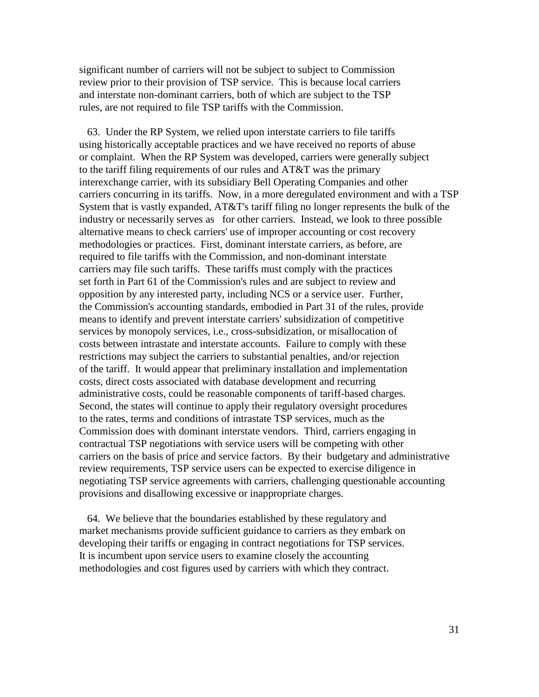significant number of carriers will not be subject to subject to Commission review prior to their provision of TSP service. This is because local carriers and interstate non-dominant carriers, both of which are subject to the TSP rules, are not required to file TSP tariffs with the Commission.

 63. Under the RP System, we relied upon interstate carriers to file tariffs using historically acceptable practices and we have received no reports of abuse or complaint. When the RP System was developed, carriers were generally subject to the tariff filing requirements of our rules and AT&T was the primary interexchange carrier, with its subsidiary Bell Operating Companies and other carriers concurring in its tariffs. Now, in a more deregulated environment and with a TSP System that is vastly expanded, AT&T's tariff filing no longer represents the bulk of the industry or necessarily serves as for other carriers. Instead, we look to three possible alternative means to check carriers' use of improper accounting or cost recovery methodologies or practices. First, dominant interstate carriers, as before, are required to file tariffs with the Commission, and non-dominant interstate carriers may file such tariffs. These tariffs must comply with the practices set forth in Part 61 of the Commission's rules and are subject to review and opposition by any interested party, including NCS or a service user. Further, the Commission's accounting standards, embodied in Part 31 of the rules, provide means to identify and prevent interstate carriers' subsidization of competitive services by monopoly services, i.e., cross-subsidization, or misallocation of costs between intrastate and interstate accounts. Failure to comply with these restrictions may subject the carriers to substantial penalties, and/or rejection of the tariff. It would appear that preliminary installation and implementation costs, direct costs associated with database development and recurring administrative costs, could be reasonable components of tariff-based charges. Second, the states will continue to apply their regulatory oversight procedures to the rates, terms and conditions of intrastate TSP services, much as the Commission does with dominant interstate vendors. Third, carriers engaging in contractual TSP negotiations with service users will be competing with other carriers on the basis of price and service factors. By their budgetary and administrative review requirements, TSP service users can be expected to exercise diligence in negotiating TSP service agreements with carriers, challenging questionable accounting provisions and disallowing excessive or inappropriate charges.

 64. We believe that the boundaries established by these regulatory and market mechanisms provide sufficient guidance to carriers as they embark on developing their tariffs or engaging in contract negotiations for TSP services. It is incumbent upon service users to examine closely the accounting methodologies and cost figures used by carriers with which they contract.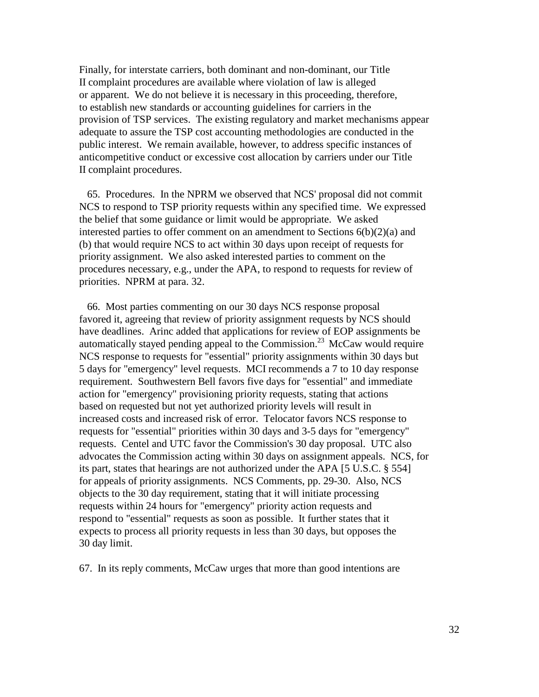Finally, for interstate carriers, both dominant and non-dominant, our Title II complaint procedures are available where violation of law is alleged or apparent. We do not believe it is necessary in this proceeding, therefore, to establish new standards or accounting guidelines for carriers in the provision of TSP services. The existing regulatory and market mechanisms appear adequate to assure the TSP cost accounting methodologies are conducted in the public interest. We remain available, however, to address specific instances of anticompetitive conduct or excessive cost allocation by carriers under our Title II complaint procedures.

 65. Procedures. In the NPRM we observed that NCS' proposal did not commit NCS to respond to TSP priority requests within any specified time. We expressed the belief that some guidance or limit would be appropriate. We asked interested parties to offer comment on an amendment to Sections  $6(b)(2)(a)$  and (b) that would require NCS to act within 30 days upon receipt of requests for priority assignment. We also asked interested parties to comment on the procedures necessary, e.g., under the APA, to respond to requests for review of priorities. NPRM at para. 32.

 66. Most parties commenting on our 30 days NCS response proposal favored it, agreeing that review of priority assignment requests by NCS should have deadlines. Arinc added that applications for review of EOP assignments be automatically stayed pending appeal to the Commission.<sup>23</sup> McCaw would require NCS response to requests for "essential" priority assignments within 30 days but 5 days for "emergency" level requests. MCI recommends a 7 to 10 day response requirement. Southwestern Bell favors five days for "essential" and immediate action for "emergency" provisioning priority requests, stating that actions based on requested but not yet authorized priority levels will result in increased costs and increased risk of error. Telocator favors NCS response to requests for "essential" priorities within 30 days and 3-5 days for "emergency" requests. Centel and UTC favor the Commission's 30 day proposal. UTC also advocates the Commission acting within 30 days on assignment appeals. NCS, for its part, states that hearings are not authorized under the APA [5 U.S.C. § 554] for appeals of priority assignments. NCS Comments, pp. 29-30. Also, NCS objects to the 30 day requirement, stating that it will initiate processing requests within 24 hours for "emergency" priority action requests and respond to "essential" requests as soon as possible. It further states that it expects to process all priority requests in less than 30 days, but opposes the 30 day limit.

67. In its reply comments, McCaw urges that more than good intentions are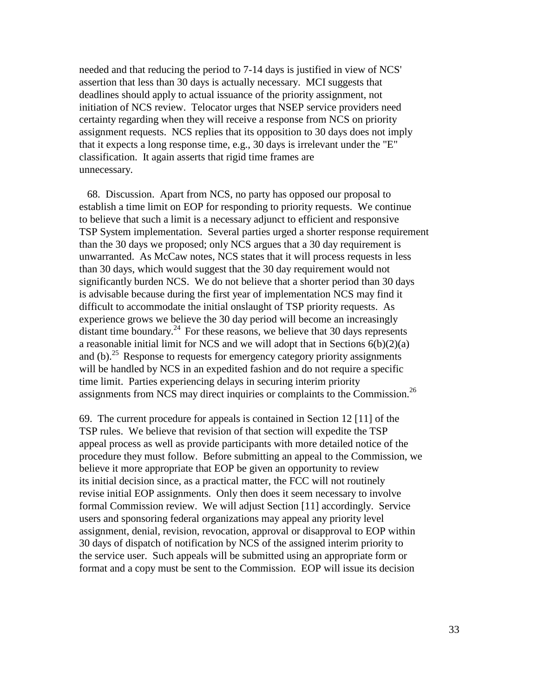needed and that reducing the period to 7-14 days is justified in view of NCS' assertion that less than 30 days is actually necessary. MCI suggests that deadlines should apply to actual issuance of the priority assignment, not initiation of NCS review. Telocator urges that NSEP service providers need certainty regarding when they will receive a response from NCS on priority assignment requests. NCS replies that its opposition to 30 days does not imply that it expects a long response time, e.g., 30 days is irrelevant under the "E" classification. It again asserts that rigid time frames are unnecessary.

 68. Discussion. Apart from NCS, no party has opposed our proposal to establish a time limit on EOP for responding to priority requests. We continue to believe that such a limit is a necessary adjunct to efficient and responsive TSP System implementation. Several parties urged a shorter response requirement than the 30 days we proposed; only NCS argues that a 30 day requirement is unwarranted. As McCaw notes, NCS states that it will process requests in less than 30 days, which would suggest that the 30 day requirement would not significantly burden NCS. We do not believe that a shorter period than 30 days is advisable because during the first year of implementation NCS may find it difficult to accommodate the initial onslaught of TSP priority requests. As experience grows we believe the 30 day period will become an increasingly distant time boundary.<sup>24</sup> For these reasons, we believe that 30 days represents a reasonable initial limit for NCS and we will adopt that in Sections  $6(b)(2)(a)$ and (b).<sup>25</sup> Response to requests for emergency category priority assignments will be handled by NCS in an expedited fashion and do not require a specific time limit. Parties experiencing delays in securing interim priority assignments from NCS may direct inquiries or complaints to the Commission.<sup>26</sup>

69. The current procedure for appeals is contained in Section 12 [11] of the TSP rules. We believe that revision of that section will expedite the TSP appeal process as well as provide participants with more detailed notice of the procedure they must follow. Before submitting an appeal to the Commission, we believe it more appropriate that EOP be given an opportunity to review its initial decision since, as a practical matter, the FCC will not routinely revise initial EOP assignments. Only then does it seem necessary to involve formal Commission review. We will adjust Section [11] accordingly. Service users and sponsoring federal organizations may appeal any priority level assignment, denial, revision, revocation, approval or disapproval to EOP within 30 days of dispatch of notification by NCS of the assigned interim priority to the service user. Such appeals will be submitted using an appropriate form or format and a copy must be sent to the Commission. EOP will issue its decision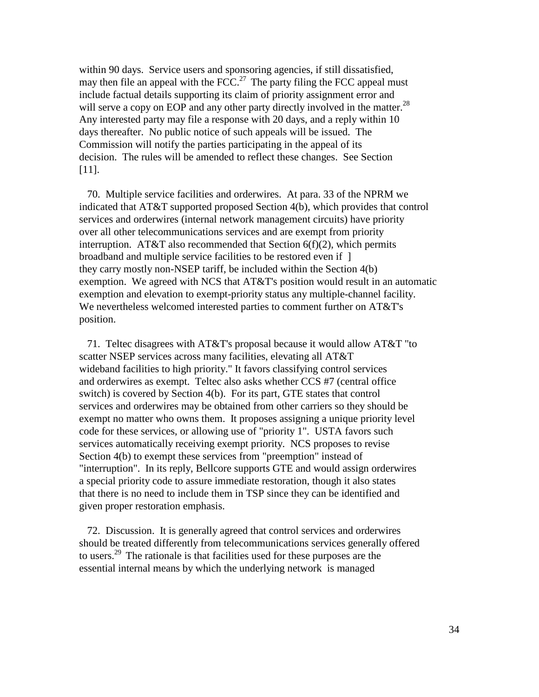within 90 days. Service users and sponsoring agencies, if still dissatisfied, may then file an appeal with the  $FCC<sup>27</sup>$ . The party filing the FCC appeal must include factual details supporting its claim of priority assignment error and will serve a copy on EOP and any other party directly involved in the matter.<sup>28</sup> Any interested party may file a response with 20 days, and a reply within 10 days thereafter. No public notice of such appeals will be issued. The Commission will notify the parties participating in the appeal of its decision. The rules will be amended to reflect these changes. See Section [11].

 70. Multiple service facilities and orderwires. At para. 33 of the NPRM we indicated that AT&T supported proposed Section 4(b), which provides that control services and orderwires (internal network management circuits) have priority over all other telecommunications services and are exempt from priority interruption. AT&T also recommended that Section  $6(f)(2)$ , which permits broadband and multiple service facilities to be restored even if ] they carry mostly non-NSEP tariff, be included within the Section 4(b) exemption. We agreed with NCS that AT&T's position would result in an automatic exemption and elevation to exempt-priority status any multiple-channel facility. We nevertheless welcomed interested parties to comment further on AT&T's position.

 71. Teltec disagrees with AT&T's proposal because it would allow AT&T "to scatter NSEP services across many facilities, elevating all AT&T wideband facilities to high priority." It favors classifying control services and orderwires as exempt. Teltec also asks whether CCS #7 (central office switch) is covered by Section 4(b). For its part, GTE states that control services and orderwires may be obtained from other carriers so they should be exempt no matter who owns them. It proposes assigning a unique priority level code for these services, or allowing use of "priority 1". USTA favors such services automatically receiving exempt priority. NCS proposes to revise Section 4(b) to exempt these services from "preemption" instead of "interruption". In its reply, Bellcore supports GTE and would assign orderwires a special priority code to assure immediate restoration, though it also states that there is no need to include them in TSP since they can be identified and given proper restoration emphasis.

 72. Discussion. It is generally agreed that control services and orderwires should be treated differently from telecommunications services generally offered to users.29 The rationale is that facilities used for these purposes are the essential internal means by which the underlying network is managed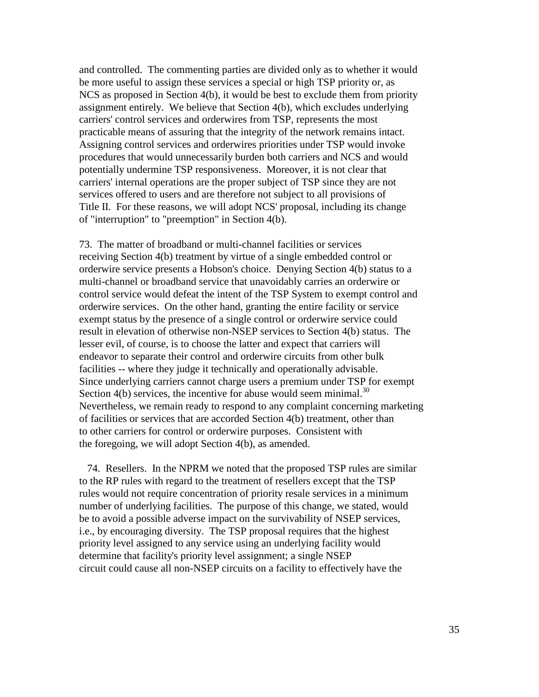and controlled. The commenting parties are divided only as to whether it would be more useful to assign these services a special or high TSP priority or, as NCS as proposed in Section 4(b), it would be best to exclude them from priority assignment entirely. We believe that Section 4(b), which excludes underlying carriers' control services and orderwires from TSP, represents the most practicable means of assuring that the integrity of the network remains intact. Assigning control services and orderwires priorities under TSP would invoke procedures that would unnecessarily burden both carriers and NCS and would potentially undermine TSP responsiveness. Moreover, it is not clear that carriers' internal operations are the proper subject of TSP since they are not services offered to users and are therefore not subject to all provisions of Title II. For these reasons, we will adopt NCS' proposal, including its change of "interruption" to "preemption" in Section 4(b).

73. The matter of broadband or multi-channel facilities or services receiving Section 4(b) treatment by virtue of a single embedded control or orderwire service presents a Hobson's choice. Denying Section 4(b) status to a multi-channel or broadband service that unavoidably carries an orderwire or control service would defeat the intent of the TSP System to exempt control and orderwire services. On the other hand, granting the entire facility or service exempt status by the presence of a single control or orderwire service could result in elevation of otherwise non-NSEP services to Section 4(b) status. The lesser evil, of course, is to choose the latter and expect that carriers will endeavor to separate their control and orderwire circuits from other bulk facilities -- where they judge it technically and operationally advisable. Since underlying carriers cannot charge users a premium under TSP for exempt Section 4(b) services, the incentive for abuse would seem minimal.<sup>30</sup> Nevertheless, we remain ready to respond to any complaint concerning marketing of facilities or services that are accorded Section 4(b) treatment, other than to other carriers for control or orderwire purposes. Consistent with the foregoing, we will adopt Section 4(b), as amended.

 74. Resellers. In the NPRM we noted that the proposed TSP rules are similar to the RP rules with regard to the treatment of resellers except that the TSP rules would not require concentration of priority resale services in a minimum number of underlying facilities. The purpose of this change, we stated, would be to avoid a possible adverse impact on the survivability of NSEP services, i.e., by encouraging diversity. The TSP proposal requires that the highest priority level assigned to any service using an underlying facility would determine that facility's priority level assignment; a single NSEP circuit could cause all non-NSEP circuits on a facility to effectively have the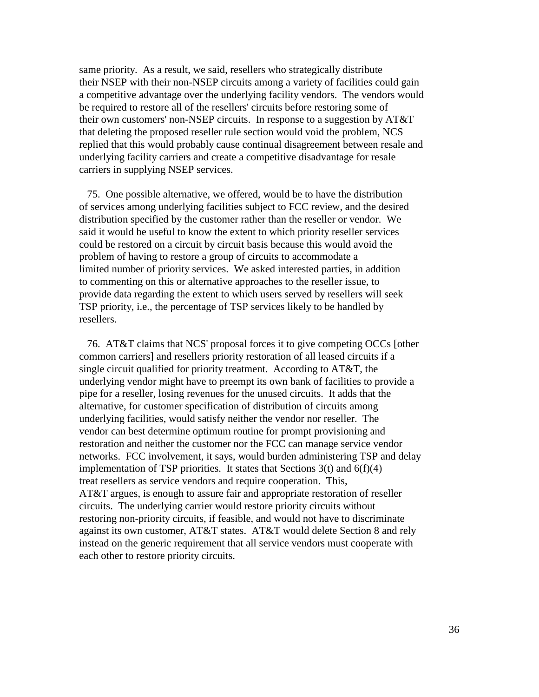same priority. As a result, we said, resellers who strategically distribute their NSEP with their non-NSEP circuits among a variety of facilities could gain a competitive advantage over the underlying facility vendors. The vendors would be required to restore all of the resellers' circuits before restoring some of their own customers' non-NSEP circuits. In response to a suggestion by AT&T that deleting the proposed reseller rule section would void the problem, NCS replied that this would probably cause continual disagreement between resale and underlying facility carriers and create a competitive disadvantage for resale carriers in supplying NSEP services.

 75. One possible alternative, we offered, would be to have the distribution of services among underlying facilities subject to FCC review, and the desired distribution specified by the customer rather than the reseller or vendor. We said it would be useful to know the extent to which priority reseller services could be restored on a circuit by circuit basis because this would avoid the problem of having to restore a group of circuits to accommodate a limited number of priority services. We asked interested parties, in addition to commenting on this or alternative approaches to the reseller issue, to provide data regarding the extent to which users served by resellers will seek TSP priority, i.e., the percentage of TSP services likely to be handled by resellers.

 76. AT&T claims that NCS' proposal forces it to give competing OCCs [other common carriers] and resellers priority restoration of all leased circuits if a single circuit qualified for priority treatment. According to AT&T, the underlying vendor might have to preempt its own bank of facilities to provide a pipe for a reseller, losing revenues for the unused circuits. It adds that the alternative, for customer specification of distribution of circuits among underlying facilities, would satisfy neither the vendor nor reseller. The vendor can best determine optimum routine for prompt provisioning and restoration and neither the customer nor the FCC can manage service vendor networks. FCC involvement, it says, would burden administering TSP and delay implementation of TSP priorities. It states that Sections  $3(t)$  and  $6(f)(4)$ treat resellers as service vendors and require cooperation. This, AT&T argues, is enough to assure fair and appropriate restoration of reseller circuits. The underlying carrier would restore priority circuits without restoring non-priority circuits, if feasible, and would not have to discriminate against its own customer, AT&T states. AT&T would delete Section 8 and rely instead on the generic requirement that all service vendors must cooperate with each other to restore priority circuits.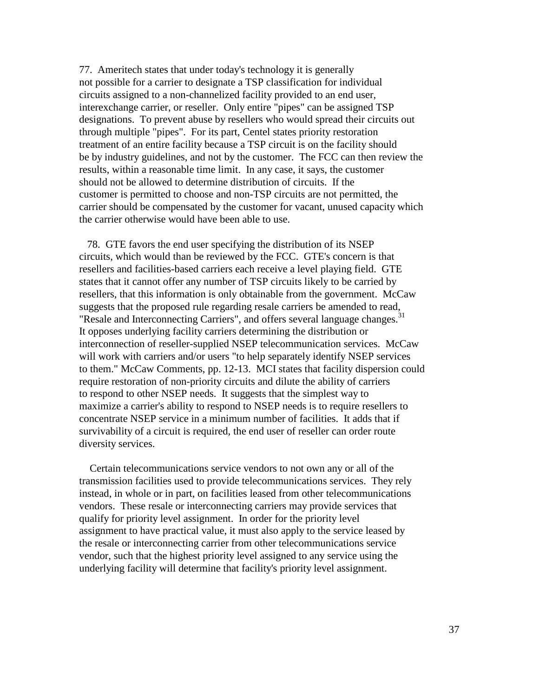77. Ameritech states that under today's technology it is generally not possible for a carrier to designate a TSP classification for individual circuits assigned to a non-channelized facility provided to an end user, interexchange carrier, or reseller. Only entire "pipes" can be assigned TSP designations. To prevent abuse by resellers who would spread their circuits out through multiple "pipes". For its part, Centel states priority restoration treatment of an entire facility because a TSP circuit is on the facility should be by industry guidelines, and not by the customer. The FCC can then review the results, within a reasonable time limit. In any case, it says, the customer should not be allowed to determine distribution of circuits. If the customer is permitted to choose and non-TSP circuits are not permitted, the carrier should be compensated by the customer for vacant, unused capacity which the carrier otherwise would have been able to use.

 78. GTE favors the end user specifying the distribution of its NSEP circuits, which would than be reviewed by the FCC. GTE's concern is that resellers and facilities-based carriers each receive a level playing field. GTE states that it cannot offer any number of TSP circuits likely to be carried by resellers, that this information is only obtainable from the government. McCaw suggests that the proposed rule regarding resale carriers be amended to read, "Resale and Interconnecting Carriers", and offers several language changes.<sup>31</sup> It opposes underlying facility carriers determining the distribution or interconnection of reseller-supplied NSEP telecommunication services. McCaw will work with carriers and/or users "to help separately identify NSEP services to them." McCaw Comments, pp. 12-13. MCI states that facility dispersion could require restoration of non-priority circuits and dilute the ability of carriers to respond to other NSEP needs. It suggests that the simplest way to maximize a carrier's ability to respond to NSEP needs is to require resellers to concentrate NSEP service in a minimum number of facilities. It adds that if survivability of a circuit is required, the end user of reseller can order route diversity services.

 Certain telecommunications service vendors to not own any or all of the transmission facilities used to provide telecommunications services. They rely instead, in whole or in part, on facilities leased from other telecommunications vendors. These resale or interconnecting carriers may provide services that qualify for priority level assignment. In order for the priority level assignment to have practical value, it must also apply to the service leased by the resale or interconnecting carrier from other telecommunications service vendor, such that the highest priority level assigned to any service using the underlying facility will determine that facility's priority level assignment.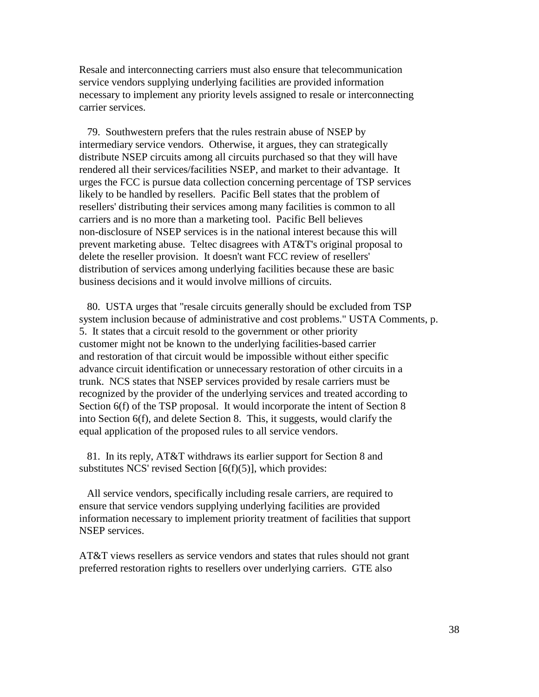Resale and interconnecting carriers must also ensure that telecommunication service vendors supplying underlying facilities are provided information necessary to implement any priority levels assigned to resale or interconnecting carrier services.

 79. Southwestern prefers that the rules restrain abuse of NSEP by intermediary service vendors. Otherwise, it argues, they can strategically distribute NSEP circuits among all circuits purchased so that they will have rendered all their services/facilities NSEP, and market to their advantage. It urges the FCC is pursue data collection concerning percentage of TSP services likely to be handled by resellers. Pacific Bell states that the problem of resellers' distributing their services among many facilities is common to all carriers and is no more than a marketing tool. Pacific Bell believes non-disclosure of NSEP services is in the national interest because this will prevent marketing abuse. Teltec disagrees with AT&T's original proposal to delete the reseller provision. It doesn't want FCC review of resellers' distribution of services among underlying facilities because these are basic business decisions and it would involve millions of circuits.

 80. USTA urges that "resale circuits generally should be excluded from TSP system inclusion because of administrative and cost problems." USTA Comments, p. 5. It states that a circuit resold to the government or other priority customer might not be known to the underlying facilities-based carrier and restoration of that circuit would be impossible without either specific advance circuit identification or unnecessary restoration of other circuits in a trunk. NCS states that NSEP services provided by resale carriers must be recognized by the provider of the underlying services and treated according to Section 6(f) of the TSP proposal. It would incorporate the intent of Section 8 into Section 6(f), and delete Section 8. This, it suggests, would clarify the equal application of the proposed rules to all service vendors.

 81. In its reply, AT&T withdraws its earlier support for Section 8 and substitutes NCS' revised Section [6(f)(5)], which provides:

 All service vendors, specifically including resale carriers, are required to ensure that service vendors supplying underlying facilities are provided information necessary to implement priority treatment of facilities that support NSEP services.

AT&T views resellers as service vendors and states that rules should not grant preferred restoration rights to resellers over underlying carriers. GTE also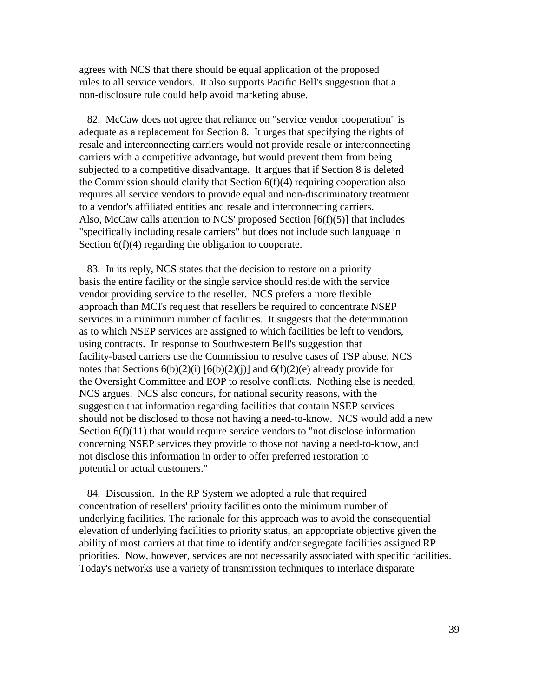agrees with NCS that there should be equal application of the proposed rules to all service vendors. It also supports Pacific Bell's suggestion that a non-disclosure rule could help avoid marketing abuse.

 82. McCaw does not agree that reliance on "service vendor cooperation" is adequate as a replacement for Section 8. It urges that specifying the rights of resale and interconnecting carriers would not provide resale or interconnecting carriers with a competitive advantage, but would prevent them from being subjected to a competitive disadvantage. It argues that if Section 8 is deleted the Commission should clarify that Section 6(f)(4) requiring cooperation also requires all service vendors to provide equal and non-discriminatory treatment to a vendor's affiliated entities and resale and interconnecting carriers. Also, McCaw calls attention to NCS' proposed Section  $[6(f)(5)]$  that includes "specifically including resale carriers" but does not include such language in Section 6(f)(4) regarding the obligation to cooperate.

 83. In its reply, NCS states that the decision to restore on a priority basis the entire facility or the single service should reside with the service vendor providing service to the reseller. NCS prefers a more flexible approach than MCI's request that resellers be required to concentrate NSEP services in a minimum number of facilities. It suggests that the determination as to which NSEP services are assigned to which facilities be left to vendors, using contracts. In response to Southwestern Bell's suggestion that facility-based carriers use the Commission to resolve cases of TSP abuse, NCS notes that Sections  $6(b)(2)(i)$   $[6(b)(2)(i)]$  and  $6(f)(2)(e)$  already provide for the Oversight Committee and EOP to resolve conflicts. Nothing else is needed, NCS argues. NCS also concurs, for national security reasons, with the suggestion that information regarding facilities that contain NSEP services should not be disclosed to those not having a need-to-know. NCS would add a new Section  $6(f)(11)$  that would require service vendors to "not disclose information" concerning NSEP services they provide to those not having a need-to-know, and not disclose this information in order to offer preferred restoration to potential or actual customers."

 84. Discussion. In the RP System we adopted a rule that required concentration of resellers' priority facilities onto the minimum number of underlying facilities. The rationale for this approach was to avoid the consequential elevation of underlying facilities to priority status, an appropriate objective given the ability of most carriers at that time to identify and/or segregate facilities assigned RP priorities. Now, however, services are not necessarily associated with specific facilities. Today's networks use a variety of transmission techniques to interlace disparate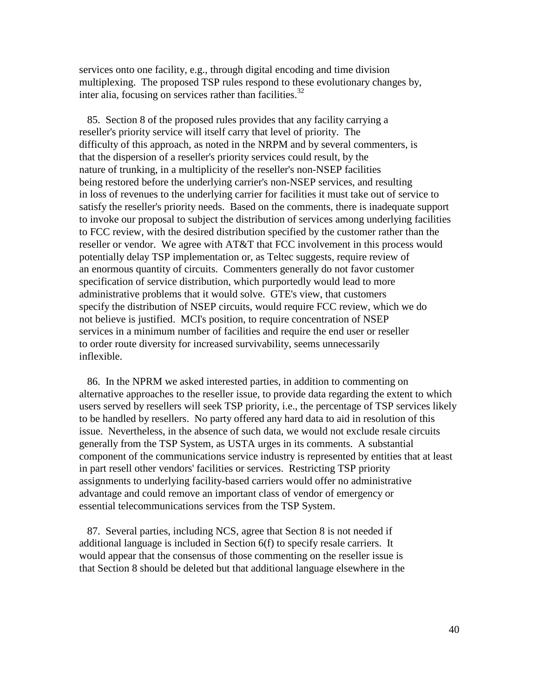services onto one facility, e.g., through digital encoding and time division multiplexing. The proposed TSP rules respond to these evolutionary changes by, inter alia, focusing on services rather than facilities. $32$ 

 85. Section 8 of the proposed rules provides that any facility carrying a reseller's priority service will itself carry that level of priority. The difficulty of this approach, as noted in the NRPM and by several commenters, is that the dispersion of a reseller's priority services could result, by the nature of trunking, in a multiplicity of the reseller's non-NSEP facilities being restored before the underlying carrier's non-NSEP services, and resulting in loss of revenues to the underlying carrier for facilities it must take out of service to satisfy the reseller's priority needs. Based on the comments, there is inadequate support to invoke our proposal to subject the distribution of services among underlying facilities to FCC review, with the desired distribution specified by the customer rather than the reseller or vendor. We agree with AT&T that FCC involvement in this process would potentially delay TSP implementation or, as Teltec suggests, require review of an enormous quantity of circuits. Commenters generally do not favor customer specification of service distribution, which purportedly would lead to more administrative problems that it would solve. GTE's view, that customers specify the distribution of NSEP circuits, would require FCC review, which we do not believe is justified. MCI's position, to require concentration of NSEP services in a minimum number of facilities and require the end user or reseller to order route diversity for increased survivability, seems unnecessarily inflexible.

 86. In the NPRM we asked interested parties, in addition to commenting on alternative approaches to the reseller issue, to provide data regarding the extent to which users served by resellers will seek TSP priority, i.e., the percentage of TSP services likely to be handled by resellers. No party offered any hard data to aid in resolution of this issue. Nevertheless, in the absence of such data, we would not exclude resale circuits generally from the TSP System, as USTA urges in its comments. A substantial component of the communications service industry is represented by entities that at least in part resell other vendors' facilities or services. Restricting TSP priority assignments to underlying facility-based carriers would offer no administrative advantage and could remove an important class of vendor of emergency or essential telecommunications services from the TSP System.

 87. Several parties, including NCS, agree that Section 8 is not needed if additional language is included in Section 6(f) to specify resale carriers. It would appear that the consensus of those commenting on the reseller issue is that Section 8 should be deleted but that additional language elsewhere in the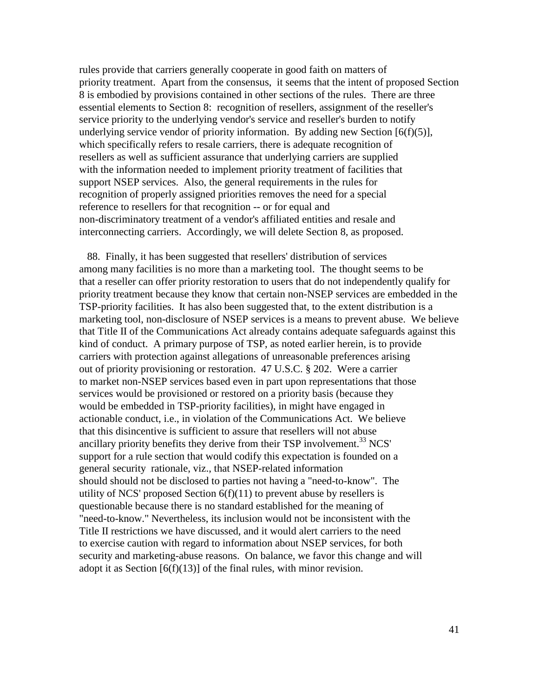rules provide that carriers generally cooperate in good faith on matters of priority treatment. Apart from the consensus, it seems that the intent of proposed Section 8 is embodied by provisions contained in other sections of the rules. There are three essential elements to Section 8: recognition of resellers, assignment of the reseller's service priority to the underlying vendor's service and reseller's burden to notify underlying service vendor of priority information. By adding new Section  $[6(f)(5)]$ , which specifically refers to resale carriers, there is adequate recognition of resellers as well as sufficient assurance that underlying carriers are supplied with the information needed to implement priority treatment of facilities that support NSEP services. Also, the general requirements in the rules for recognition of properly assigned priorities removes the need for a special reference to resellers for that recognition -- or for equal and non-discriminatory treatment of a vendor's affiliated entities and resale and interconnecting carriers. Accordingly, we will delete Section 8, as proposed.

 88. Finally, it has been suggested that resellers' distribution of services among many facilities is no more than a marketing tool. The thought seems to be that a reseller can offer priority restoration to users that do not independently qualify for priority treatment because they know that certain non-NSEP services are embedded in the TSP-priority facilities. It has also been suggested that, to the extent distribution is a marketing tool, non-disclosure of NSEP services is a means to prevent abuse. We believe that Title II of the Communications Act already contains adequate safeguards against this kind of conduct. A primary purpose of TSP, as noted earlier herein, is to provide carriers with protection against allegations of unreasonable preferences arising out of priority provisioning or restoration. 47 U.S.C. § 202. Were a carrier to market non-NSEP services based even in part upon representations that those services would be provisioned or restored on a priority basis (because they would be embedded in TSP-priority facilities), in might have engaged in actionable conduct, i.e., in violation of the Communications Act. We believe that this disincentive is sufficient to assure that resellers will not abuse ancillary priority benefits they derive from their TSP involvement.<sup>33</sup> NCS' support for a rule section that would codify this expectation is founded on a general security rationale, viz., that NSEP-related information should should not be disclosed to parties not having a "need-to-know". The utility of NCS' proposed Section  $6(f)(11)$  to prevent abuse by resellers is questionable because there is no standard established for the meaning of "need-to-know." Nevertheless, its inclusion would not be inconsistent with the Title II restrictions we have discussed, and it would alert carriers to the need to exercise caution with regard to information about NSEP services, for both security and marketing-abuse reasons. On balance, we favor this change and will adopt it as Section  $[6(f)(13)]$  of the final rules, with minor revision.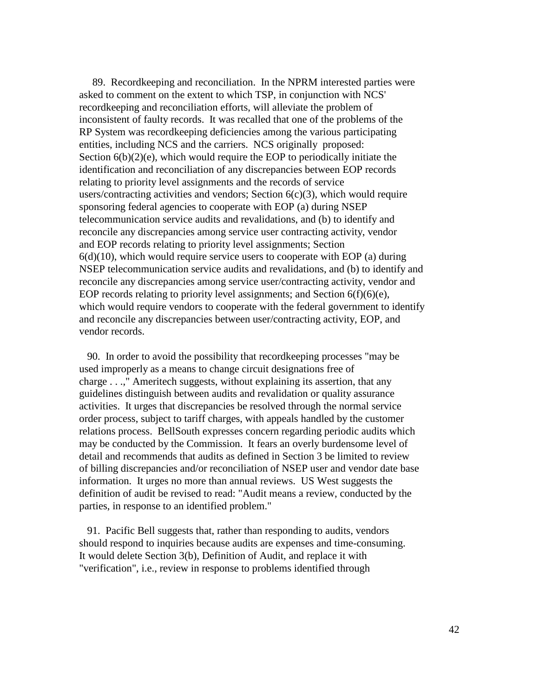89. Recordkeeping and reconciliation. In the NPRM interested parties were asked to comment on the extent to which TSP, in conjunction with NCS' recordkeeping and reconciliation efforts, will alleviate the problem of inconsistent of faulty records. It was recalled that one of the problems of the RP System was recordkeeping deficiencies among the various participating entities, including NCS and the carriers. NCS originally proposed: Section  $6(b)(2)(e)$ , which would require the EOP to periodically initiate the identification and reconciliation of any discrepancies between EOP records relating to priority level assignments and the records of service users/contracting activities and vendors; Section  $6(c)(3)$ , which would require sponsoring federal agencies to cooperate with EOP (a) during NSEP telecommunication service audits and revalidations, and (b) to identify and reconcile any discrepancies among service user contracting activity, vendor and EOP records relating to priority level assignments; Section  $6(d)(10)$ , which would require service users to cooperate with EOP (a) during NSEP telecommunication service audits and revalidations, and (b) to identify and reconcile any discrepancies among service user/contracting activity, vendor and EOP records relating to priority level assignments; and Section 6(f)(6)(e), which would require vendors to cooperate with the federal government to identify and reconcile any discrepancies between user/contracting activity, EOP, and vendor records.

 90. In order to avoid the possibility that recordkeeping processes "may be used improperly as a means to change circuit designations free of charge . . .," Ameritech suggests, without explaining its assertion, that any guidelines distinguish between audits and revalidation or quality assurance activities. It urges that discrepancies be resolved through the normal service order process, subject to tariff charges, with appeals handled by the customer relations process. BellSouth expresses concern regarding periodic audits which may be conducted by the Commission. It fears an overly burdensome level of detail and recommends that audits as defined in Section 3 be limited to review of billing discrepancies and/or reconciliation of NSEP user and vendor date base information. It urges no more than annual reviews. US West suggests the definition of audit be revised to read: "Audit means a review, conducted by the parties, in response to an identified problem."

 91. Pacific Bell suggests that, rather than responding to audits, vendors should respond to inquiries because audits are expenses and time-consuming. It would delete Section 3(b), Definition of Audit, and replace it with "verification", i.e., review in response to problems identified through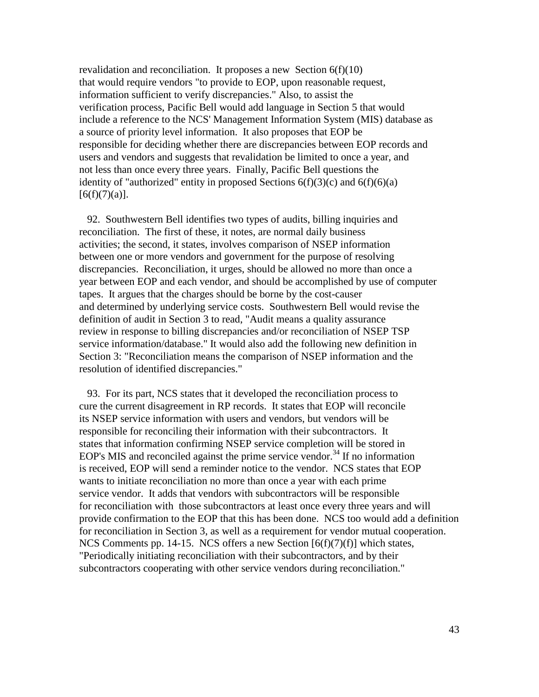revalidation and reconciliation. It proposes a new Section  $6(f)(10)$ that would require vendors "to provide to EOP, upon reasonable request, information sufficient to verify discrepancies." Also, to assist the verification process, Pacific Bell would add language in Section 5 that would include a reference to the NCS' Management Information System (MIS) database as a source of priority level information. It also proposes that EOP be responsible for deciding whether there are discrepancies between EOP records and users and vendors and suggests that revalidation be limited to once a year, and not less than once every three years. Finally, Pacific Bell questions the identity of "authorized" entity in proposed Sections  $6(f)(3)(c)$  and  $6(f)(6)(a)$  $[6(f)(7)(a)].$ 

 92. Southwestern Bell identifies two types of audits, billing inquiries and reconciliation. The first of these, it notes, are normal daily business activities; the second, it states, involves comparison of NSEP information between one or more vendors and government for the purpose of resolving discrepancies. Reconciliation, it urges, should be allowed no more than once a year between EOP and each vendor, and should be accomplished by use of computer tapes. It argues that the charges should be borne by the cost-causer and determined by underlying service costs. Southwestern Bell would revise the definition of audit in Section 3 to read, "Audit means a quality assurance review in response to billing discrepancies and/or reconciliation of NSEP TSP service information/database." It would also add the following new definition in Section 3: "Reconciliation means the comparison of NSEP information and the resolution of identified discrepancies."

 93. For its part, NCS states that it developed the reconciliation process to cure the current disagreement in RP records. It states that EOP will reconcile its NSEP service information with users and vendors, but vendors will be responsible for reconciling their information with their subcontractors. It states that information confirming NSEP service completion will be stored in EOP's MIS and reconciled against the prime service vendor.<sup>34</sup> If no information is received, EOP will send a reminder notice to the vendor. NCS states that EOP wants to initiate reconciliation no more than once a year with each prime service vendor. It adds that vendors with subcontractors will be responsible for reconciliation with those subcontractors at least once every three years and will provide confirmation to the EOP that this has been done. NCS too would add a definition for reconciliation in Section 3, as well as a requirement for vendor mutual cooperation. NCS Comments pp. 14-15. NCS offers a new Section  $[6(f)(7)(f)]$  which states, "Periodically initiating reconciliation with their subcontractors, and by their subcontractors cooperating with other service vendors during reconciliation."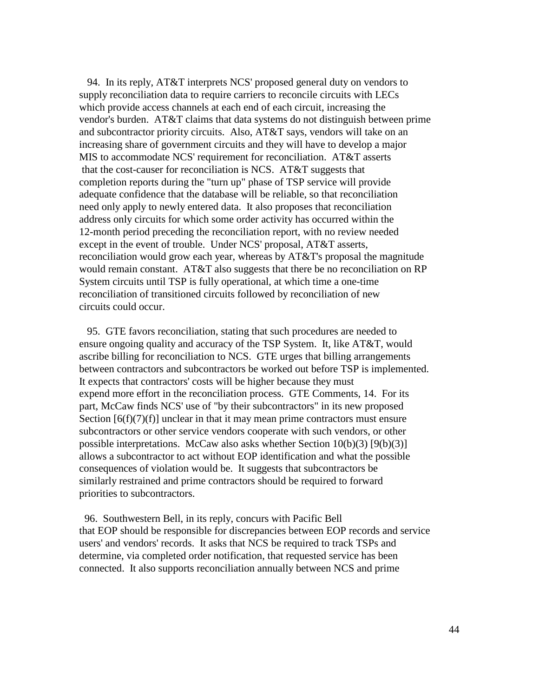94. In its reply, AT&T interprets NCS' proposed general duty on vendors to supply reconciliation data to require carriers to reconcile circuits with LECs which provide access channels at each end of each circuit, increasing the vendor's burden. AT&T claims that data systems do not distinguish between prime and subcontractor priority circuits. Also, AT&T says, vendors will take on an increasing share of government circuits and they will have to develop a major MIS to accommodate NCS' requirement for reconciliation. AT&T asserts that the cost-causer for reconciliation is NCS. AT&T suggests that completion reports during the "turn up" phase of TSP service will provide adequate confidence that the database will be reliable, so that reconciliation need only apply to newly entered data. It also proposes that reconciliation address only circuits for which some order activity has occurred within the 12-month period preceding the reconciliation report, with no review needed except in the event of trouble. Under NCS' proposal, AT&T asserts, reconciliation would grow each year, whereas by AT&T's proposal the magnitude would remain constant. AT&T also suggests that there be no reconciliation on RP System circuits until TSP is fully operational, at which time a one-time reconciliation of transitioned circuits followed by reconciliation of new circuits could occur.

 95. GTE favors reconciliation, stating that such procedures are needed to ensure ongoing quality and accuracy of the TSP System. It, like AT&T, would ascribe billing for reconciliation to NCS. GTE urges that billing arrangements between contractors and subcontractors be worked out before TSP is implemented. It expects that contractors' costs will be higher because they must expend more effort in the reconciliation process. GTE Comments, 14. For its part, McCaw finds NCS' use of "by their subcontractors" in its new proposed Section  $[6(f)(7)(f)]$  unclear in that it may mean prime contractors must ensure subcontractors or other service vendors cooperate with such vendors, or other possible interpretations. McCaw also asks whether Section  $10(b)(3)$  [9(b)(3)] allows a subcontractor to act without EOP identification and what the possible consequences of violation would be. It suggests that subcontractors be similarly restrained and prime contractors should be required to forward priorities to subcontractors.

 96. Southwestern Bell, in its reply, concurs with Pacific Bell that EOP should be responsible for discrepancies between EOP records and service users' and vendors' records. It asks that NCS be required to track TSPs and determine, via completed order notification, that requested service has been connected. It also supports reconciliation annually between NCS and prime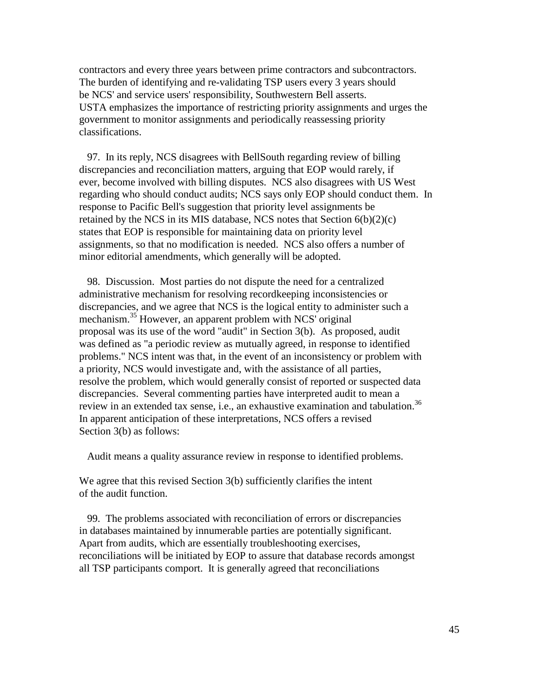contractors and every three years between prime contractors and subcontractors. The burden of identifying and re-validating TSP users every 3 years should be NCS' and service users' responsibility, Southwestern Bell asserts. USTA emphasizes the importance of restricting priority assignments and urges the government to monitor assignments and periodically reassessing priority classifications.

 97. In its reply, NCS disagrees with BellSouth regarding review of billing discrepancies and reconciliation matters, arguing that EOP would rarely, if ever, become involved with billing disputes. NCS also disagrees with US West regarding who should conduct audits; NCS says only EOP should conduct them. In response to Pacific Bell's suggestion that priority level assignments be retained by the NCS in its MIS database, NCS notes that Section  $6(b)(2)(c)$ states that EOP is responsible for maintaining data on priority level assignments, so that no modification is needed. NCS also offers a number of minor editorial amendments, which generally will be adopted.

 98. Discussion. Most parties do not dispute the need for a centralized administrative mechanism for resolving recordkeeping inconsistencies or discrepancies, and we agree that NCS is the logical entity to administer such a mechanism.35 However, an apparent problem with NCS' original proposal was its use of the word "audit" in Section 3(b). As proposed, audit was defined as "a periodic review as mutually agreed, in response to identified problems." NCS intent was that, in the event of an inconsistency or problem with a priority, NCS would investigate and, with the assistance of all parties, resolve the problem, which would generally consist of reported or suspected data discrepancies. Several commenting parties have interpreted audit to mean a review in an extended tax sense, i.e., an exhaustive examination and tabulation.<sup>36</sup> In apparent anticipation of these interpretations, NCS offers a revised Section 3(b) as follows:

Audit means a quality assurance review in response to identified problems.

We agree that this revised Section 3(b) sufficiently clarifies the intent of the audit function.

 99. The problems associated with reconciliation of errors or discrepancies in databases maintained by innumerable parties are potentially significant. Apart from audits, which are essentially troubleshooting exercises, reconciliations will be initiated by EOP to assure that database records amongst all TSP participants comport. It is generally agreed that reconciliations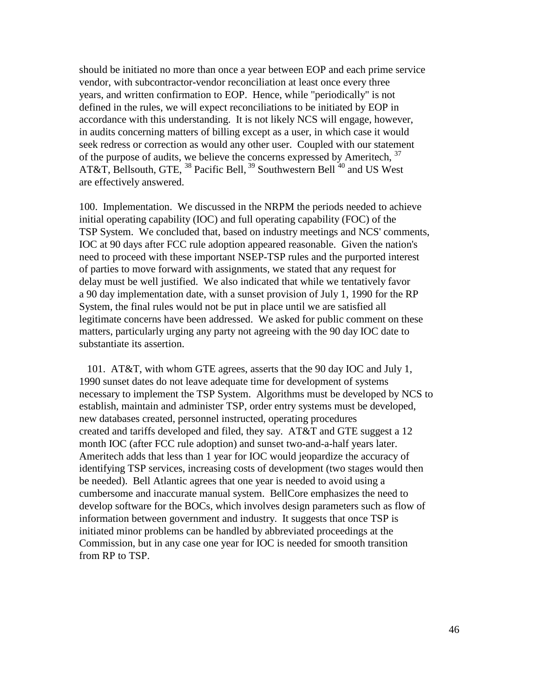should be initiated no more than once a year between EOP and each prime service vendor, with subcontractor-vendor reconciliation at least once every three years, and written confirmation to EOP. Hence, while "periodically" is not defined in the rules, we will expect reconciliations to be initiated by EOP in accordance with this understanding. It is not likely NCS will engage, however, in audits concerning matters of billing except as a user, in which case it would seek redress or correction as would any other user. Coupled with our statement of the purpose of audits, we believe the concerns expressed by Ameritech,  $37$ AT&T, Bellsouth, GTE, <sup>38</sup> Pacific Bell, <sup>39</sup> Southwestern Bell<sup>40</sup> and US West are effectively answered.

100. Implementation. We discussed in the NRPM the periods needed to achieve initial operating capability (IOC) and full operating capability (FOC) of the TSP System. We concluded that, based on industry meetings and NCS' comments, IOC at 90 days after FCC rule adoption appeared reasonable. Given the nation's need to proceed with these important NSEP-TSP rules and the purported interest of parties to move forward with assignments, we stated that any request for delay must be well justified. We also indicated that while we tentatively favor a 90 day implementation date, with a sunset provision of July 1, 1990 for the RP System, the final rules would not be put in place until we are satisfied all legitimate concerns have been addressed. We asked for public comment on these matters, particularly urging any party not agreeing with the 90 day IOC date to substantiate its assertion.

 101. AT&T, with whom GTE agrees, asserts that the 90 day IOC and July 1, 1990 sunset dates do not leave adequate time for development of systems necessary to implement the TSP System. Algorithms must be developed by NCS to establish, maintain and administer TSP, order entry systems must be developed, new databases created, personnel instructed, operating procedures created and tariffs developed and filed, they say. AT&T and GTE suggest a 12 month IOC (after FCC rule adoption) and sunset two-and-a-half years later. Ameritech adds that less than 1 year for IOC would jeopardize the accuracy of identifying TSP services, increasing costs of development (two stages would then be needed). Bell Atlantic agrees that one year is needed to avoid using a cumbersome and inaccurate manual system. BellCore emphasizes the need to develop software for the BOCs, which involves design parameters such as flow of information between government and industry. It suggests that once TSP is initiated minor problems can be handled by abbreviated proceedings at the Commission, but in any case one year for IOC is needed for smooth transition from RP to TSP.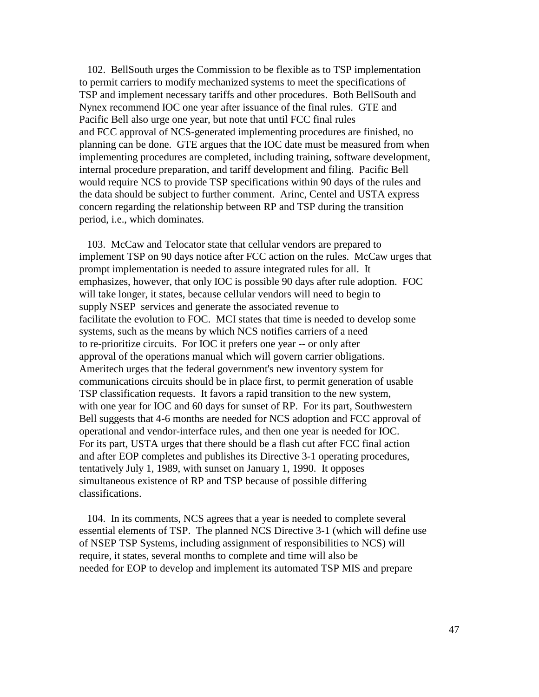102. BellSouth urges the Commission to be flexible as to TSP implementation to permit carriers to modify mechanized systems to meet the specifications of TSP and implement necessary tariffs and other procedures. Both BellSouth and Nynex recommend IOC one year after issuance of the final rules. GTE and Pacific Bell also urge one year, but note that until FCC final rules and FCC approval of NCS-generated implementing procedures are finished, no planning can be done. GTE argues that the IOC date must be measured from when implementing procedures are completed, including training, software development, internal procedure preparation, and tariff development and filing. Pacific Bell would require NCS to provide TSP specifications within 90 days of the rules and the data should be subject to further comment. Arinc, Centel and USTA express concern regarding the relationship between RP and TSP during the transition period, i.e., which dominates.

 103. McCaw and Telocator state that cellular vendors are prepared to implement TSP on 90 days notice after FCC action on the rules. McCaw urges that prompt implementation is needed to assure integrated rules for all. It emphasizes, however, that only IOC is possible 90 days after rule adoption. FOC will take longer, it states, because cellular vendors will need to begin to supply NSEP services and generate the associated revenue to facilitate the evolution to FOC. MCI states that time is needed to develop some systems, such as the means by which NCS notifies carriers of a need to re-prioritize circuits. For IOC it prefers one year -- or only after approval of the operations manual which will govern carrier obligations. Ameritech urges that the federal government's new inventory system for communications circuits should be in place first, to permit generation of usable TSP classification requests. It favors a rapid transition to the new system, with one year for IOC and 60 days for sunset of RP. For its part, Southwestern Bell suggests that 4-6 months are needed for NCS adoption and FCC approval of operational and vendor-interface rules, and then one year is needed for IOC. For its part, USTA urges that there should be a flash cut after FCC final action and after EOP completes and publishes its Directive 3-1 operating procedures, tentatively July 1, 1989, with sunset on January 1, 1990. It opposes simultaneous existence of RP and TSP because of possible differing classifications.

 104. In its comments, NCS agrees that a year is needed to complete several essential elements of TSP. The planned NCS Directive 3-1 (which will define use of NSEP TSP Systems, including assignment of responsibilities to NCS) will require, it states, several months to complete and time will also be needed for EOP to develop and implement its automated TSP MIS and prepare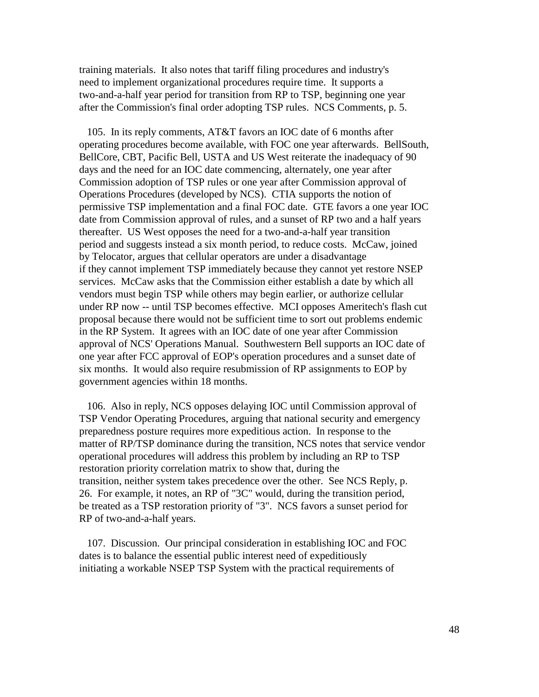training materials. It also notes that tariff filing procedures and industry's need to implement organizational procedures require time. It supports a two-and-a-half year period for transition from RP to TSP, beginning one year after the Commission's final order adopting TSP rules. NCS Comments, p. 5.

 105. In its reply comments, AT&T favors an IOC date of 6 months after operating procedures become available, with FOC one year afterwards. BellSouth, BellCore, CBT, Pacific Bell, USTA and US West reiterate the inadequacy of 90 days and the need for an IOC date commencing, alternately, one year after Commission adoption of TSP rules or one year after Commission approval of Operations Procedures (developed by NCS). CTIA supports the notion of permissive TSP implementation and a final FOC date. GTE favors a one year IOC date from Commission approval of rules, and a sunset of RP two and a half years thereafter. US West opposes the need for a two-and-a-half year transition period and suggests instead a six month period, to reduce costs. McCaw, joined by Telocator, argues that cellular operators are under a disadvantage if they cannot implement TSP immediately because they cannot yet restore NSEP services. McCaw asks that the Commission either establish a date by which all vendors must begin TSP while others may begin earlier, or authorize cellular under RP now -- until TSP becomes effective. MCI opposes Ameritech's flash cut proposal because there would not be sufficient time to sort out problems endemic in the RP System. It agrees with an IOC date of one year after Commission approval of NCS' Operations Manual. Southwestern Bell supports an IOC date of one year after FCC approval of EOP's operation procedures and a sunset date of six months. It would also require resubmission of RP assignments to EOP by government agencies within 18 months.

 106. Also in reply, NCS opposes delaying IOC until Commission approval of TSP Vendor Operating Procedures, arguing that national security and emergency preparedness posture requires more expeditious action. In response to the matter of RP/TSP dominance during the transition, NCS notes that service vendor operational procedures will address this problem by including an RP to TSP restoration priority correlation matrix to show that, during the transition, neither system takes precedence over the other. See NCS Reply, p. 26. For example, it notes, an RP of "3C" would, during the transition period, be treated as a TSP restoration priority of "3". NCS favors a sunset period for RP of two-and-a-half years.

 107. Discussion. Our principal consideration in establishing IOC and FOC dates is to balance the essential public interest need of expeditiously initiating a workable NSEP TSP System with the practical requirements of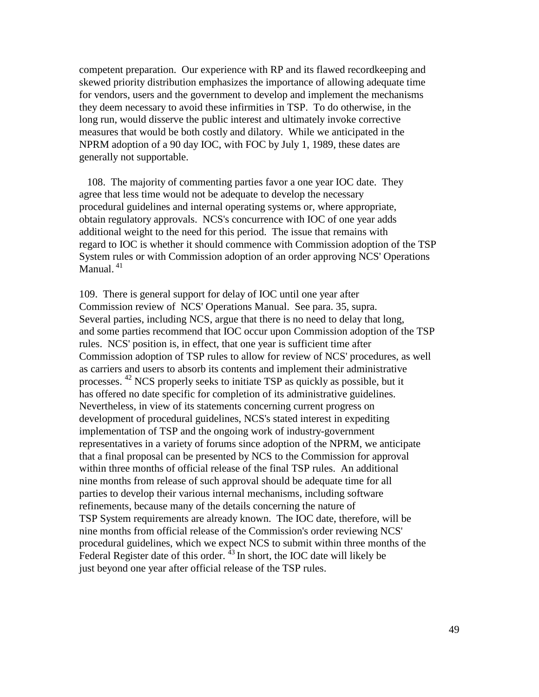competent preparation. Our experience with RP and its flawed recordkeeping and skewed priority distribution emphasizes the importance of allowing adequate time for vendors, users and the government to develop and implement the mechanisms they deem necessary to avoid these infirmities in TSP. To do otherwise, in the long run, would disserve the public interest and ultimately invoke corrective measures that would be both costly and dilatory. While we anticipated in the NPRM adoption of a 90 day IOC, with FOC by July 1, 1989, these dates are generally not supportable.

 108. The majority of commenting parties favor a one year IOC date. They agree that less time would not be adequate to develop the necessary procedural guidelines and internal operating systems or, where appropriate, obtain regulatory approvals. NCS's concurrence with IOC of one year adds additional weight to the need for this period. The issue that remains with regard to IOC is whether it should commence with Commission adoption of the TSP System rules or with Commission adoption of an order approving NCS' Operations Manual.<sup>41</sup>

109. There is general support for delay of IOC until one year after Commission review of NCS' Operations Manual. See para. 35, supra. Several parties, including NCS, argue that there is no need to delay that long, and some parties recommend that IOC occur upon Commission adoption of the TSP rules. NCS' position is, in effect, that one year is sufficient time after Commission adoption of TSP rules to allow for review of NCS' procedures, as well as carriers and users to absorb its contents and implement their administrative processes. <sup>42</sup> NCS properly seeks to initiate TSP as quickly as possible, but it has offered no date specific for completion of its administrative guidelines. Nevertheless, in view of its statements concerning current progress on development of procedural guidelines, NCS's stated interest in expediting implementation of TSP and the ongoing work of industry-government representatives in a variety of forums since adoption of the NPRM, we anticipate that a final proposal can be presented by NCS to the Commission for approval within three months of official release of the final TSP rules. An additional nine months from release of such approval should be adequate time for all parties to develop their various internal mechanisms, including software refinements, because many of the details concerning the nature of TSP System requirements are already known. The IOC date, therefore, will be nine months from official release of the Commission's order reviewing NCS' procedural guidelines, which we expect NCS to submit within three months of the Federal Register date of this order.  $^{43}$  In short, the IOC date will likely be just beyond one year after official release of the TSP rules.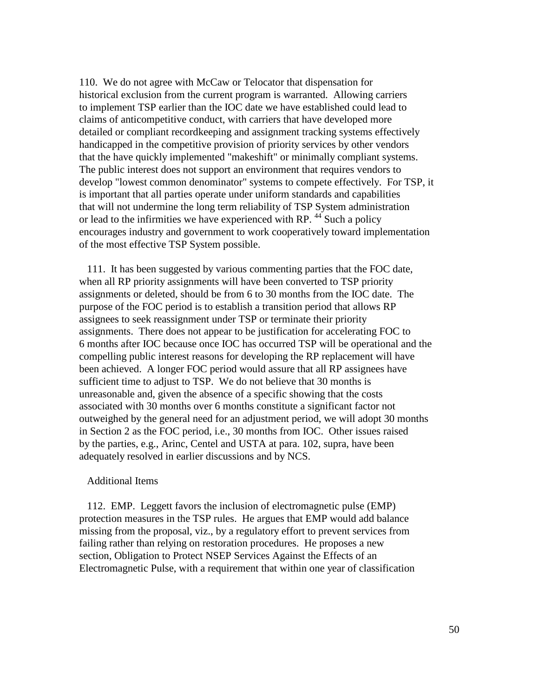110. We do not agree with McCaw or Telocator that dispensation for historical exclusion from the current program is warranted. Allowing carriers to implement TSP earlier than the IOC date we have established could lead to claims of anticompetitive conduct, with carriers that have developed more detailed or compliant recordkeeping and assignment tracking systems effectively handicapped in the competitive provision of priority services by other vendors that the have quickly implemented "makeshift" or minimally compliant systems. The public interest does not support an environment that requires vendors to develop "lowest common denominator" systems to compete effectively. For TSP, it is important that all parties operate under uniform standards and capabilities that will not undermine the long term reliability of TSP System administration or lead to the infirmities we have experienced with RP.<sup>44</sup> Such a policy encourages industry and government to work cooperatively toward implementation of the most effective TSP System possible.

 111. It has been suggested by various commenting parties that the FOC date, when all RP priority assignments will have been converted to TSP priority assignments or deleted, should be from 6 to 30 months from the IOC date. The purpose of the FOC period is to establish a transition period that allows RP assignees to seek reassignment under TSP or terminate their priority assignments. There does not appear to be justification for accelerating FOC to 6 months after IOC because once IOC has occurred TSP will be operational and the compelling public interest reasons for developing the RP replacement will have been achieved. A longer FOC period would assure that all RP assignees have sufficient time to adjust to TSP. We do not believe that 30 months is unreasonable and, given the absence of a specific showing that the costs associated with 30 months over 6 months constitute a significant factor not outweighed by the general need for an adjustment period, we will adopt 30 months in Section 2 as the FOC period, i.e., 30 months from IOC. Other issues raised by the parties, e.g., Arinc, Centel and USTA at para. 102, supra, have been adequately resolved in earlier discussions and by NCS.

#### Additional Items

 112. EMP. Leggett favors the inclusion of electromagnetic pulse (EMP) protection measures in the TSP rules. He argues that EMP would add balance missing from the proposal, viz., by a regulatory effort to prevent services from failing rather than relying on restoration procedures. He proposes a new section, Obligation to Protect NSEP Services Against the Effects of an Electromagnetic Pulse, with a requirement that within one year of classification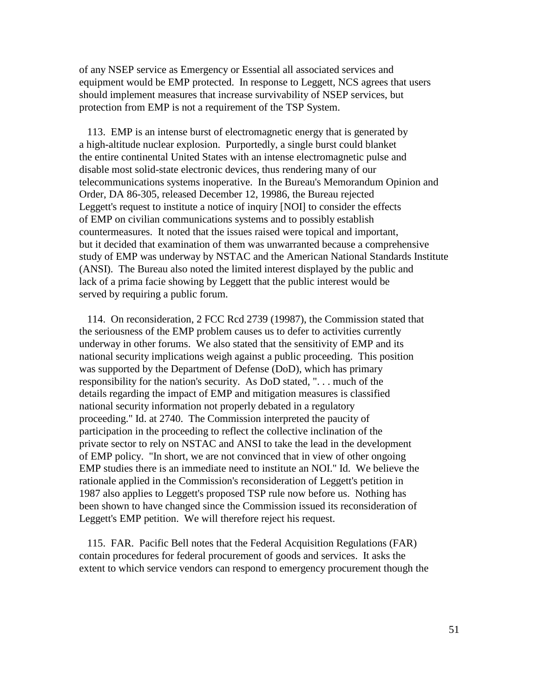of any NSEP service as Emergency or Essential all associated services and equipment would be EMP protected. In response to Leggett, NCS agrees that users should implement measures that increase survivability of NSEP services, but protection from EMP is not a requirement of the TSP System.

 113. EMP is an intense burst of electromagnetic energy that is generated by a high-altitude nuclear explosion. Purportedly, a single burst could blanket the entire continental United States with an intense electromagnetic pulse and disable most solid-state electronic devices, thus rendering many of our telecommunications systems inoperative. In the Bureau's Memorandum Opinion and Order, DA 86-305, released December 12, 19986, the Bureau rejected Leggett's request to institute a notice of inquiry [NOI] to consider the effects of EMP on civilian communications systems and to possibly establish countermeasures. It noted that the issues raised were topical and important, but it decided that examination of them was unwarranted because a comprehensive study of EMP was underway by NSTAC and the American National Standards Institute (ANSI). The Bureau also noted the limited interest displayed by the public and lack of a prima facie showing by Leggett that the public interest would be served by requiring a public forum.

 114. On reconsideration, 2 FCC Rcd 2739 (19987), the Commission stated that the seriousness of the EMP problem causes us to defer to activities currently underway in other forums. We also stated that the sensitivity of EMP and its national security implications weigh against a public proceeding. This position was supported by the Department of Defense (DoD), which has primary responsibility for the nation's security. As DoD stated, ". . . much of the details regarding the impact of EMP and mitigation measures is classified national security information not properly debated in a regulatory proceeding." Id. at 2740. The Commission interpreted the paucity of participation in the proceeding to reflect the collective inclination of the private sector to rely on NSTAC and ANSI to take the lead in the development of EMP policy. "In short, we are not convinced that in view of other ongoing EMP studies there is an immediate need to institute an NOI." Id. We believe the rationale applied in the Commission's reconsideration of Leggett's petition in 1987 also applies to Leggett's proposed TSP rule now before us. Nothing has been shown to have changed since the Commission issued its reconsideration of Leggett's EMP petition. We will therefore reject his request.

 115. FAR. Pacific Bell notes that the Federal Acquisition Regulations (FAR) contain procedures for federal procurement of goods and services. It asks the extent to which service vendors can respond to emergency procurement though the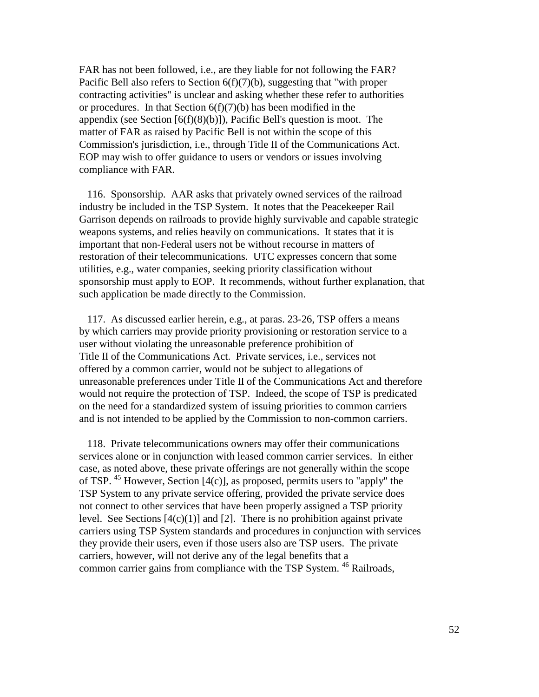FAR has not been followed, i.e., are they liable for not following the FAR? Pacific Bell also refers to Section 6(f)(7)(b), suggesting that "with proper contracting activities" is unclear and asking whether these refer to authorities or procedures. In that Section  $6(f)(7)(b)$  has been modified in the appendix (see Section  $[6(f)(8)(b)]$ ), Pacific Bell's question is moot. The matter of FAR as raised by Pacific Bell is not within the scope of this Commission's jurisdiction, i.e., through Title II of the Communications Act. EOP may wish to offer guidance to users or vendors or issues involving compliance with FAR.

 116. Sponsorship. AAR asks that privately owned services of the railroad industry be included in the TSP System. It notes that the Peacekeeper Rail Garrison depends on railroads to provide highly survivable and capable strategic weapons systems, and relies heavily on communications. It states that it is important that non-Federal users not be without recourse in matters of restoration of their telecommunications. UTC expresses concern that some utilities, e.g., water companies, seeking priority classification without sponsorship must apply to EOP. It recommends, without further explanation, that such application be made directly to the Commission.

 117. As discussed earlier herein, e.g., at paras. 23-26, TSP offers a means by which carriers may provide priority provisioning or restoration service to a user without violating the unreasonable preference prohibition of Title II of the Communications Act. Private services, i.e., services not offered by a common carrier, would not be subject to allegations of unreasonable preferences under Title II of the Communications Act and therefore would not require the protection of TSP. Indeed, the scope of TSP is predicated on the need for a standardized system of issuing priorities to common carriers and is not intended to be applied by the Commission to non-common carriers.

 118. Private telecommunications owners may offer their communications services alone or in conjunction with leased common carrier services. In either case, as noted above, these private offerings are not generally within the scope of TSP. <sup>45</sup> However, Section [4(c)], as proposed, permits users to "apply" the TSP System to any private service offering, provided the private service does not connect to other services that have been properly assigned a TSP priority level. See Sections  $[4(c)(1)]$  and  $[2]$ . There is no prohibition against private carriers using TSP System standards and procedures in conjunction with services they provide their users, even if those users also are TSP users. The private carriers, however, will not derive any of the legal benefits that a common carrier gains from compliance with the TSP System. <sup>46</sup> Railroads,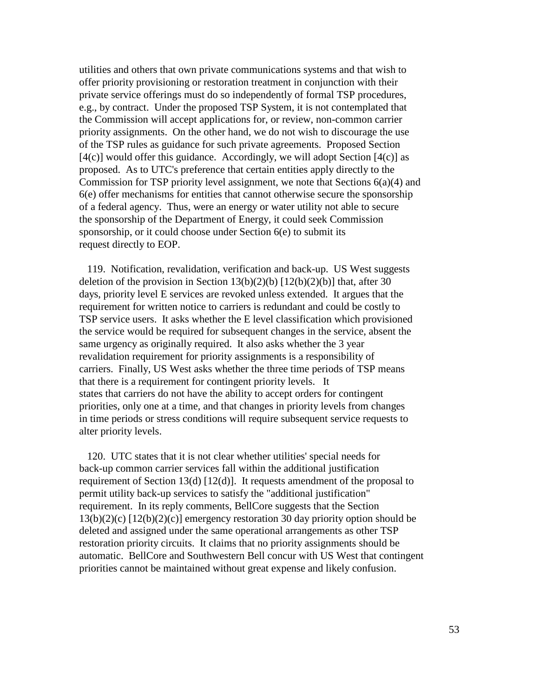utilities and others that own private communications systems and that wish to offer priority provisioning or restoration treatment in conjunction with their private service offerings must do so independently of formal TSP procedures, e.g., by contract. Under the proposed TSP System, it is not contemplated that the Commission will accept applications for, or review, non-common carrier priority assignments. On the other hand, we do not wish to discourage the use of the TSP rules as guidance for such private agreements. Proposed Section  $[4(c)]$  would offer this guidance. Accordingly, we will adopt Section  $[4(c)]$  as proposed. As to UTC's preference that certain entities apply directly to the Commission for TSP priority level assignment, we note that Sections 6(a)(4) and 6(e) offer mechanisms for entities that cannot otherwise secure the sponsorship of a federal agency. Thus, were an energy or water utility not able to secure the sponsorship of the Department of Energy, it could seek Commission sponsorship, or it could choose under Section 6(e) to submit its request directly to EOP.

 119. Notification, revalidation, verification and back-up. US West suggests deletion of the provision in Section  $13(b)(2)(b)$  [12(b)(2)(b)] that, after 30 days, priority level E services are revoked unless extended. It argues that the requirement for written notice to carriers is redundant and could be costly to TSP service users. It asks whether the E level classification which provisioned the service would be required for subsequent changes in the service, absent the same urgency as originally required. It also asks whether the 3 year revalidation requirement for priority assignments is a responsibility of carriers. Finally, US West asks whether the three time periods of TSP means that there is a requirement for contingent priority levels. It states that carriers do not have the ability to accept orders for contingent priorities, only one at a time, and that changes in priority levels from changes in time periods or stress conditions will require subsequent service requests to alter priority levels.

 120. UTC states that it is not clear whether utilities' special needs for back-up common carrier services fall within the additional justification requirement of Section 13(d) [12(d)]. It requests amendment of the proposal to permit utility back-up services to satisfy the "additional justification" requirement. In its reply comments, BellCore suggests that the Section 13(b)(2)(c) [12(b)(2)(c)] emergency restoration 30 day priority option should be deleted and assigned under the same operational arrangements as other TSP restoration priority circuits. It claims that no priority assignments should be automatic. BellCore and Southwestern Bell concur with US West that contingent priorities cannot be maintained without great expense and likely confusion.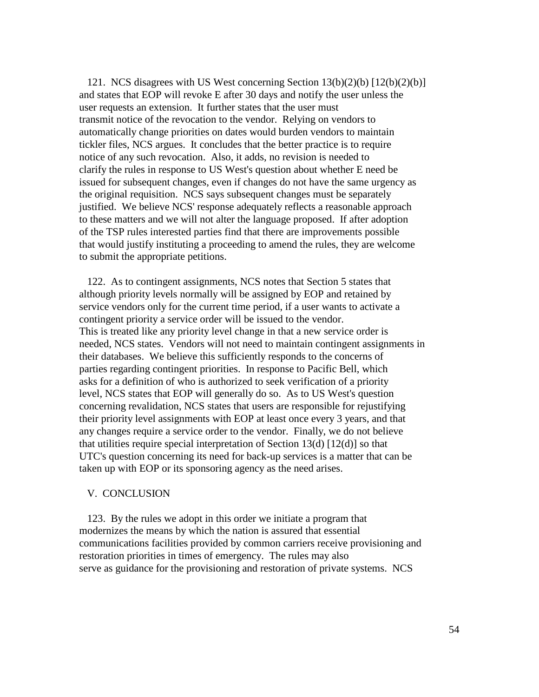121. NCS disagrees with US West concerning Section 13(b)(2)(b) [12(b)(2)(b)] and states that EOP will revoke E after 30 days and notify the user unless the user requests an extension. It further states that the user must transmit notice of the revocation to the vendor. Relying on vendors to automatically change priorities on dates would burden vendors to maintain tickler files, NCS argues. It concludes that the better practice is to require notice of any such revocation. Also, it adds, no revision is needed to clarify the rules in response to US West's question about whether E need be issued for subsequent changes, even if changes do not have the same urgency as the original requisition. NCS says subsequent changes must be separately justified. We believe NCS' response adequately reflects a reasonable approach to these matters and we will not alter the language proposed. If after adoption of the TSP rules interested parties find that there are improvements possible that would justify instituting a proceeding to amend the rules, they are welcome to submit the appropriate petitions.

 122. As to contingent assignments, NCS notes that Section 5 states that although priority levels normally will be assigned by EOP and retained by service vendors only for the current time period, if a user wants to activate a contingent priority a service order will be issued to the vendor. This is treated like any priority level change in that a new service order is needed, NCS states. Vendors will not need to maintain contingent assignments in their databases. We believe this sufficiently responds to the concerns of parties regarding contingent priorities. In response to Pacific Bell, which asks for a definition of who is authorized to seek verification of a priority level, NCS states that EOP will generally do so. As to US West's question concerning revalidation, NCS states that users are responsible for rejustifying their priority level assignments with EOP at least once every 3 years, and that any changes require a service order to the vendor. Finally, we do not believe that utilities require special interpretation of Section  $13(d)$  [12(d)] so that UTC's question concerning its need for back-up services is a matter that can be taken up with EOP or its sponsoring agency as the need arises.

## V. CONCLUSION

 123. By the rules we adopt in this order we initiate a program that modernizes the means by which the nation is assured that essential communications facilities provided by common carriers receive provisioning and restoration priorities in times of emergency. The rules may also serve as guidance for the provisioning and restoration of private systems. NCS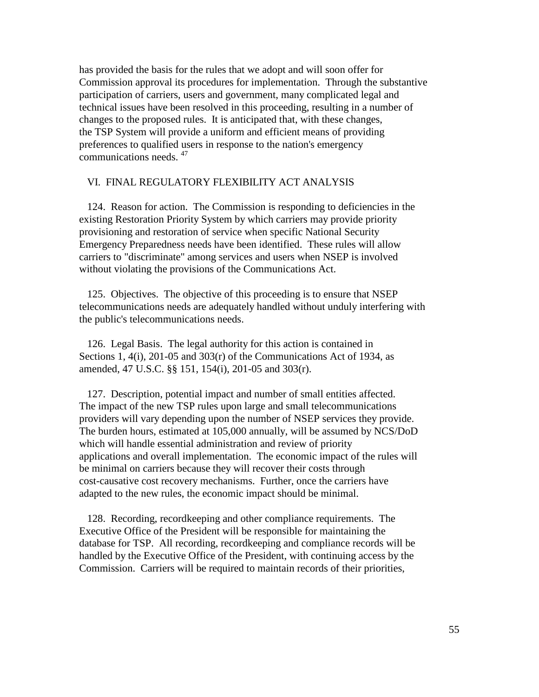has provided the basis for the rules that we adopt and will soon offer for Commission approval its procedures for implementation. Through the substantive participation of carriers, users and government, many complicated legal and technical issues have been resolved in this proceeding, resulting in a number of changes to the proposed rules. It is anticipated that, with these changes, the TSP System will provide a uniform and efficient means of providing preferences to qualified users in response to the nation's emergency communications needs. 47

### VI. FINAL REGULATORY FLEXIBILITY ACT ANALYSIS

 124. Reason for action. The Commission is responding to deficiencies in the existing Restoration Priority System by which carriers may provide priority provisioning and restoration of service when specific National Security Emergency Preparedness needs have been identified. These rules will allow carriers to "discriminate" among services and users when NSEP is involved without violating the provisions of the Communications Act.

 125. Objectives. The objective of this proceeding is to ensure that NSEP telecommunications needs are adequately handled without unduly interfering with the public's telecommunications needs.

 126. Legal Basis. The legal authority for this action is contained in Sections 1, 4(i), 201-05 and 303(r) of the Communications Act of 1934, as amended, 47 U.S.C. §§ 151, 154(i), 201-05 and 303(r).

 127. Description, potential impact and number of small entities affected. The impact of the new TSP rules upon large and small telecommunications providers will vary depending upon the number of NSEP services they provide. The burden hours, estimated at 105,000 annually, will be assumed by NCS/DoD which will handle essential administration and review of priority applications and overall implementation. The economic impact of the rules will be minimal on carriers because they will recover their costs through cost-causative cost recovery mechanisms. Further, once the carriers have adapted to the new rules, the economic impact should be minimal.

 128. Recording, recordkeeping and other compliance requirements. The Executive Office of the President will be responsible for maintaining the database for TSP. All recording, recordkeeping and compliance records will be handled by the Executive Office of the President, with continuing access by the Commission. Carriers will be required to maintain records of their priorities,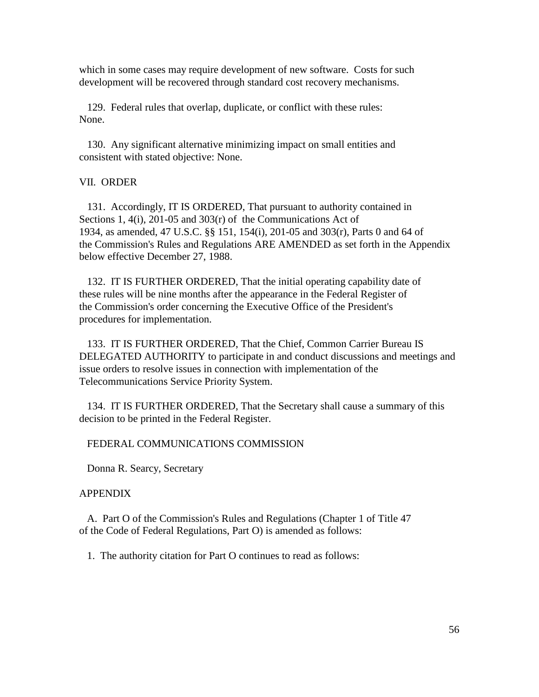which in some cases may require development of new software. Costs for such development will be recovered through standard cost recovery mechanisms.

 129. Federal rules that overlap, duplicate, or conflict with these rules: None.

 130. Any significant alternative minimizing impact on small entities and consistent with stated objective: None.

## VII. ORDER

 131. Accordingly, IT IS ORDERED, That pursuant to authority contained in Sections 1, 4(i), 201-05 and 303(r) of the Communications Act of 1934, as amended, 47 U.S.C. §§ 151, 154(i), 201-05 and 303(r), Parts 0 and 64 of the Commission's Rules and Regulations ARE AMENDED as set forth in the Appendix below effective December 27, 1988.

 132. IT IS FURTHER ORDERED, That the initial operating capability date of these rules will be nine months after the appearance in the Federal Register of the Commission's order concerning the Executive Office of the President's procedures for implementation.

 133. IT IS FURTHER ORDERED, That the Chief, Common Carrier Bureau IS DELEGATED AUTHORITY to participate in and conduct discussions and meetings and issue orders to resolve issues in connection with implementation of the Telecommunications Service Priority System.

 134. IT IS FURTHER ORDERED, That the Secretary shall cause a summary of this decision to be printed in the Federal Register.

### FEDERAL COMMUNICATIONS COMMISSION

Donna R. Searcy, Secretary

# APPENDIX

 A. Part O of the Commission's Rules and Regulations (Chapter 1 of Title 47 of the Code of Federal Regulations, Part O) is amended as follows:

1. The authority citation for Part O continues to read as follows: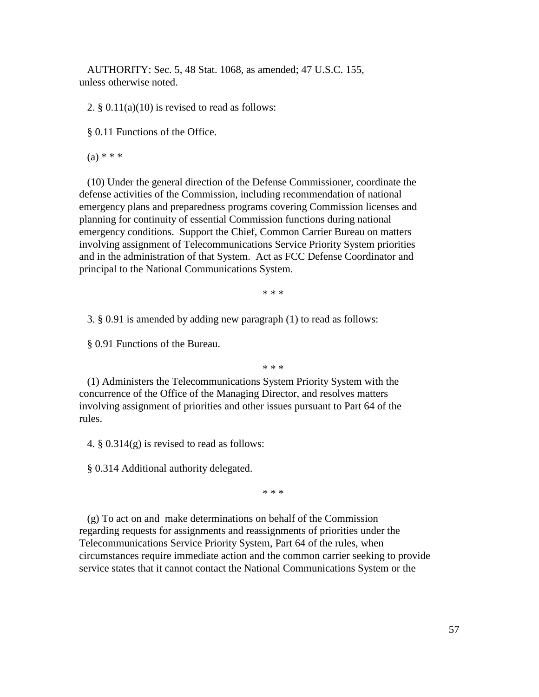AUTHORITY: Sec. 5, 48 Stat. 1068, as amended; 47 U.S.C. 155, unless otherwise noted.

2.  $\S 0.11(a)(10)$  is revised to read as follows:

§ 0.11 Functions of the Office.

 $(a) * * * *$ 

 (10) Under the general direction of the Defense Commissioner, coordinate the defense activities of the Commission, including recommendation of national emergency plans and preparedness programs covering Commission licenses and planning for continuity of essential Commission functions during national emergency conditions. Support the Chief, Common Carrier Bureau on matters involving assignment of Telecommunications Service Priority System priorities and in the administration of that System. Act as FCC Defense Coordinator and principal to the National Communications System.

\* \* \*

3. § 0.91 is amended by adding new paragraph (1) to read as follows:

§ 0.91 Functions of the Bureau.

\* \* \*

 (1) Administers the Telecommunications System Priority System with the concurrence of the Office of the Managing Director, and resolves matters involving assignment of priorities and other issues pursuant to Part 64 of the rules.

4. § 0.314(g) is revised to read as follows:

§ 0.314 Additional authority delegated.

\* \* \*

 (g) To act on and make determinations on behalf of the Commission regarding requests for assignments and reassignments of priorities under the Telecommunications Service Priority System, Part 64 of the rules, when circumstances require immediate action and the common carrier seeking to provide service states that it cannot contact the National Communications System or the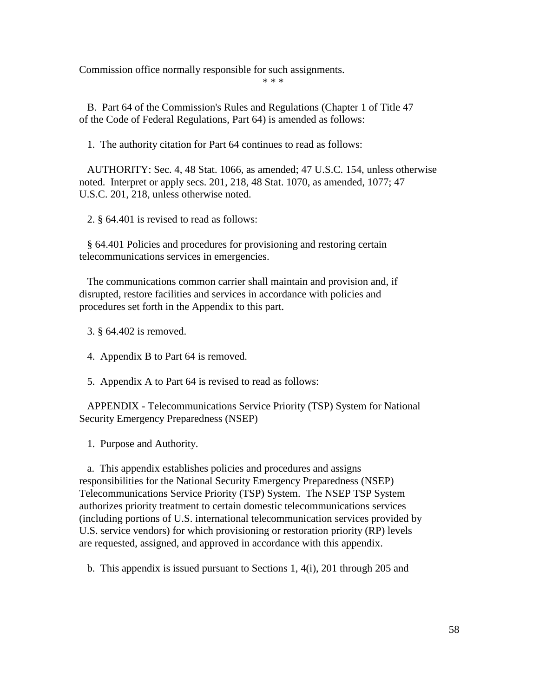Commission office normally responsible for such assignments.

\* \* \*

 B. Part 64 of the Commission's Rules and Regulations (Chapter 1 of Title 47 of the Code of Federal Regulations, Part 64) is amended as follows:

1. The authority citation for Part 64 continues to read as follows:

 AUTHORITY: Sec. 4, 48 Stat. 1066, as amended; 47 U.S.C. 154, unless otherwise noted. Interpret or apply secs. 201, 218, 48 Stat. 1070, as amended, 1077; 47 U.S.C. 201, 218, unless otherwise noted.

2. § 64.401 is revised to read as follows:

 § 64.401 Policies and procedures for provisioning and restoring certain telecommunications services in emergencies.

 The communications common carrier shall maintain and provision and, if disrupted, restore facilities and services in accordance with policies and procedures set forth in the Appendix to this part.

3. § 64.402 is removed.

- 4. Appendix B to Part 64 is removed.
- 5. Appendix A to Part 64 is revised to read as follows:

 APPENDIX - Telecommunications Service Priority (TSP) System for National Security Emergency Preparedness (NSEP)

1. Purpose and Authority.

 a. This appendix establishes policies and procedures and assigns responsibilities for the National Security Emergency Preparedness (NSEP) Telecommunications Service Priority (TSP) System. The NSEP TSP System authorizes priority treatment to certain domestic telecommunications services (including portions of U.S. international telecommunication services provided by U.S. service vendors) for which provisioning or restoration priority (RP) levels are requested, assigned, and approved in accordance with this appendix.

b. This appendix is issued pursuant to Sections 1, 4(i), 201 through 205 and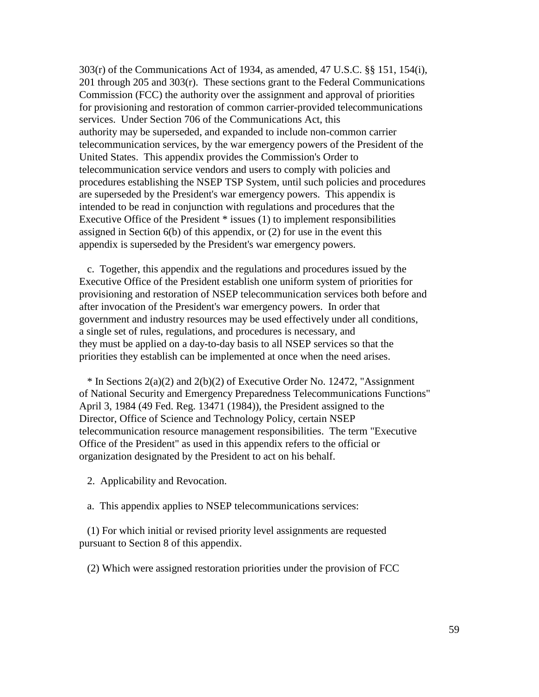303(r) of the Communications Act of 1934, as amended, 47 U.S.C. §§ 151, 154(i), 201 through 205 and 303(r). These sections grant to the Federal Communications Commission (FCC) the authority over the assignment and approval of priorities for provisioning and restoration of common carrier-provided telecommunications services. Under Section 706 of the Communications Act, this authority may be superseded, and expanded to include non-common carrier telecommunication services, by the war emergency powers of the President of the United States. This appendix provides the Commission's Order to telecommunication service vendors and users to comply with policies and procedures establishing the NSEP TSP System, until such policies and procedures are superseded by the President's war emergency powers. This appendix is intended to be read in conjunction with regulations and procedures that the Executive Office of the President \* issues (1) to implement responsibilities assigned in Section 6(b) of this appendix, or (2) for use in the event this appendix is superseded by the President's war emergency powers.

 c. Together, this appendix and the regulations and procedures issued by the Executive Office of the President establish one uniform system of priorities for provisioning and restoration of NSEP telecommunication services both before and after invocation of the President's war emergency powers. In order that government and industry resources may be used effectively under all conditions, a single set of rules, regulations, and procedures is necessary, and they must be applied on a day-to-day basis to all NSEP services so that the priorities they establish can be implemented at once when the need arises.

 \* In Sections 2(a)(2) and 2(b)(2) of Executive Order No. 12472, "Assignment of National Security and Emergency Preparedness Telecommunications Functions" April 3, 1984 (49 Fed. Reg. 13471 (1984)), the President assigned to the Director, Office of Science and Technology Policy, certain NSEP telecommunication resource management responsibilities. The term "Executive Office of the President" as used in this appendix refers to the official or organization designated by the President to act on his behalf.

2. Applicability and Revocation.

a. This appendix applies to NSEP telecommunications services:

 (1) For which initial or revised priority level assignments are requested pursuant to Section 8 of this appendix.

(2) Which were assigned restoration priorities under the provision of FCC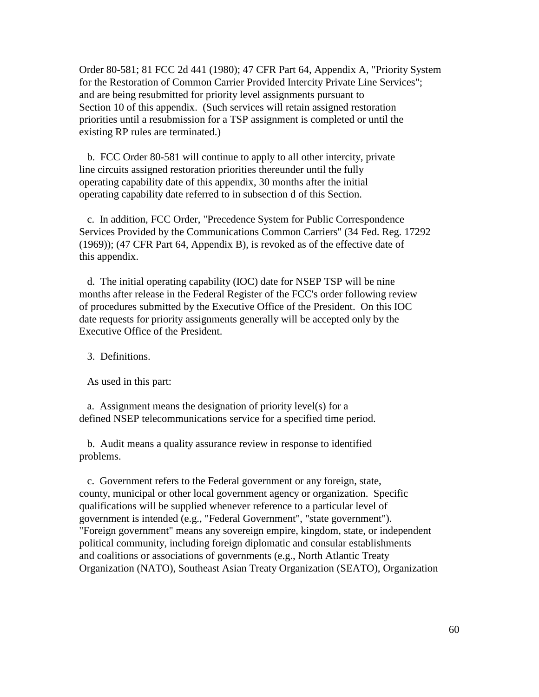Order 80-581; 81 FCC 2d 441 (1980); 47 CFR Part 64, Appendix A, "Priority System for the Restoration of Common Carrier Provided Intercity Private Line Services"; and are being resubmitted for priority level assignments pursuant to Section 10 of this appendix. (Such services will retain assigned restoration priorities until a resubmission for a TSP assignment is completed or until the existing RP rules are terminated.)

 b. FCC Order 80-581 will continue to apply to all other intercity, private line circuits assigned restoration priorities thereunder until the fully operating capability date of this appendix, 30 months after the initial operating capability date referred to in subsection d of this Section.

 c. In addition, FCC Order, "Precedence System for Public Correspondence Services Provided by the Communications Common Carriers" (34 Fed. Reg. 17292 (1969)); (47 CFR Part 64, Appendix B), is revoked as of the effective date of this appendix.

 d. The initial operating capability (IOC) date for NSEP TSP will be nine months after release in the Federal Register of the FCC's order following review of procedures submitted by the Executive Office of the President. On this IOC date requests for priority assignments generally will be accepted only by the Executive Office of the President.

3. Definitions.

As used in this part:

 a. Assignment means the designation of priority level(s) for a defined NSEP telecommunications service for a specified time period.

 b. Audit means a quality assurance review in response to identified problems.

 c. Government refers to the Federal government or any foreign, state, county, municipal or other local government agency or organization. Specific qualifications will be supplied whenever reference to a particular level of government is intended (e.g., "Federal Government", "state government"). "Foreign government" means any sovereign empire, kingdom, state, or independent political community, including foreign diplomatic and consular establishments and coalitions or associations of governments (e.g., North Atlantic Treaty Organization (NATO), Southeast Asian Treaty Organization (SEATO), Organization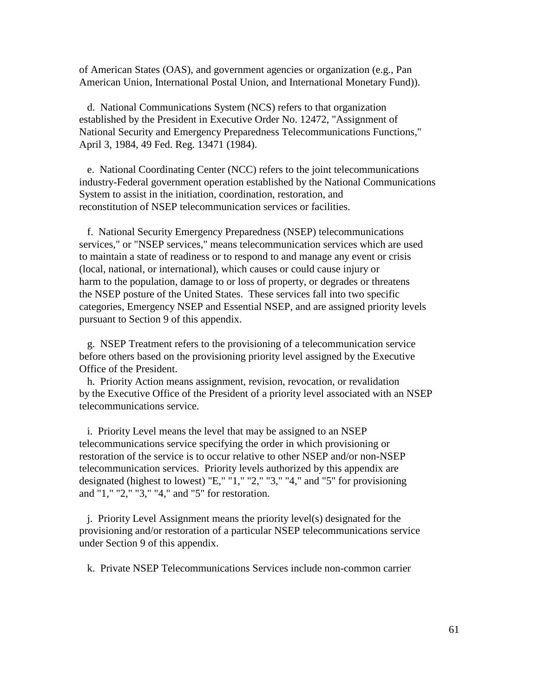of American States (OAS), and government agencies or organization (e.g., Pan American Union, International Postal Union, and International Monetary Fund)).

 d. National Communications System (NCS) refers to that organization established by the President in Executive Order No. 12472, "Assignment of National Security and Emergency Preparedness Telecommunications Functions," April 3, 1984, 49 Fed. Reg. 13471 (1984).

 e. National Coordinating Center (NCC) refers to the joint telecommunications industry-Federal government operation established by the National Communications System to assist in the initiation, coordination, restoration, and reconstitution of NSEP telecommunication services or facilities.

 f. National Security Emergency Preparedness (NSEP) telecommunications services," or "NSEP services," means telecommunication services which are used to maintain a state of readiness or to respond to and manage any event or crisis (local, national, or international), which causes or could cause injury or harm to the population, damage to or loss of property, or degrades or threatens the NSEP posture of the United States. These services fall into two specific categories, Emergency NSEP and Essential NSEP, and are assigned priority levels pursuant to Section 9 of this appendix.

 g. NSEP Treatment refers to the provisioning of a telecommunication service before others based on the provisioning priority level assigned by the Executive Office of the President.

 h. Priority Action means assignment, revision, revocation, or revalidation by the Executive Office of the President of a priority level associated with an NSEP telecommunications service.

 i. Priority Level means the level that may be assigned to an NSEP telecommunications service specifying the order in which provisioning or restoration of the service is to occur relative to other NSEP and/or non-NSEP telecommunication services. Priority levels authorized by this appendix are designated (highest to lowest) "E," "1," "2," "3," "4," and "5" for provisioning and "1," "2," "3," "4," and "5" for restoration.

 j. Priority Level Assignment means the priority level(s) designated for the provisioning and/or restoration of a particular NSEP telecommunications service under Section 9 of this appendix.

k. Private NSEP Telecommunications Services include non-common carrier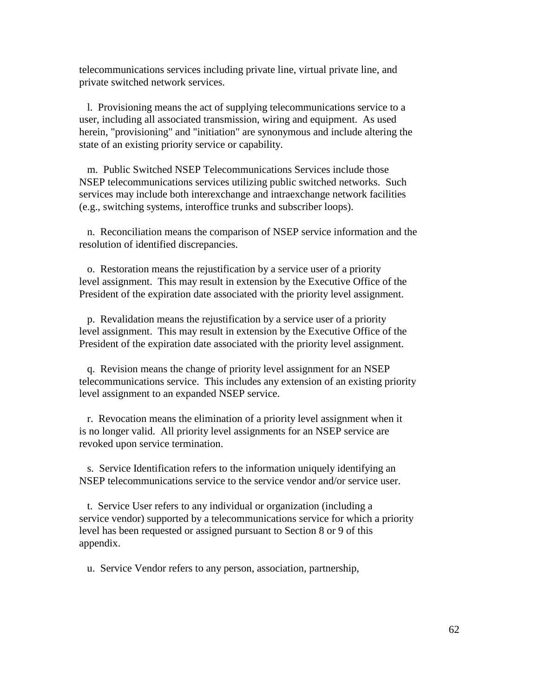telecommunications services including private line, virtual private line, and private switched network services.

 l. Provisioning means the act of supplying telecommunications service to a user, including all associated transmission, wiring and equipment. As used herein, "provisioning" and "initiation" are synonymous and include altering the state of an existing priority service or capability.

 m. Public Switched NSEP Telecommunications Services include those NSEP telecommunications services utilizing public switched networks. Such services may include both interexchange and intraexchange network facilities (e.g., switching systems, interoffice trunks and subscriber loops).

 n. Reconciliation means the comparison of NSEP service information and the resolution of identified discrepancies.

 o. Restoration means the rejustification by a service user of a priority level assignment. This may result in extension by the Executive Office of the President of the expiration date associated with the priority level assignment.

 p. Revalidation means the rejustification by a service user of a priority level assignment. This may result in extension by the Executive Office of the President of the expiration date associated with the priority level assignment.

 q. Revision means the change of priority level assignment for an NSEP telecommunications service. This includes any extension of an existing priority level assignment to an expanded NSEP service.

 r. Revocation means the elimination of a priority level assignment when it is no longer valid. All priority level assignments for an NSEP service are revoked upon service termination.

 s. Service Identification refers to the information uniquely identifying an NSEP telecommunications service to the service vendor and/or service user.

 t. Service User refers to any individual or organization (including a service vendor) supported by a telecommunications service for which a priority level has been requested or assigned pursuant to Section 8 or 9 of this appendix.

u. Service Vendor refers to any person, association, partnership,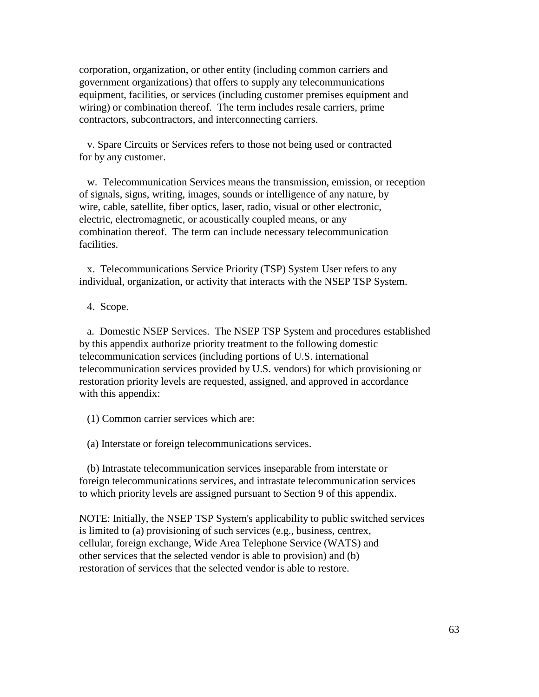corporation, organization, or other entity (including common carriers and government organizations) that offers to supply any telecommunications equipment, facilities, or services (including customer premises equipment and wiring) or combination thereof. The term includes resale carriers, prime contractors, subcontractors, and interconnecting carriers.

 v. Spare Circuits or Services refers to those not being used or contracted for by any customer.

 w. Telecommunication Services means the transmission, emission, or reception of signals, signs, writing, images, sounds or intelligence of any nature, by wire, cable, satellite, fiber optics, laser, radio, visual or other electronic, electric, electromagnetic, or acoustically coupled means, or any combination thereof. The term can include necessary telecommunication facilities.

 x. Telecommunications Service Priority (TSP) System User refers to any individual, organization, or activity that interacts with the NSEP TSP System.

4. Scope.

 a. Domestic NSEP Services. The NSEP TSP System and procedures established by this appendix authorize priority treatment to the following domestic telecommunication services (including portions of U.S. international telecommunication services provided by U.S. vendors) for which provisioning or restoration priority levels are requested, assigned, and approved in accordance with this appendix:

(1) Common carrier services which are:

(a) Interstate or foreign telecommunications services.

 (b) Intrastate telecommunication services inseparable from interstate or foreign telecommunications services, and intrastate telecommunication services to which priority levels are assigned pursuant to Section 9 of this appendix.

NOTE: Initially, the NSEP TSP System's applicability to public switched services is limited to (a) provisioning of such services (e.g., business, centrex, cellular, foreign exchange, Wide Area Telephone Service (WATS) and other services that the selected vendor is able to provision) and (b) restoration of services that the selected vendor is able to restore.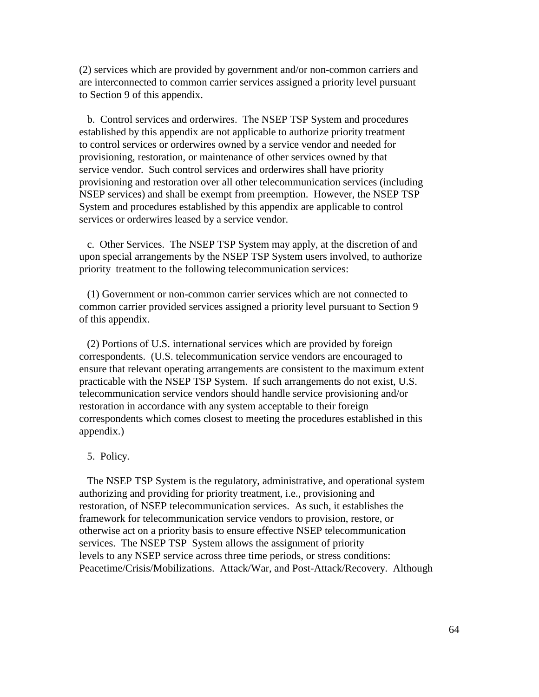(2) services which are provided by government and/or non-common carriers and are interconnected to common carrier services assigned a priority level pursuant to Section 9 of this appendix.

 b. Control services and orderwires. The NSEP TSP System and procedures established by this appendix are not applicable to authorize priority treatment to control services or orderwires owned by a service vendor and needed for provisioning, restoration, or maintenance of other services owned by that service vendor. Such control services and orderwires shall have priority provisioning and restoration over all other telecommunication services (including NSEP services) and shall be exempt from preemption. However, the NSEP TSP System and procedures established by this appendix are applicable to control services or orderwires leased by a service vendor.

 c. Other Services. The NSEP TSP System may apply, at the discretion of and upon special arrangements by the NSEP TSP System users involved, to authorize priority treatment to the following telecommunication services:

 (1) Government or non-common carrier services which are not connected to common carrier provided services assigned a priority level pursuant to Section 9 of this appendix.

 (2) Portions of U.S. international services which are provided by foreign correspondents. (U.S. telecommunication service vendors are encouraged to ensure that relevant operating arrangements are consistent to the maximum extent practicable with the NSEP TSP System. If such arrangements do not exist, U.S. telecommunication service vendors should handle service provisioning and/or restoration in accordance with any system acceptable to their foreign correspondents which comes closest to meeting the procedures established in this appendix.)

### 5. Policy.

 The NSEP TSP System is the regulatory, administrative, and operational system authorizing and providing for priority treatment, i.e., provisioning and restoration, of NSEP telecommunication services. As such, it establishes the framework for telecommunication service vendors to provision, restore, or otherwise act on a priority basis to ensure effective NSEP telecommunication services. The NSEP TSP System allows the assignment of priority levels to any NSEP service across three time periods, or stress conditions: Peacetime/Crisis/Mobilizations. Attack/War, and Post-Attack/Recovery. Although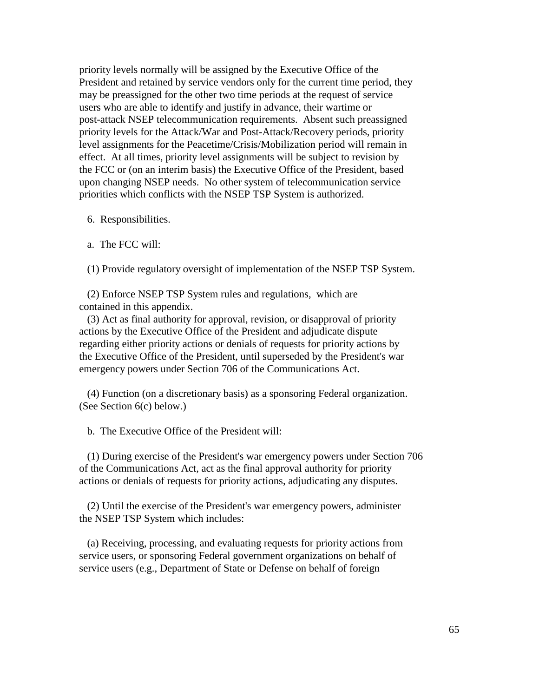priority levels normally will be assigned by the Executive Office of the President and retained by service vendors only for the current time period, they may be preassigned for the other two time periods at the request of service users who are able to identify and justify in advance, their wartime or post-attack NSEP telecommunication requirements. Absent such preassigned priority levels for the Attack/War and Post-Attack/Recovery periods, priority level assignments for the Peacetime/Crisis/Mobilization period will remain in effect. At all times, priority level assignments will be subject to revision by the FCC or (on an interim basis) the Executive Office of the President, based upon changing NSEP needs. No other system of telecommunication service priorities which conflicts with the NSEP TSP System is authorized.

6. Responsibilities.

a. The FCC will:

(1) Provide regulatory oversight of implementation of the NSEP TSP System.

 (2) Enforce NSEP TSP System rules and regulations, which are contained in this appendix.

 (3) Act as final authority for approval, revision, or disapproval of priority actions by the Executive Office of the President and adjudicate dispute regarding either priority actions or denials of requests for priority actions by the Executive Office of the President, until superseded by the President's war emergency powers under Section 706 of the Communications Act.

 (4) Function (on a discretionary basis) as a sponsoring Federal organization. (See Section 6(c) below.)

b. The Executive Office of the President will:

 (1) During exercise of the President's war emergency powers under Section 706 of the Communications Act, act as the final approval authority for priority actions or denials of requests for priority actions, adjudicating any disputes.

 (2) Until the exercise of the President's war emergency powers, administer the NSEP TSP System which includes:

 (a) Receiving, processing, and evaluating requests for priority actions from service users, or sponsoring Federal government organizations on behalf of service users (e.g., Department of State or Defense on behalf of foreign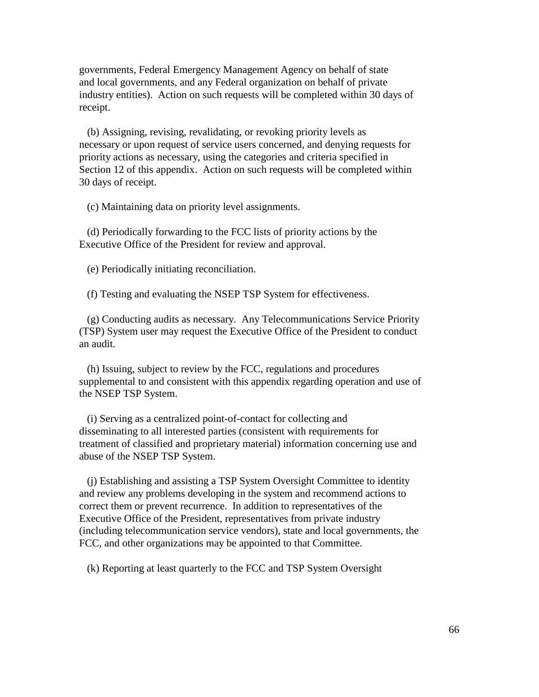governments, Federal Emergency Management Agency on behalf of state and local governments, and any Federal organization on behalf of private industry entities). Action on such requests will be completed within 30 days of receipt.

 (b) Assigning, revising, revalidating, or revoking priority levels as necessary or upon request of service users concerned, and denying requests for priority actions as necessary, using the categories and criteria specified in Section 12 of this appendix. Action on such requests will be completed within 30 days of receipt.

(c) Maintaining data on priority level assignments.

 (d) Periodically forwarding to the FCC lists of priority actions by the Executive Office of the President for review and approval.

(e) Periodically initiating reconciliation.

(f) Testing and evaluating the NSEP TSP System for effectiveness.

 (g) Conducting audits as necessary. Any Telecommunications Service Priority (TSP) System user may request the Executive Office of the President to conduct an audit.

 (h) Issuing, subject to review by the FCC, regulations and procedures supplemental to and consistent with this appendix regarding operation and use of the NSEP TSP System.

 (i) Serving as a centralized point-of-contact for collecting and disseminating to all interested parties (consistent with requirements for treatment of classified and proprietary material) information concerning use and abuse of the NSEP TSP System.

 (j) Establishing and assisting a TSP System Oversight Committee to identity and review any problems developing in the system and recommend actions to correct them or prevent recurrence. In addition to representatives of the Executive Office of the President, representatives from private industry (including telecommunication service vendors), state and local governments, the FCC, and other organizations may be appointed to that Committee.

(k) Reporting at least quarterly to the FCC and TSP System Oversight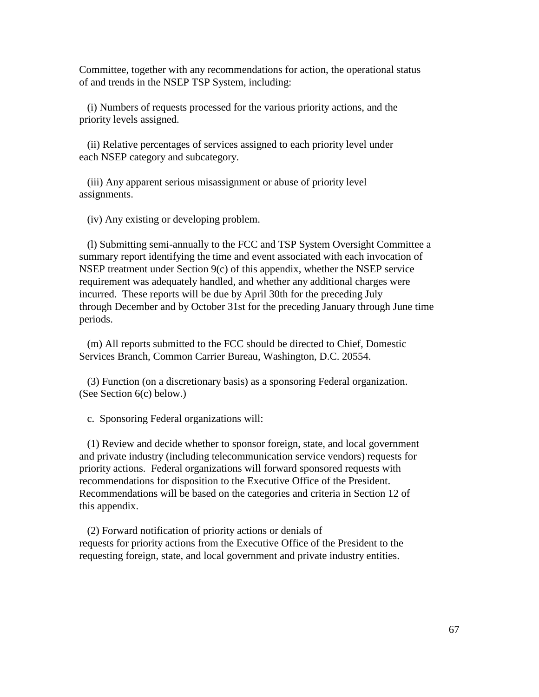Committee, together with any recommendations for action, the operational status of and trends in the NSEP TSP System, including:

 (i) Numbers of requests processed for the various priority actions, and the priority levels assigned.

 (ii) Relative percentages of services assigned to each priority level under each NSEP category and subcategory.

 (iii) Any apparent serious misassignment or abuse of priority level assignments.

(iv) Any existing or developing problem.

 (l) Submitting semi-annually to the FCC and TSP System Oversight Committee a summary report identifying the time and event associated with each invocation of NSEP treatment under Section 9(c) of this appendix, whether the NSEP service requirement was adequately handled, and whether any additional charges were incurred. These reports will be due by April 30th for the preceding July through December and by October 31st for the preceding January through June time periods.

 (m) All reports submitted to the FCC should be directed to Chief, Domestic Services Branch, Common Carrier Bureau, Washington, D.C. 20554.

 (3) Function (on a discretionary basis) as a sponsoring Federal organization. (See Section 6(c) below.)

c. Sponsoring Federal organizations will:

 (1) Review and decide whether to sponsor foreign, state, and local government and private industry (including telecommunication service vendors) requests for priority actions. Federal organizations will forward sponsored requests with recommendations for disposition to the Executive Office of the President. Recommendations will be based on the categories and criteria in Section 12 of this appendix.

 (2) Forward notification of priority actions or denials of requests for priority actions from the Executive Office of the President to the requesting foreign, state, and local government and private industry entities.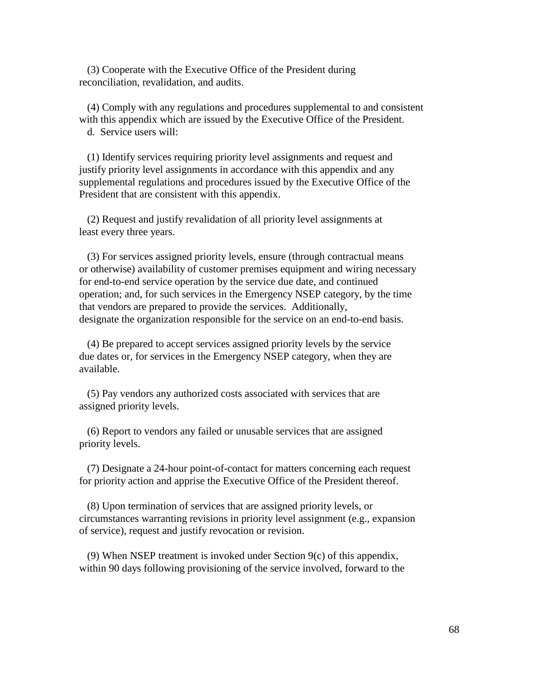(3) Cooperate with the Executive Office of the President during reconciliation, revalidation, and audits.

 (4) Comply with any regulations and procedures supplemental to and consistent with this appendix which are issued by the Executive Office of the President. d. Service users will:

 (1) Identify services requiring priority level assignments and request and justify priority level assignments in accordance with this appendix and any supplemental regulations and procedures issued by the Executive Office of the President that are consistent with this appendix.

 (2) Request and justify revalidation of all priority level assignments at least every three years.

 (3) For services assigned priority levels, ensure (through contractual means or otherwise) availability of customer premises equipment and wiring necessary for end-to-end service operation by the service due date, and continued operation; and, for such services in the Emergency NSEP category, by the time that vendors are prepared to provide the services. Additionally, designate the organization responsible for the service on an end-to-end basis.

 (4) Be prepared to accept services assigned priority levels by the service due dates or, for services in the Emergency NSEP category, when they are available.

 (5) Pay vendors any authorized costs associated with services that are assigned priority levels.

 (6) Report to vendors any failed or unusable services that are assigned priority levels.

 (7) Designate a 24-hour point-of-contact for matters concerning each request for priority action and apprise the Executive Office of the President thereof.

 (8) Upon termination of services that are assigned priority levels, or circumstances warranting revisions in priority level assignment (e.g., expansion of service), request and justify revocation or revision.

 (9) When NSEP treatment is invoked under Section 9(c) of this appendix, within 90 days following provisioning of the service involved, forward to the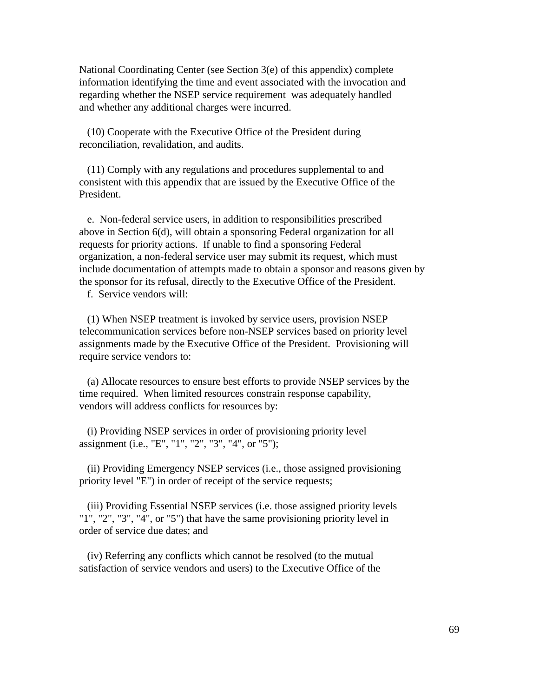National Coordinating Center (see Section 3(e) of this appendix) complete information identifying the time and event associated with the invocation and regarding whether the NSEP service requirement was adequately handled and whether any additional charges were incurred.

 (10) Cooperate with the Executive Office of the President during reconciliation, revalidation, and audits.

 (11) Comply with any regulations and procedures supplemental to and consistent with this appendix that are issued by the Executive Office of the President.

 e. Non-federal service users, in addition to responsibilities prescribed above in Section 6(d), will obtain a sponsoring Federal organization for all requests for priority actions. If unable to find a sponsoring Federal organization, a non-federal service user may submit its request, which must include documentation of attempts made to obtain a sponsor and reasons given by the sponsor for its refusal, directly to the Executive Office of the President.

f. Service vendors will:

 (1) When NSEP treatment is invoked by service users, provision NSEP telecommunication services before non-NSEP services based on priority level assignments made by the Executive Office of the President. Provisioning will require service vendors to:

 (a) Allocate resources to ensure best efforts to provide NSEP services by the time required. When limited resources constrain response capability, vendors will address conflicts for resources by:

 (i) Providing NSEP services in order of provisioning priority level assignment (i.e., "E", "1", "2", "3", "4", or "5");

 (ii) Providing Emergency NSEP services (i.e., those assigned provisioning priority level "E") in order of receipt of the service requests;

 (iii) Providing Essential NSEP services (i.e. those assigned priority levels "1", "2", "3", "4", or "5") that have the same provisioning priority level in order of service due dates; and

 (iv) Referring any conflicts which cannot be resolved (to the mutual satisfaction of service vendors and users) to the Executive Office of the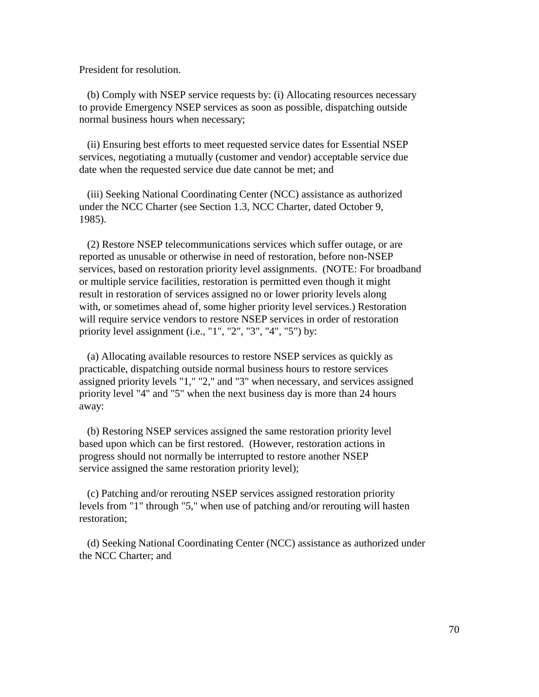President for resolution.

 (b) Comply with NSEP service requests by: (i) Allocating resources necessary to provide Emergency NSEP services as soon as possible, dispatching outside normal business hours when necessary;

 (ii) Ensuring best efforts to meet requested service dates for Essential NSEP services, negotiating a mutually (customer and vendor) acceptable service due date when the requested service due date cannot be met; and

 (iii) Seeking National Coordinating Center (NCC) assistance as authorized under the NCC Charter (see Section 1.3, NCC Charter, dated October 9, 1985).

 (2) Restore NSEP telecommunications services which suffer outage, or are reported as unusable or otherwise in need of restoration, before non-NSEP services, based on restoration priority level assignments. (NOTE: For broadband or multiple service facilities, restoration is permitted even though it might result in restoration of services assigned no or lower priority levels along with, or sometimes ahead of, some higher priority level services.) Restoration will require service vendors to restore NSEP services in order of restoration priority level assignment (i.e., "1", "2", "3", "4", "5") by:

 (a) Allocating available resources to restore NSEP services as quickly as practicable, dispatching outside normal business hours to restore services assigned priority levels "1," "2," and "3" when necessary, and services assigned priority level "4" and "5" when the next business day is more than 24 hours away:

 (b) Restoring NSEP services assigned the same restoration priority level based upon which can be first restored. (However, restoration actions in progress should not normally be interrupted to restore another NSEP service assigned the same restoration priority level);

 (c) Patching and/or rerouting NSEP services assigned restoration priority levels from "1" through "5," when use of patching and/or rerouting will hasten restoration;

 (d) Seeking National Coordinating Center (NCC) assistance as authorized under the NCC Charter; and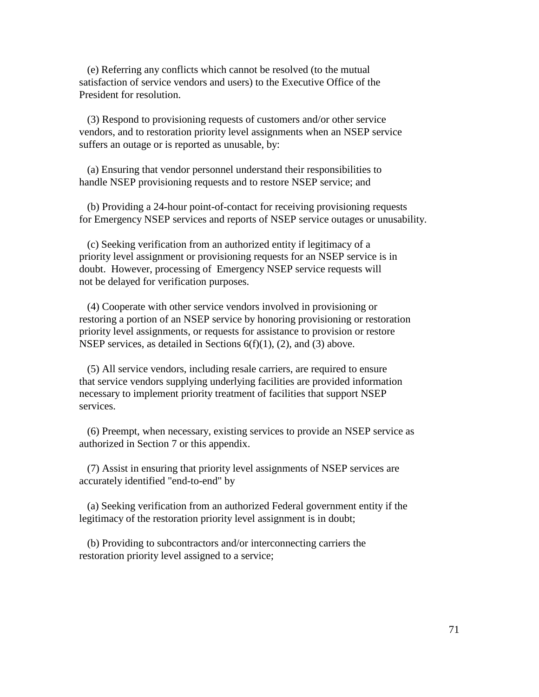(e) Referring any conflicts which cannot be resolved (to the mutual satisfaction of service vendors and users) to the Executive Office of the President for resolution.

 (3) Respond to provisioning requests of customers and/or other service vendors, and to restoration priority level assignments when an NSEP service suffers an outage or is reported as unusable, by:

 (a) Ensuring that vendor personnel understand their responsibilities to handle NSEP provisioning requests and to restore NSEP service; and

 (b) Providing a 24-hour point-of-contact for receiving provisioning requests for Emergency NSEP services and reports of NSEP service outages or unusability.

 (c) Seeking verification from an authorized entity if legitimacy of a priority level assignment or provisioning requests for an NSEP service is in doubt. However, processing of Emergency NSEP service requests will not be delayed for verification purposes.

 (4) Cooperate with other service vendors involved in provisioning or restoring a portion of an NSEP service by honoring provisioning or restoration priority level assignments, or requests for assistance to provision or restore NSEP services, as detailed in Sections  $6(f)(1)$ , (2), and (3) above.

 (5) All service vendors, including resale carriers, are required to ensure that service vendors supplying underlying facilities are provided information necessary to implement priority treatment of facilities that support NSEP services.

 (6) Preempt, when necessary, existing services to provide an NSEP service as authorized in Section 7 or this appendix.

 (7) Assist in ensuring that priority level assignments of NSEP services are accurately identified "end-to-end" by

 (a) Seeking verification from an authorized Federal government entity if the legitimacy of the restoration priority level assignment is in doubt;

 (b) Providing to subcontractors and/or interconnecting carriers the restoration priority level assigned to a service;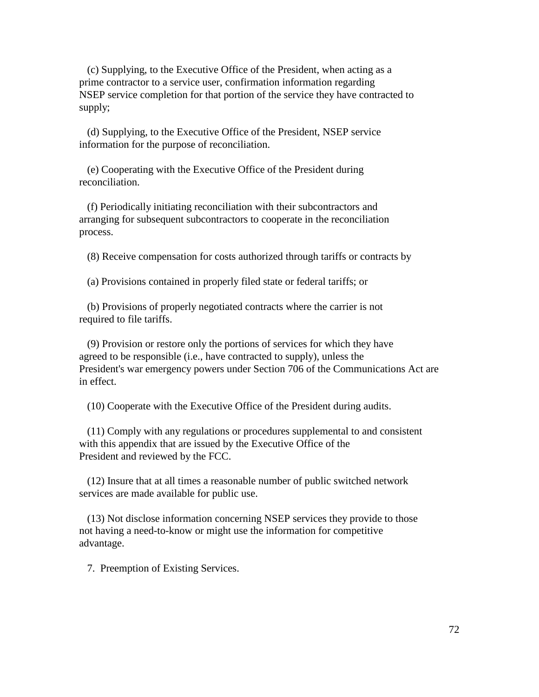(c) Supplying, to the Executive Office of the President, when acting as a prime contractor to a service user, confirmation information regarding NSEP service completion for that portion of the service they have contracted to supply;

 (d) Supplying, to the Executive Office of the President, NSEP service information for the purpose of reconciliation.

 (e) Cooperating with the Executive Office of the President during reconciliation.

 (f) Periodically initiating reconciliation with their subcontractors and arranging for subsequent subcontractors to cooperate in the reconciliation process.

(8) Receive compensation for costs authorized through tariffs or contracts by

(a) Provisions contained in properly filed state or federal tariffs; or

 (b) Provisions of properly negotiated contracts where the carrier is not required to file tariffs.

 (9) Provision or restore only the portions of services for which they have agreed to be responsible (i.e., have contracted to supply), unless the President's war emergency powers under Section 706 of the Communications Act are in effect.

(10) Cooperate with the Executive Office of the President during audits.

 (11) Comply with any regulations or procedures supplemental to and consistent with this appendix that are issued by the Executive Office of the President and reviewed by the FCC.

 (12) Insure that at all times a reasonable number of public switched network services are made available for public use.

 (13) Not disclose information concerning NSEP services they provide to those not having a need-to-know or might use the information for competitive advantage.

7. Preemption of Existing Services.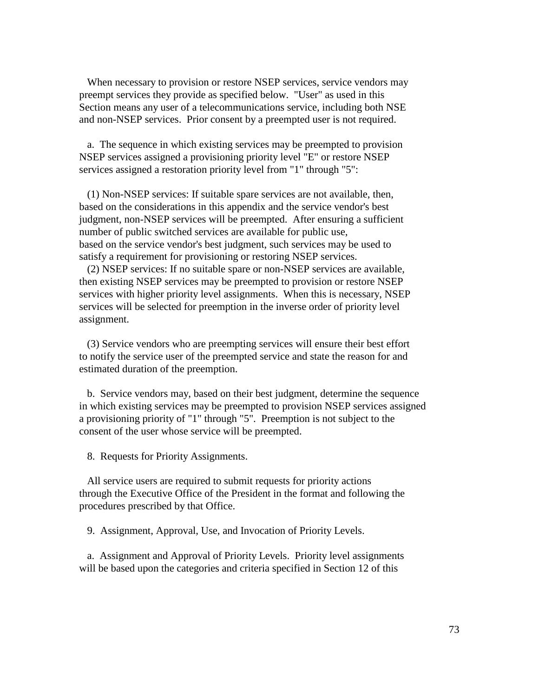When necessary to provision or restore NSEP services, service vendors may preempt services they provide as specified below. "User" as used in this Section means any user of a telecommunications service, including both NSE and non-NSEP services. Prior consent by a preempted user is not required.

 a. The sequence in which existing services may be preempted to provision NSEP services assigned a provisioning priority level "E" or restore NSEP services assigned a restoration priority level from "1" through "5":

 (1) Non-NSEP services: If suitable spare services are not available, then, based on the considerations in this appendix and the service vendor's best judgment, non-NSEP services will be preempted. After ensuring a sufficient number of public switched services are available for public use, based on the service vendor's best judgment, such services may be used to satisfy a requirement for provisioning or restoring NSEP services.

 (2) NSEP services: If no suitable spare or non-NSEP services are available, then existing NSEP services may be preempted to provision or restore NSEP services with higher priority level assignments. When this is necessary, NSEP services will be selected for preemption in the inverse order of priority level assignment.

 (3) Service vendors who are preempting services will ensure their best effort to notify the service user of the preempted service and state the reason for and estimated duration of the preemption.

 b. Service vendors may, based on their best judgment, determine the sequence in which existing services may be preempted to provision NSEP services assigned a provisioning priority of "1" through "5". Preemption is not subject to the consent of the user whose service will be preempted.

8. Requests for Priority Assignments.

 All service users are required to submit requests for priority actions through the Executive Office of the President in the format and following the procedures prescribed by that Office.

9. Assignment, Approval, Use, and Invocation of Priority Levels.

 a. Assignment and Approval of Priority Levels. Priority level assignments will be based upon the categories and criteria specified in Section 12 of this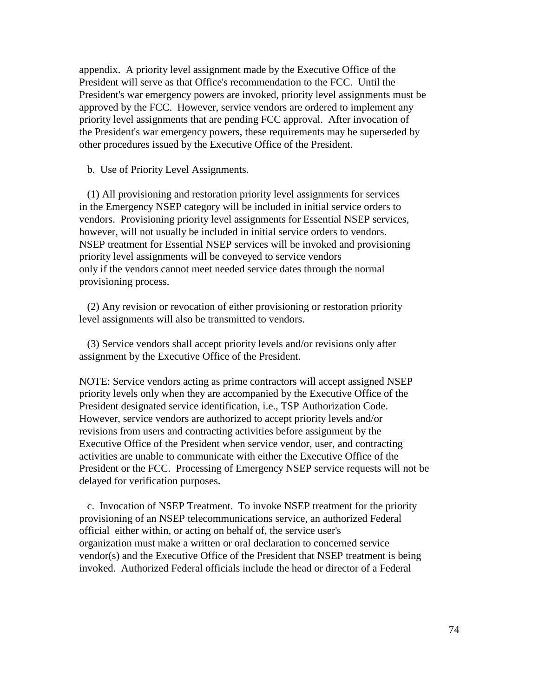appendix. A priority level assignment made by the Executive Office of the President will serve as that Office's recommendation to the FCC. Until the President's war emergency powers are invoked, priority level assignments must be approved by the FCC. However, service vendors are ordered to implement any priority level assignments that are pending FCC approval. After invocation of the President's war emergency powers, these requirements may be superseded by other procedures issued by the Executive Office of the President.

b. Use of Priority Level Assignments.

 (1) All provisioning and restoration priority level assignments for services in the Emergency NSEP category will be included in initial service orders to vendors. Provisioning priority level assignments for Essential NSEP services, however, will not usually be included in initial service orders to vendors. NSEP treatment for Essential NSEP services will be invoked and provisioning priority level assignments will be conveyed to service vendors only if the vendors cannot meet needed service dates through the normal provisioning process.

 (2) Any revision or revocation of either provisioning or restoration priority level assignments will also be transmitted to vendors.

 (3) Service vendors shall accept priority levels and/or revisions only after assignment by the Executive Office of the President.

NOTE: Service vendors acting as prime contractors will accept assigned NSEP priority levels only when they are accompanied by the Executive Office of the President designated service identification, i.e., TSP Authorization Code. However, service vendors are authorized to accept priority levels and/or revisions from users and contracting activities before assignment by the Executive Office of the President when service vendor, user, and contracting activities are unable to communicate with either the Executive Office of the President or the FCC. Processing of Emergency NSEP service requests will not be delayed for verification purposes.

 c. Invocation of NSEP Treatment. To invoke NSEP treatment for the priority provisioning of an NSEP telecommunications service, an authorized Federal official either within, or acting on behalf of, the service user's organization must make a written or oral declaration to concerned service vendor(s) and the Executive Office of the President that NSEP treatment is being invoked. Authorized Federal officials include the head or director of a Federal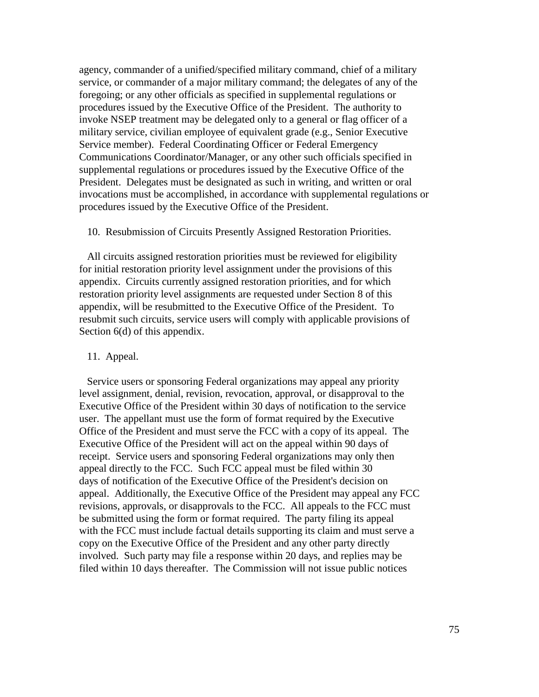agency, commander of a unified/specified military command, chief of a military service, or commander of a major military command; the delegates of any of the foregoing; or any other officials as specified in supplemental regulations or procedures issued by the Executive Office of the President. The authority to invoke NSEP treatment may be delegated only to a general or flag officer of a military service, civilian employee of equivalent grade (e.g., Senior Executive Service member). Federal Coordinating Officer or Federal Emergency Communications Coordinator/Manager, or any other such officials specified in supplemental regulations or procedures issued by the Executive Office of the President. Delegates must be designated as such in writing, and written or oral invocations must be accomplished, in accordance with supplemental regulations or procedures issued by the Executive Office of the President.

## 10. Resubmission of Circuits Presently Assigned Restoration Priorities.

 All circuits assigned restoration priorities must be reviewed for eligibility for initial restoration priority level assignment under the provisions of this appendix. Circuits currently assigned restoration priorities, and for which restoration priority level assignments are requested under Section 8 of this appendix, will be resubmitted to the Executive Office of the President. To resubmit such circuits, service users will comply with applicable provisions of Section 6(d) of this appendix.

## 11. Appeal.

 Service users or sponsoring Federal organizations may appeal any priority level assignment, denial, revision, revocation, approval, or disapproval to the Executive Office of the President within 30 days of notification to the service user. The appellant must use the form of format required by the Executive Office of the President and must serve the FCC with a copy of its appeal. The Executive Office of the President will act on the appeal within 90 days of receipt. Service users and sponsoring Federal organizations may only then appeal directly to the FCC. Such FCC appeal must be filed within 30 days of notification of the Executive Office of the President's decision on appeal. Additionally, the Executive Office of the President may appeal any FCC revisions, approvals, or disapprovals to the FCC. All appeals to the FCC must be submitted using the form or format required. The party filing its appeal with the FCC must include factual details supporting its claim and must serve a copy on the Executive Office of the President and any other party directly involved. Such party may file a response within 20 days, and replies may be filed within 10 days thereafter. The Commission will not issue public notices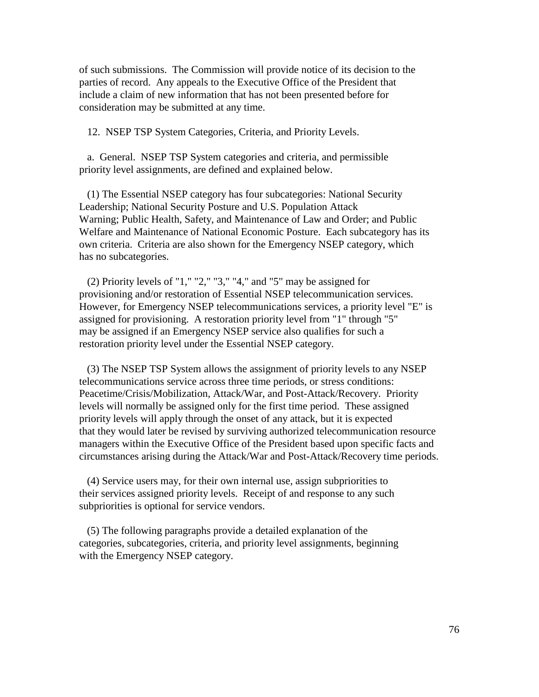of such submissions. The Commission will provide notice of its decision to the parties of record. Any appeals to the Executive Office of the President that include a claim of new information that has not been presented before for consideration may be submitted at any time.

12. NSEP TSP System Categories, Criteria, and Priority Levels.

 a. General. NSEP TSP System categories and criteria, and permissible priority level assignments, are defined and explained below.

 (1) The Essential NSEP category has four subcategories: National Security Leadership; National Security Posture and U.S. Population Attack Warning; Public Health, Safety, and Maintenance of Law and Order; and Public Welfare and Maintenance of National Economic Posture. Each subcategory has its own criteria. Criteria are also shown for the Emergency NSEP category, which has no subcategories.

 (2) Priority levels of "1," "2," "3," "4," and "5" may be assigned for provisioning and/or restoration of Essential NSEP telecommunication services. However, for Emergency NSEP telecommunications services, a priority level "E" is assigned for provisioning. A restoration priority level from "1" through "5" may be assigned if an Emergency NSEP service also qualifies for such a restoration priority level under the Essential NSEP category.

 (3) The NSEP TSP System allows the assignment of priority levels to any NSEP telecommunications service across three time periods, or stress conditions: Peacetime/Crisis/Mobilization, Attack/War, and Post-Attack/Recovery. Priority levels will normally be assigned only for the first time period. These assigned priority levels will apply through the onset of any attack, but it is expected that they would later be revised by surviving authorized telecommunication resource managers within the Executive Office of the President based upon specific facts and circumstances arising during the Attack/War and Post-Attack/Recovery time periods.

 (4) Service users may, for their own internal use, assign subpriorities to their services assigned priority levels. Receipt of and response to any such subpriorities is optional for service vendors.

 (5) The following paragraphs provide a detailed explanation of the categories, subcategories, criteria, and priority level assignments, beginning with the Emergency NSEP category.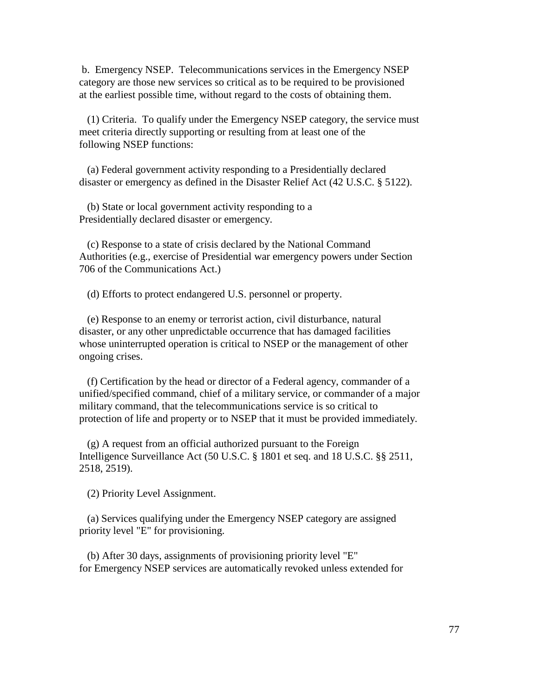b. Emergency NSEP. Telecommunications services in the Emergency NSEP category are those new services so critical as to be required to be provisioned at the earliest possible time, without regard to the costs of obtaining them.

 (1) Criteria. To qualify under the Emergency NSEP category, the service must meet criteria directly supporting or resulting from at least one of the following NSEP functions:

 (a) Federal government activity responding to a Presidentially declared disaster or emergency as defined in the Disaster Relief Act (42 U.S.C. § 5122).

 (b) State or local government activity responding to a Presidentially declared disaster or emergency.

 (c) Response to a state of crisis declared by the National Command Authorities (e.g., exercise of Presidential war emergency powers under Section 706 of the Communications Act.)

(d) Efforts to protect endangered U.S. personnel or property.

 (e) Response to an enemy or terrorist action, civil disturbance, natural disaster, or any other unpredictable occurrence that has damaged facilities whose uninterrupted operation is critical to NSEP or the management of other ongoing crises.

 (f) Certification by the head or director of a Federal agency, commander of a unified/specified command, chief of a military service, or commander of a major military command, that the telecommunications service is so critical to protection of life and property or to NSEP that it must be provided immediately.

 (g) A request from an official authorized pursuant to the Foreign Intelligence Surveillance Act (50 U.S.C. § 1801 et seq. and 18 U.S.C. §§ 2511, 2518, 2519).

(2) Priority Level Assignment.

 (a) Services qualifying under the Emergency NSEP category are assigned priority level "E" for provisioning.

 (b) After 30 days, assignments of provisioning priority level "E" for Emergency NSEP services are automatically revoked unless extended for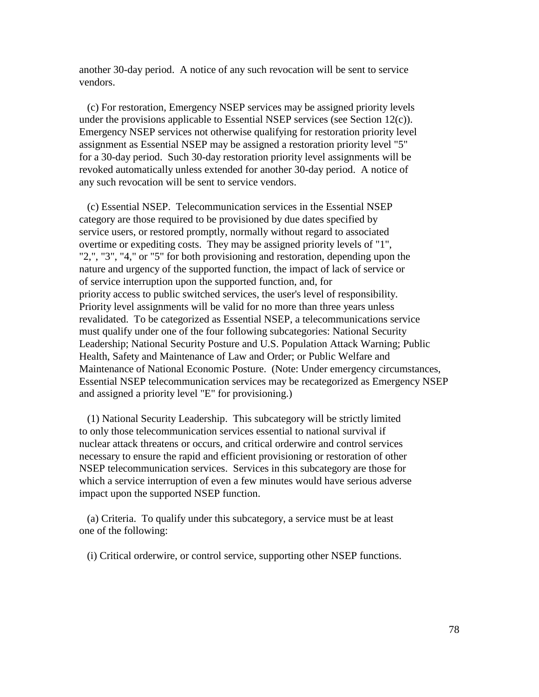another 30-day period. A notice of any such revocation will be sent to service vendors.

 (c) For restoration, Emergency NSEP services may be assigned priority levels under the provisions applicable to Essential NSEP services (see Section 12(c)). Emergency NSEP services not otherwise qualifying for restoration priority level assignment as Essential NSEP may be assigned a restoration priority level "5" for a 30-day period. Such 30-day restoration priority level assignments will be revoked automatically unless extended for another 30-day period. A notice of any such revocation will be sent to service vendors.

 (c) Essential NSEP. Telecommunication services in the Essential NSEP category are those required to be provisioned by due dates specified by service users, or restored promptly, normally without regard to associated overtime or expediting costs. They may be assigned priority levels of "1", "2,", "3", "4," or "5" for both provisioning and restoration, depending upon the nature and urgency of the supported function, the impact of lack of service or of service interruption upon the supported function, and, for priority access to public switched services, the user's level of responsibility. Priority level assignments will be valid for no more than three years unless revalidated. To be categorized as Essential NSEP, a telecommunications service must qualify under one of the four following subcategories: National Security Leadership; National Security Posture and U.S. Population Attack Warning; Public Health, Safety and Maintenance of Law and Order; or Public Welfare and Maintenance of National Economic Posture. (Note: Under emergency circumstances, Essential NSEP telecommunication services may be recategorized as Emergency NSEP and assigned a priority level "E" for provisioning.)

 (1) National Security Leadership. This subcategory will be strictly limited to only those telecommunication services essential to national survival if nuclear attack threatens or occurs, and critical orderwire and control services necessary to ensure the rapid and efficient provisioning or restoration of other NSEP telecommunication services. Services in this subcategory are those for which a service interruption of even a few minutes would have serious adverse impact upon the supported NSEP function.

 (a) Criteria. To qualify under this subcategory, a service must be at least one of the following:

(i) Critical orderwire, or control service, supporting other NSEP functions.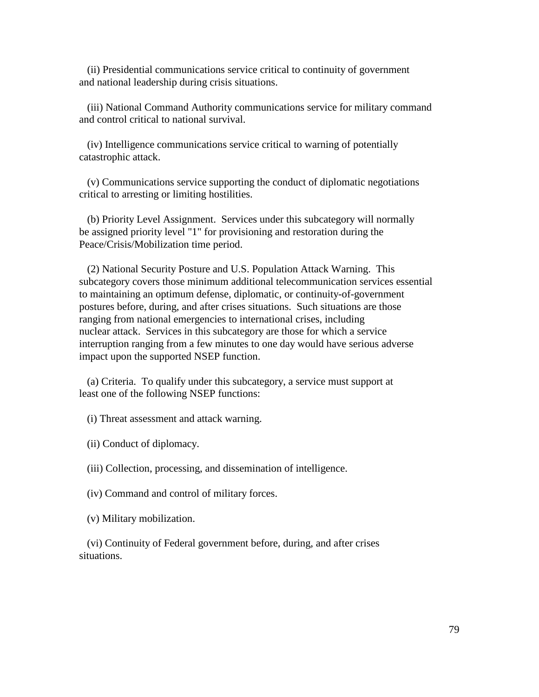(ii) Presidential communications service critical to continuity of government and national leadership during crisis situations.

 (iii) National Command Authority communications service for military command and control critical to national survival.

 (iv) Intelligence communications service critical to warning of potentially catastrophic attack.

 (v) Communications service supporting the conduct of diplomatic negotiations critical to arresting or limiting hostilities.

 (b) Priority Level Assignment. Services under this subcategory will normally be assigned priority level "1" for provisioning and restoration during the Peace/Crisis/Mobilization time period.

 (2) National Security Posture and U.S. Population Attack Warning. This subcategory covers those minimum additional telecommunication services essential to maintaining an optimum defense, diplomatic, or continuity-of-government postures before, during, and after crises situations. Such situations are those ranging from national emergencies to international crises, including nuclear attack. Services in this subcategory are those for which a service interruption ranging from a few minutes to one day would have serious adverse impact upon the supported NSEP function.

 (a) Criteria. To qualify under this subcategory, a service must support at least one of the following NSEP functions:

(i) Threat assessment and attack warning.

(ii) Conduct of diplomacy.

(iii) Collection, processing, and dissemination of intelligence.

(iv) Command and control of military forces.

(v) Military mobilization.

 (vi) Continuity of Federal government before, during, and after crises situations.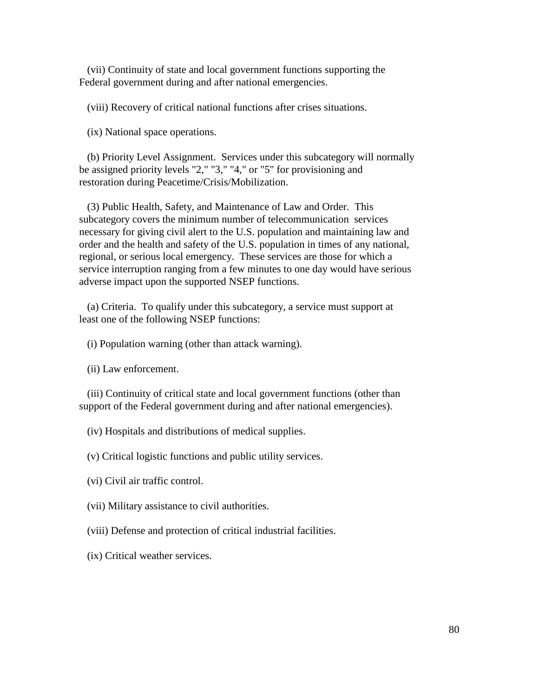(vii) Continuity of state and local government functions supporting the Federal government during and after national emergencies.

(viii) Recovery of critical national functions after crises situations.

(ix) National space operations.

 (b) Priority Level Assignment. Services under this subcategory will normally be assigned priority levels "2," "3," "4," or "5" for provisioning and restoration during Peacetime/Crisis/Mobilization.

 (3) Public Health, Safety, and Maintenance of Law and Order. This subcategory covers the minimum number of telecommunication services necessary for giving civil alert to the U.S. population and maintaining law and order and the health and safety of the U.S. population in times of any national, regional, or serious local emergency. These services are those for which a service interruption ranging from a few minutes to one day would have serious adverse impact upon the supported NSEP functions.

 (a) Criteria. To qualify under this subcategory, a service must support at least one of the following NSEP functions:

(i) Population warning (other than attack warning).

(ii) Law enforcement.

 (iii) Continuity of critical state and local government functions (other than support of the Federal government during and after national emergencies).

(iv) Hospitals and distributions of medical supplies.

(v) Critical logistic functions and public utility services.

(vi) Civil air traffic control.

(vii) Military assistance to civil authorities.

(viii) Defense and protection of critical industrial facilities.

(ix) Critical weather services.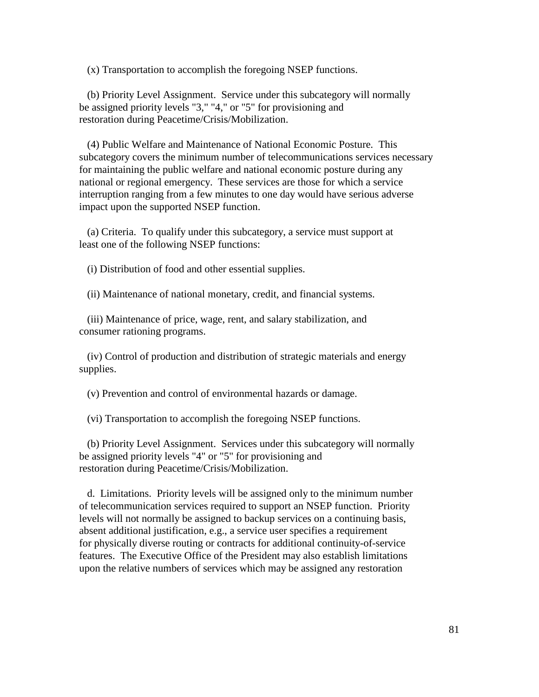(x) Transportation to accomplish the foregoing NSEP functions.

 (b) Priority Level Assignment. Service under this subcategory will normally be assigned priority levels "3," "4," or "5" for provisioning and restoration during Peacetime/Crisis/Mobilization.

 (4) Public Welfare and Maintenance of National Economic Posture. This subcategory covers the minimum number of telecommunications services necessary for maintaining the public welfare and national economic posture during any national or regional emergency. These services are those for which a service interruption ranging from a few minutes to one day would have serious adverse impact upon the supported NSEP function.

 (a) Criteria. To qualify under this subcategory, a service must support at least one of the following NSEP functions:

(i) Distribution of food and other essential supplies.

(ii) Maintenance of national monetary, credit, and financial systems.

 (iii) Maintenance of price, wage, rent, and salary stabilization, and consumer rationing programs.

 (iv) Control of production and distribution of strategic materials and energy supplies.

(v) Prevention and control of environmental hazards or damage.

(vi) Transportation to accomplish the foregoing NSEP functions.

 (b) Priority Level Assignment. Services under this subcategory will normally be assigned priority levels "4" or "5" for provisioning and restoration during Peacetime/Crisis/Mobilization.

 d. Limitations. Priority levels will be assigned only to the minimum number of telecommunication services required to support an NSEP function. Priority levels will not normally be assigned to backup services on a continuing basis, absent additional justification, e.g., a service user specifies a requirement for physically diverse routing or contracts for additional continuity-of-service features. The Executive Office of the President may also establish limitations upon the relative numbers of services which may be assigned any restoration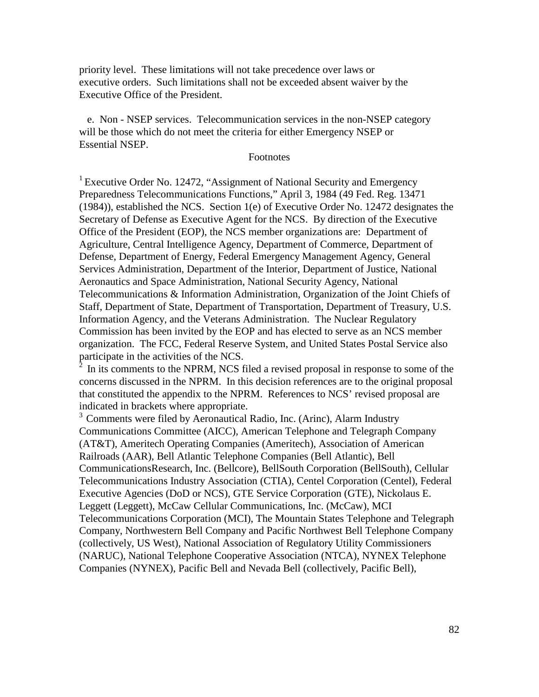priority level. These limitations will not take precedence over laws or executive orders. Such limitations shall not be exceeded absent waiver by the Executive Office of the President.

 e. Non - NSEP services. Telecommunication services in the non-NSEP category will be those which do not meet the criteria for either Emergency NSEP or Essential NSEP.

## Footnotes

<sup>1</sup> Executive Order No. 12472, "Assignment of National Security and Emergency Preparedness Telecommunications Functions," April 3, 1984 (49 Fed. Reg. 13471 (1984)), established the NCS. Section 1(e) of Executive Order No. 12472 designates the Secretary of Defense as Executive Agent for the NCS. By direction of the Executive Office of the President (EOP), the NCS member organizations are: Department of Agriculture, Central Intelligence Agency, Department of Commerce, Department of Defense, Department of Energy, Federal Emergency Management Agency, General Services Administration, Department of the Interior, Department of Justice, National Aeronautics and Space Administration, National Security Agency, National Telecommunications & Information Administration, Organization of the Joint Chiefs of Staff, Department of State, Department of Transportation, Department of Treasury, U.S. Information Agency, and the Veterans Administration. The Nuclear Regulatory Commission has been invited by the EOP and has elected to serve as an NCS member organization. The FCC, Federal Reserve System, and United States Postal Service also participate in the activities of the NCS.

In its comments to the NPRM, NCS filed a revised proposal in response to some of the concerns discussed in the NPRM. In this decision references are to the original proposal that constituted the appendix to the NPRM. References to NCS' revised proposal are indicated in brackets where appropriate.

<sup>3</sup> Comments were filed by Aeronautical Radio, Inc. (Arinc), Alarm Industry Communications Committee (AICC), American Telephone and Telegraph Company (AT&T), Ameritech Operating Companies (Ameritech), Association of American Railroads (AAR), Bell Atlantic Telephone Companies (Bell Atlantic), Bell CommunicationsResearch, Inc. (Bellcore), BellSouth Corporation (BellSouth), Cellular Telecommunications Industry Association (CTIA), Centel Corporation (Centel), Federal Executive Agencies (DoD or NCS), GTE Service Corporation (GTE), Nickolaus E. Leggett (Leggett), McCaw Cellular Communications, Inc. (McCaw), MCI Telecommunications Corporation (MCI), The Mountain States Telephone and Telegraph Company, Northwestern Bell Company and Pacific Northwest Bell Telephone Company (collectively, US West), National Association of Regulatory Utility Commissioners (NARUC), National Telephone Cooperative Association (NTCA), NYNEX Telephone Companies (NYNEX), Pacific Bell and Nevada Bell (collectively, Pacific Bell),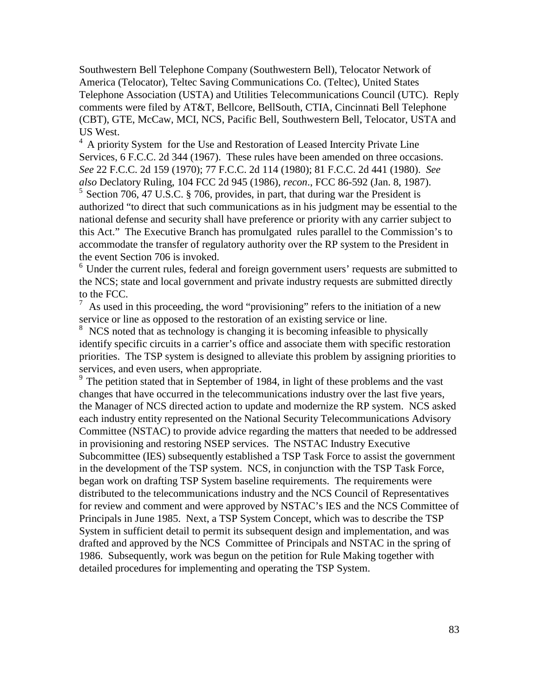Southwestern Bell Telephone Company (Southwestern Bell), Telocator Network of America (Telocator), Teltec Saving Communications Co. (Teltec), United States Telephone Association (USTA) and Utilities Telecommunications Council (UTC). Reply comments were filed by AT&T, Bellcore, BellSouth, CTIA, Cincinnati Bell Telephone (CBT), GTE, McCaw, MCI, NCS, Pacific Bell, Southwestern Bell, Telocator, USTA and US West.

<sup>4</sup> A priority System for the Use and Restoration of Leased Intercity Private Line Services, 6 F.C.C. 2d 344 (1967). These rules have been amended on three occasions. *See* 22 F.C.C. 2d 159 (1970); 77 F.C.C. 2d 114 (1980); 81 F.C.C. 2d 441 (1980). *See also* Declatory Ruling, 104 FCC 2d 945 (1986), *recon*., FCC 86-592 (Jan. 8, 1987). 5 Section 706, 47 U.S.C. § 706, provides, in part, that during war the President is authorized "to direct that such communications as in his judgment may be essential to the national defense and security shall have preference or priority with any carrier subject to this Act." The Executive Branch has promulgated rules parallel to the Commission's to accommodate the transfer of regulatory authority over the RP system to the President in the event Section 706 is invoked.

<sup>6</sup> Under the current rules, federal and foreign government users' requests are submitted to the NCS; state and local government and private industry requests are submitted directly to the FCC.

As used in this proceeding, the word "provisioning" refers to the initiation of a new service or line as opposed to the restoration of an existing service or line.

<sup>8</sup> NCS noted that as technology is changing it is becoming infeasible to physically identify specific circuits in a carrier's office and associate them with specific restoration priorities. The TSP system is designed to alleviate this problem by assigning priorities to services, and even users, when appropriate.

 $9<sup>9</sup>$  The petition stated that in September of 1984, in light of these problems and the vast changes that have occurred in the telecommunications industry over the last five years, the Manager of NCS directed action to update and modernize the RP system. NCS asked each industry entity represented on the National Security Telecommunications Advisory Committee (NSTAC) to provide advice regarding the matters that needed to be addressed in provisioning and restoring NSEP services. The NSTAC Industry Executive Subcommittee (IES) subsequently established a TSP Task Force to assist the government in the development of the TSP system. NCS, in conjunction with the TSP Task Force, began work on drafting TSP System baseline requirements. The requirements were distributed to the telecommunications industry and the NCS Council of Representatives for review and comment and were approved by NSTAC's IES and the NCS Committee of Principals in June 1985. Next, a TSP System Concept, which was to describe the TSP System in sufficient detail to permit its subsequent design and implementation, and was drafted and approved by the NCS Committee of Principals and NSTAC in the spring of 1986. Subsequently, work was begun on the petition for Rule Making together with detailed procedures for implementing and operating the TSP System.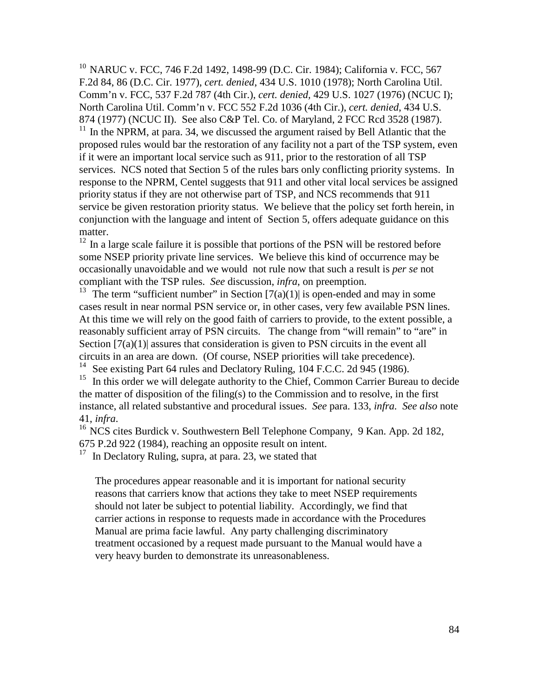<sup>10</sup> NARUC v. FCC, 746 F.2d 1492, 1498-99 (D.C. Cir. 1984); California v. FCC, 567 F.2d 84, 86 (D.C. Cir. 1977), *cert. denied*, 434 U.S. 1010 (1978); North Carolina Util. Comm'n v. FCC, 537 F.2d 787 (4th Cir.), *cert. denied,* 429 U.S. 1027 (1976) (NCUC I); North Carolina Util. Comm'n v. FCC 552 F.2d 1036 (4th Cir.), *cert. denied*, 434 U.S. 874 (1977) (NCUC II). See also C&P Tel. Co. of Maryland, 2 FCC Rcd 3528 (1987).

 $11$  In the NPRM, at para. 34, we discussed the argument raised by Bell Atlantic that the proposed rules would bar the restoration of any facility not a part of the TSP system, even if it were an important local service such as 911, prior to the restoration of all TSP services. NCS noted that Section 5 of the rules bars only conflicting priority systems. In response to the NPRM, Centel suggests that 911 and other vital local services be assigned priority status if they are not otherwise part of TSP, and NCS recommends that 911 service be given restoration priority status. We believe that the policy set forth herein, in conjunction with the language and intent of Section 5, offers adequate guidance on this matter.

 $12$  In a large scale failure it is possible that portions of the PSN will be restored before some NSEP priority private line services. We believe this kind of occurrence may be occasionally unavoidable and we would not rule now that such a result is *per se* not compliant with the TSP rules. *See* discussion, *infra*, on preemption.

<sup>13</sup> The term "sufficient number" in Section  $[7(a)(1)]$  is open-ended and may in some cases result in near normal PSN service or, in other cases, very few available PSN lines. At this time we will rely on the good faith of carriers to provide, to the extent possible, a reasonably sufficient array of PSN circuits. The change from "will remain" to "are" in Section  $[7(a)(1)]$  assures that consideration is given to PSN circuits in the event all circuits in an area are down. (Of course, NSEP priorities will take precedence).<br><sup>14</sup> See existing Part 64 rules and Declatory Ruling, 104 F.C.C. 2d 945 (1986).

See existing Part 64 rules and Declatory Ruling, 104 F.C.C. 2d 945 (1986).

<sup>15</sup> In this order we will delegate authority to the Chief, Common Carrier Bureau to decide the matter of disposition of the filing(s) to the Commission and to resolve, in the first instance, all related substantive and procedural issues. *See* para. 133, *infra. See also* note 41, *infra*.<br><sup>16</sup> NCS cites Burdick v. Southwestern Bell Telephone Company, 9 Kan. App. 2d 182,

675 P.2d 922 (1984), reaching an opposite result on intent.

 $17$  In Declatory Ruling, supra, at para. 23, we stated that

The procedures appear reasonable and it is important for national security reasons that carriers know that actions they take to meet NSEP requirements should not later be subject to potential liability. Accordingly, we find that carrier actions in response to requests made in accordance with the Procedures Manual are prima facie lawful. Any party challenging discriminatory treatment occasioned by a request made pursuant to the Manual would have a very heavy burden to demonstrate its unreasonableness.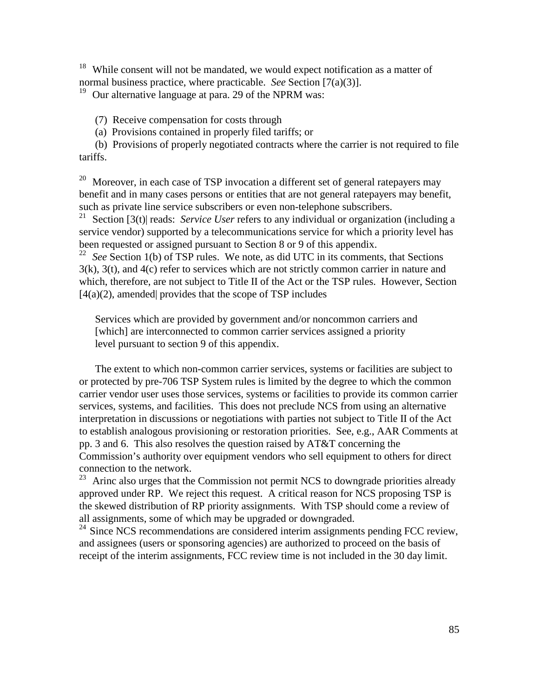<sup>18</sup> While consent will not be mandated, we would expect notification as a matter of normal business practice, where practicable. *See* Section [7(a)(3)].

 $19$  Our alternative language at para. 29 of the NPRM was:

(7) Receive compensation for costs through

(a) Provisions contained in properly filed tariffs; or

(b) Provisions of properly negotiated contracts where the carrier is not required to file tariffs.

<sup>20</sup> Moreover, in each case of TSP invocation a different set of general ratepayers may benefit and in many cases persons or entities that are not general ratepayers may benefit, such as private line service subscribers or even non-telephone subscribers.<br> $^{21}$  Section [3(t)] reads: Service *User* refers to any individual or organization

Section [3(t)] reads: *Service User* refers to any individual or organization (including a service vendor) supported by a telecommunications service for which a priority level has been requested or assigned pursuant to Section 8 or 9 of this appendix.

<sup>22</sup> See Section 1(b) of TSP rules. We note, as did UTC in its comments, that Sections 3(k), 3(t), and 4(c) refer to services which are not strictly common carrier in nature and which, therefore, are not subject to Title II of the Act or the TSP rules. However, Section [4(a)(2), amended| provides that the scope of TSP includes

Services which are provided by government and/or noncommon carriers and [which] are interconnected to common carrier services assigned a priority level pursuant to section 9 of this appendix.

The extent to which non-common carrier services, systems or facilities are subject to or protected by pre-706 TSP System rules is limited by the degree to which the common carrier vendor user uses those services, systems or facilities to provide its common carrier services, systems, and facilities. This does not preclude NCS from using an alternative interpretation in discussions or negotiations with parties not subject to Title II of the Act to establish analogous provisioning or restoration priorities. See, e.g., AAR Comments at pp. 3 and 6. This also resolves the question raised by AT&T concerning the Commission's authority over equipment vendors who sell equipment to others for direct connection to the network.

 $23$  Arinc also urges that the Commission not permit NCS to downgrade priorities already approved under RP. We reject this request. A critical reason for NCS proposing TSP is the skewed distribution of RP priority assignments. With TSP should come a review of all assignments, some of which may be upgraded or downgraded.

 $24$  Since NCS recommendations are considered interim assignments pending FCC review, and assignees (users or sponsoring agencies) are authorized to proceed on the basis of receipt of the interim assignments, FCC review time is not included in the 30 day limit.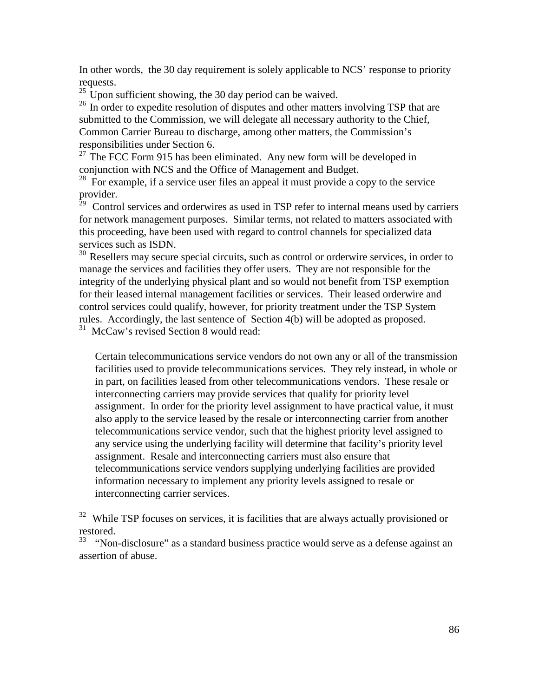In other words, the 30 day requirement is solely applicable to NCS' response to priority requests.

 $25 \text{ Upon sufficient showing, the 30 day period can be waited.}$ 

<sup>26</sup> In order to expedite resolution of disputes and other matters involving TSP that are submitted to the Commission, we will delegate all necessary authority to the Chief, Common Carrier Bureau to discharge, among other matters, the Commission's responsibilities under Section 6.

 $27$  The FCC Form 915 has been eliminated. Any new form will be developed in conjunction with NCS and the Office of Management and Budget.

<sup>28</sup> For example, if a service user files an appeal it must provide a copy to the service provider.

 $29$  Control services and orderwires as used in TSP refer to internal means used by carriers for network management purposes. Similar terms, not related to matters associated with this proceeding, have been used with regard to control channels for specialized data services such as ISDN.

<sup>30</sup> Resellers may secure special circuits, such as control or orderwire services, in order to manage the services and facilities they offer users. They are not responsible for the integrity of the underlying physical plant and so would not benefit from TSP exemption for their leased internal management facilities or services. Their leased orderwire and control services could qualify, however, for priority treatment under the TSP System rules. Accordingly, the last sentence of Section 4(b) will be adopted as proposed.<br> $\frac{31 \text{ M}\cdot\text{C}}{2}$  MeCaw's revised Section 8 would read:

McCaw's revised Section 8 would read:

Certain telecommunications service vendors do not own any or all of the transmission facilities used to provide telecommunications services. They rely instead, in whole or in part, on facilities leased from other telecommunications vendors. These resale or interconnecting carriers may provide services that qualify for priority level assignment. In order for the priority level assignment to have practical value, it must also apply to the service leased by the resale or interconnecting carrier from another telecommunications service vendor, such that the highest priority level assigned to any service using the underlying facility will determine that facility's priority level assignment. Resale and interconnecting carriers must also ensure that telecommunications service vendors supplying underlying facilities are provided information necessary to implement any priority levels assigned to resale or interconnecting carrier services.

<sup>32</sup> While TSP focuses on services, it is facilities that are always actually provisioned or restored.

 $33$  "Non-disclosure" as a standard business practice would serve as a defense against an assertion of abuse.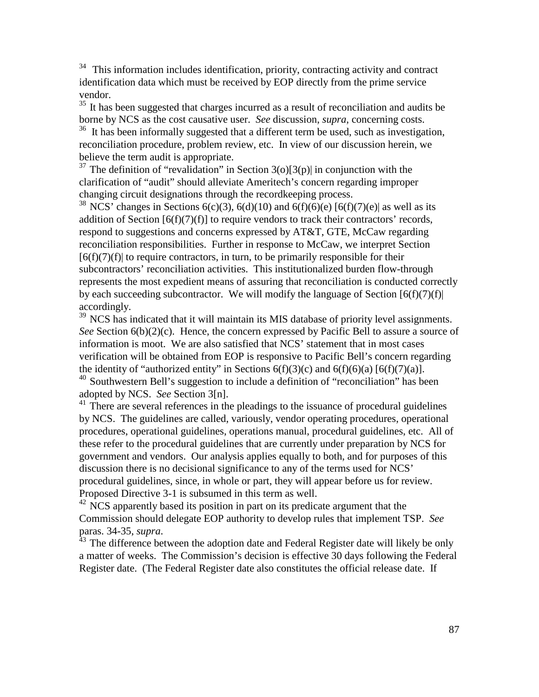$34$  This information includes identification, priority, contracting activity and contract identification data which must be received by EOP directly from the prime service vendor.

<sup>35</sup> It has been suggested that charges incurred as a result of reconciliation and audits be borne by NCS as the cost causative user. *See* discussion, *supra*, concerning costs.

 $36$  It has been informally suggested that a different term be used, such as investigation, reconciliation procedure, problem review, etc. In view of our discussion herein, we believe the term audit is appropriate.

<sup>37</sup> The definition of "revalidation" in Section 3(o)[3(p)] in conjunction with the clarification of "audit" should alleviate Ameritech's concern regarding improper changing circuit designations through the recordkeeping process.

<sup>38</sup> NCS<sup>'</sup> changes in Sections 6(c)(3), 6(d)(10) and 6(f)(6)(e) [6(f)(7)(e)| as well as its addition of Section  $[6(f)(7)(f)]$  to require vendors to track their contractors' records, respond to suggestions and concerns expressed by AT&T, GTE, McCaw regarding reconciliation responsibilities. Further in response to McCaw, we interpret Section  $[6(f)(7)(f)]$  to require contractors, in turn, to be primarily responsible for their subcontractors' reconciliation activities. This institutionalized burden flow-through represents the most expedient means of assuring that reconciliation is conducted correctly by each succeeding subcontractor. We will modify the language of Section  $[6(f)(7)(f)]$ accordingly.

<sup>39</sup> NCS has indicated that it will maintain its MIS database of priority level assignments. *See* Section 6(b)(2)(c). Hence, the concern expressed by Pacific Bell to assure a source of information is moot. We are also satisfied that NCS' statement that in most cases verification will be obtained from EOP is responsive to Pacific Bell's concern regarding the identity of "authorized entity" in Sections  $6(f)(3)(c)$  and  $6(f)(6)(a)$   $[6(f)(7)(a)]$ .  $40$  Southwestern Bell's suggestion to include a definition of "reconciliation" has been

adopted by NCS. *See* Section 3[n].

 $41$  There are several references in the pleadings to the issuance of procedural guidelines by NCS. The guidelines are called, variously, vendor operating procedures, operational procedures, operational guidelines, operations manual, procedural guidelines, etc. All of these refer to the procedural guidelines that are currently under preparation by NCS for government and vendors. Our analysis applies equally to both, and for purposes of this discussion there is no decisional significance to any of the terms used for NCS' procedural guidelines, since, in whole or part, they will appear before us for review. Proposed Directive 3-1 is subsumed in this term as well.

 $42$  NCS apparently based its position in part on its predicate argument that the Commission should delegate EOP authority to develop rules that implement TSP. *See* 

paras. 34-35, *supra*.<br><sup>43</sup> The difference between the adoption date and Federal Register date will likely be only a matter of weeks. The Commission's decision is effective 30 days following the Federal Register date. (The Federal Register date also constitutes the official release date. If